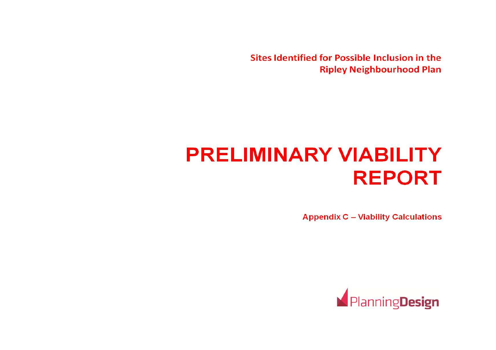Sites Identified for Possible Inclusion in the **Ripley Neighbourhood Plan** 

# **PRELIMINARY VIABILITY REPORT**

**Appendix C - Viability Calculations** 

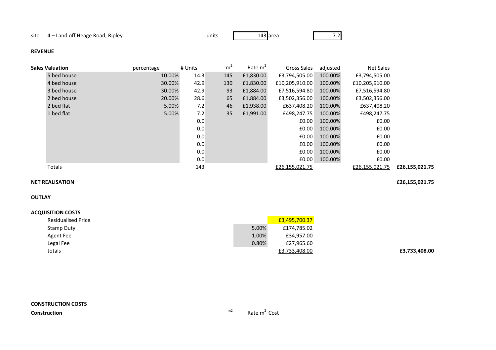site 4 – Land off Heage Road, Ripley

y units 143

143 area 7.2

### **REVENUE**

| <b>Sales Valuation</b> | percentage | # Units | m <sup>2</sup> | Rate $m2$ | Gross Sales    | adjusted | Net Sales      |                |
|------------------------|------------|---------|----------------|-----------|----------------|----------|----------------|----------------|
| 5 bed house            | 10.00%     | 14.3    | 145            | £1,830.00 | £3,794,505.00  | 100.00%  | £3,794,505.00  |                |
| 4 bed house            | 30.00%     | 42.9    | 130            | £1,830.00 | £10,205,910.00 | 100.00%  | £10,205,910.00 |                |
| 3 bed house            | 30.00%     | 42.9    | 93             | £1,884.00 | £7,516,594.80  | 100.00%  | £7,516,594.80  |                |
| 2 bed house            | 20.00%     | 28.6    | 65             | £1,884.00 | £3,502,356.00  | 100.00%  | £3,502,356.00  |                |
| 2 bed flat             | 5.00%      | 7.2     | 46             | £1,938.00 | £637,408.20    | 100.00%  | £637,408.20    |                |
| 1 bed flat             | 5.00%      | 7.2     | 35             | £1,991.00 | £498,247.75    | 100.00%  | £498,247.75    |                |
|                        |            | 0.0     |                |           | £0.00          | 100.00%  | £0.00          |                |
|                        |            | 0.0     |                |           | £0.00          | 100.00%  | £0.00          |                |
|                        |            | 0.0     |                |           | £0.00          | 100.00%  | £0.00          |                |
|                        |            | 0.0     |                |           | £0.00          | 100.00%  | £0.00          |                |
|                        |            | 0.0     |                |           | £0.00          | 100.00%  | £0.00          |                |
|                        |            | 0.0     |                |           | £0.00          | 100.00%  | £0.00          |                |
| Totals                 |            | 143     |                |           | £26,155,021.75 |          | £26,155,021.75 | £26,155,021.75 |
|                        |            |         |                |           |                |          |                |                |

### **NET REALISATION£26,155,021.75**

**OUTLAY**

### **ACQUISITION COSTS**

| <b>Residualised Price</b> |       | £3,495,700.37 |
|---------------------------|-------|---------------|
| Stamp Duty                | 5.00% | £174,785.02   |
| Agent Fee                 | 1.00% | £34,957.00    |
| Legal Fee                 | 0.80% | £27,965.60    |
| totals                    |       | £3,733,408.00 |

**£3,733,408.00**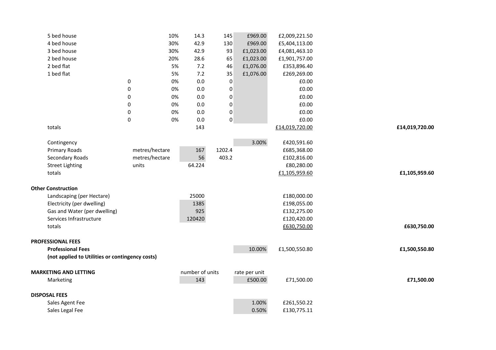| 5 bed house                                                                 |                  | 10% | 14.3            | 145              | £969.00       | £2,009,221.50  |                |
|-----------------------------------------------------------------------------|------------------|-----|-----------------|------------------|---------------|----------------|----------------|
| 4 bed house                                                                 |                  | 30% | 42.9            | 130              | £969.00       | £5,404,113.00  |                |
| 3 bed house                                                                 |                  | 30% | 42.9            | 93               | £1,023.00     | £4,081,463.10  |                |
| 2 bed house                                                                 |                  | 20% | 28.6            | 65               | £1,023.00     | £1,901,757.00  |                |
| 2 bed flat                                                                  |                  | 5%  | 7.2             | 46               | £1,076.00     | £353,896.40    |                |
| 1 bed flat                                                                  |                  | 5%  | 7.2             | 35               | £1,076.00     | £269,269.00    |                |
|                                                                             | 0                | 0%  | 0.0             | $\pmb{0}$        |               | £0.00          |                |
|                                                                             | $\pmb{0}$        | 0%  | 0.0             | $\pmb{0}$        |               | £0.00          |                |
|                                                                             | 0                | 0%  | 0.0             | 0                |               | £0.00          |                |
|                                                                             | $\pmb{0}$        | 0%  | 0.0             | $\pmb{0}$        |               | £0.00          |                |
|                                                                             | 0                | 0%  | 0.0             | $\boldsymbol{0}$ |               | £0.00          |                |
|                                                                             | $\boldsymbol{0}$ | 0%  | 0.0             | $\pmb{0}$        |               | £0.00          |                |
| totals                                                                      |                  |     | 143             |                  |               | £14,019,720.00 | £14,019,720.00 |
| Contingency                                                                 |                  |     |                 |                  | 3.00%         | £420,591.60    |                |
| Primary Roads                                                               | metres/hectare   |     | 167             | 1202.4           |               | £685,368.00    |                |
| Secondary Roads                                                             | metres/hectare   |     | 56              | 403.2            |               | £102,816.00    |                |
| <b>Street Lighting</b>                                                      | units            |     | 64.224          |                  |               | £80,280.00     |                |
| totals                                                                      |                  |     |                 |                  |               | £1,105,959.60  | £1,105,959.60  |
| <b>Other Construction</b>                                                   |                  |     |                 |                  |               |                |                |
| Landscaping (per Hectare)                                                   |                  |     | 25000           |                  |               | £180,000.00    |                |
| Electricity (per dwelling)                                                  |                  |     | 1385            |                  |               | £198,055.00    |                |
| Gas and Water (per dwelling)                                                |                  |     | 925             |                  |               | £132,275.00    |                |
| Services Infrastructure                                                     |                  |     | 120420          |                  |               | £120,420.00    |                |
| totals                                                                      |                  |     |                 |                  |               | £630,750.00    | £630,750.00    |
|                                                                             |                  |     |                 |                  |               |                |                |
| <b>PROFESSIONAL FEES</b>                                                    |                  |     |                 |                  |               |                |                |
| <b>Professional Fees</b><br>(not applied to Utilities or contingency costs) |                  |     |                 |                  | 10.00%        | £1,500,550.80  | £1,500,550.80  |
|                                                                             |                  |     |                 |                  |               |                |                |
| <b>MARKETING AND LETTING</b>                                                |                  |     | number of units |                  | rate per unit |                |                |
| Marketing                                                                   |                  |     | 143             |                  | £500.00       | £71,500.00     | £71,500.00     |
| <b>DISPOSAL FEES</b>                                                        |                  |     |                 |                  |               |                |                |
| Sales Agent Fee                                                             |                  |     |                 |                  | 1.00%         | £261,550.22    |                |
| Sales Legal Fee                                                             |                  |     |                 |                  | 0.50%         | £130,775.11    |                |
|                                                                             |                  |     |                 |                  |               |                |                |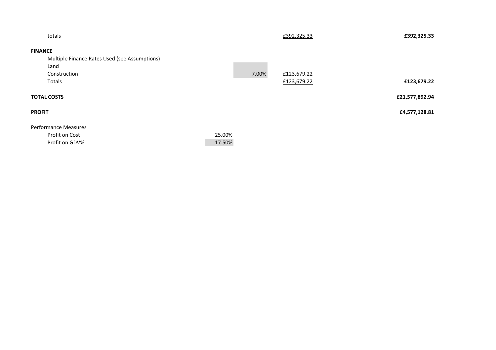| totals                                        |        |       | £392,325.33 | £392,325.33    |
|-----------------------------------------------|--------|-------|-------------|----------------|
| <b>FINANCE</b>                                |        |       |             |                |
| Multiple Finance Rates Used (see Assumptions) |        |       |             |                |
| Land                                          |        |       |             |                |
| Construction                                  |        | 7.00% | £123,679.22 |                |
| Totals                                        |        |       | £123,679.22 | £123,679.22    |
| <b>TOTAL COSTS</b>                            |        |       |             | £21,577,892.94 |
| <b>PROFIT</b>                                 |        |       |             | £4,577,128.81  |
| <b>Performance Measures</b>                   |        |       |             |                |
| Profit on Cost                                | 25.00% |       |             |                |
| Profit on GDV%                                | 17.50% |       |             |                |
|                                               |        |       |             |                |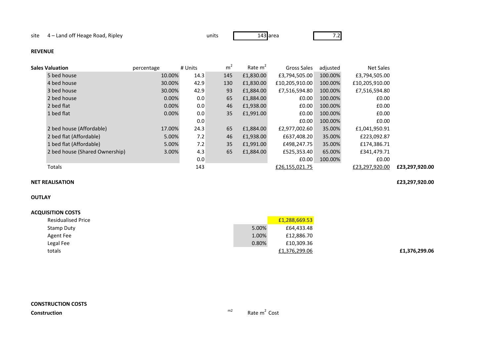y units 143

```
143 area 7.2
```
### **REVENUE**

| <b>Sales Valuation</b>         | percentage | # Units | m <sup>2</sup> | Rate $m2$ | Gross Sales    | adjusted | Net Sales      |                |
|--------------------------------|------------|---------|----------------|-----------|----------------|----------|----------------|----------------|
| 5 bed house                    | 10.00%     | 14.3    | 145            | £1,830.00 | £3,794,505.00  | 100.00%  | £3,794,505.00  |                |
| 4 bed house                    | 30.00%     | 42.9    | 130            | £1,830.00 | £10,205,910.00 | 100.00%  | £10,205,910.00 |                |
| 3 bed house                    | 30.00%     | 42.9    | 93             | £1,884.00 | £7,516,594.80  | 100.00%  | £7,516,594.80  |                |
| 2 bed house                    | $0.00\%$   | 0.0     | 65             | £1,884.00 | E0.00          | 100.00%  | £0.00          |                |
| 2 bed flat                     | 0.00%      | 0.0     | 46             | £1,938.00 | E0.00          | 100.00%  | £0.00          |                |
| 1 bed flat                     | $0.00\%$   | 0.0     | 35             | £1,991.00 | £0.00          | 100.00%  | £0.00          |                |
|                                |            | 0.0     |                |           | £0.00          | 100.00%  | £0.00          |                |
| 2 bed house (Affordable)       | 17.00%     | 24.3    | 65             | £1,884.00 | £2,977,002.60  | 35.00%   | £1,041,950.91  |                |
| 2 bed flat (Affordable)        | 5.00%      | 7.2     | 46             | £1,938.00 | £637,408.20    | 35.00%   | £223,092.87    |                |
| 1 bed flat (Affordable)        | 5.00%      | 7.2     | 35             | £1,991.00 | £498,247.75    | 35.00%   | £174,386.71    |                |
| 2 bed house (Shared Ownership) | 3.00%      | 4.3     | 65             | £1,884.00 | £525,353.40    | 65.00%   | £341,479.71    |                |
|                                |            | 0.0     |                |           | £0.00          | 100.00%  | £0.00          |                |
| Totals                         |            | 143     |                |           | £26,155,021.75 |          | £23,297,920.00 | £23,297,920.00 |

### **NET REALISATION£23,297,920.00**

# **OUTLAY**

| <b>Residualised Price</b> |       | £1,288,669.53 |
|---------------------------|-------|---------------|
| Stamp Duty                | 5.00% | £64,433.48    |
| Agent Fee                 | 1.00% | £12,886.70    |
| Legal Fee                 | 0.80% | £10,309.36    |
| totals                    |       | £1,376,299.06 |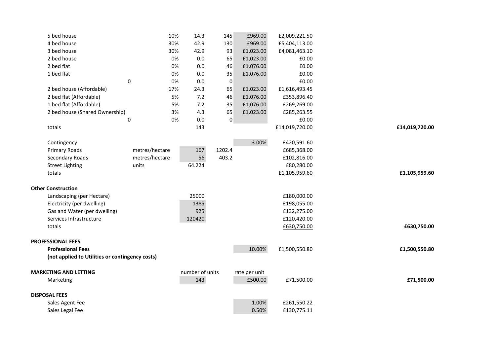| 5 bed house                                     | 10%             | 14.3            | 145       | £969.00       | £2,009,221.50  |                |
|-------------------------------------------------|-----------------|-----------------|-----------|---------------|----------------|----------------|
| 4 bed house                                     | 30%             | 42.9            | 130       | £969.00       | £5,404,113.00  |                |
| 3 bed house                                     | 30%             | 42.9            | 93        | £1,023.00     | £4,081,463.10  |                |
| 2 bed house                                     | 0%              | 0.0             | 65        | £1,023.00     | £0.00          |                |
| 2 bed flat                                      | 0%              | 0.0             | 46        | £1,076.00     | £0.00          |                |
| 1 bed flat                                      | 0%              | 0.0             | 35        | £1,076.00     | £0.00          |                |
|                                                 | $\pmb{0}$<br>0% | 0.0             | 0         |               | £0.00          |                |
| 2 bed house (Affordable)                        | 17%             | 24.3            | 65        | £1,023.00     | £1,616,493.45  |                |
| 2 bed flat (Affordable)                         | 5%              | 7.2             | 46        | £1,076.00     | £353,896.40    |                |
| 1 bed flat (Affordable)                         | 5%              | 7.2             | 35        | £1,076.00     | £269,269.00    |                |
| 2 bed house (Shared Ownership)                  | 3%              | 4.3             | 65        | £1,023.00     | £285,263.55    |                |
|                                                 | 0%<br>0         | 0.0             | $\pmb{0}$ |               | £0.00          |                |
| totals                                          |                 | 143             |           |               | £14,019,720.00 | £14,019,720.00 |
|                                                 |                 |                 |           |               |                |                |
| Contingency                                     |                 |                 |           | 3.00%         | £420,591.60    |                |
| Primary Roads                                   | metres/hectare  | 167             | 1202.4    |               | £685,368.00    |                |
| Secondary Roads                                 | metres/hectare  | 56              | 403.2     |               | £102,816.00    |                |
| <b>Street Lighting</b>                          | units           | 64.224          |           |               | £80,280.00     |                |
| totals                                          |                 |                 |           |               | £1,105,959.60  | £1,105,959.60  |
|                                                 |                 |                 |           |               |                |                |
| <b>Other Construction</b>                       |                 |                 |           |               |                |                |
| Landscaping (per Hectare)                       |                 | 25000           |           |               | £180,000.00    |                |
| Electricity (per dwelling)                      |                 | 1385            |           |               | £198,055.00    |                |
| Gas and Water (per dwelling)                    |                 | 925             |           |               | £132,275.00    |                |
| Services Infrastructure                         |                 | 120420          |           |               | £120,420.00    |                |
| totals                                          |                 |                 |           |               | £630,750.00    | £630,750.00    |
|                                                 |                 |                 |           |               |                |                |
| <b>PROFESSIONAL FEES</b>                        |                 |                 |           |               |                |                |
| <b>Professional Fees</b>                        |                 |                 |           | 10.00%        | £1,500,550.80  | £1,500,550.80  |
| (not applied to Utilities or contingency costs) |                 |                 |           |               |                |                |
| <b>MARKETING AND LETTING</b>                    |                 | number of units |           | rate per unit |                |                |
| Marketing                                       |                 | 143             |           | £500.00       | £71,500.00     | £71,500.00     |
|                                                 |                 |                 |           |               |                |                |
| <b>DISPOSAL FEES</b>                            |                 |                 |           |               |                |                |
| Sales Agent Fee                                 |                 |                 |           | 1.00%         | £261,550.22    |                |
| Sales Legal Fee                                 |                 |                 |           | 0.50%         | £130,775.11    |                |
|                                                 |                 |                 |           |               |                |                |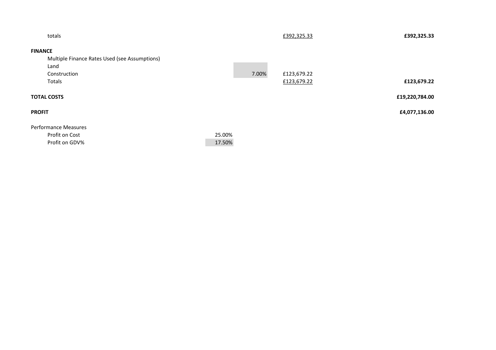| totals                                        |        |       | £392,325.33 | £392,325.33    |
|-----------------------------------------------|--------|-------|-------------|----------------|
| <b>FINANCE</b>                                |        |       |             |                |
| Multiple Finance Rates Used (see Assumptions) |        |       |             |                |
| Land                                          |        |       |             |                |
| Construction                                  |        | 7.00% | £123,679.22 |                |
| Totals                                        |        |       | £123,679.22 | £123,679.22    |
| <b>TOTAL COSTS</b>                            |        |       |             | £19,220,784.00 |
| <b>PROFIT</b>                                 |        |       |             | £4,077,136.00  |
| <b>Performance Measures</b>                   |        |       |             |                |
| Profit on Cost                                | 25.00% |       |             |                |
| Profit on GDV%                                | 17.50% |       |             |                |
|                                               |        |       |             |                |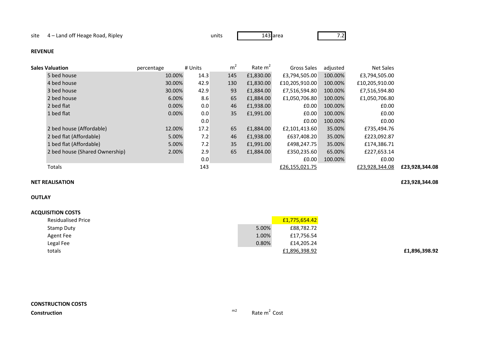site 4 – Land off Heage Road, Ripley

y units 143

143 area 7.2

### **REVENUE**

| <b>Sales Valuation</b>         | percentage | # Units | m <sup>2</sup> | Rate $m2$ | Gross Sales    | adjusted | Net Sales      |                |
|--------------------------------|------------|---------|----------------|-----------|----------------|----------|----------------|----------------|
| 5 bed house                    | 10.00%     | 14.3    | 145            | £1,830.00 | £3,794,505.00  | 100.00%  | £3,794,505.00  |                |
| 4 bed house                    | 30.00%     | 42.9    | 130            | £1,830.00 | £10,205,910.00 | 100.00%  | £10,205,910.00 |                |
| 3 bed house                    | 30.00%     | 42.9    | 93             | £1,884.00 | £7,516,594.80  | 100.00%  | £7,516,594.80  |                |
| 2 bed house                    | 6.00%      | 8.6     | 65             | £1,884.00 | £1,050,706.80  | 100.00%  | £1,050,706.80  |                |
| 2 bed flat                     | 0.00%      | 0.0     | 46             | £1,938.00 | £0.00          | 100.00%  | £0.00          |                |
| 1 bed flat                     | $0.00\%$   | 0.0     | 35             | £1,991.00 | £0.00          | 100.00%  | £0.00          |                |
|                                |            | 0.0     |                |           | £0.00          | 100.00%  | £0.00          |                |
| 2 bed house (Affordable)       | 12.00%     | 17.2    | 65             | £1,884.00 | £2,101,413.60  | 35.00%   | £735,494.76    |                |
| 2 bed flat (Affordable)        | 5.00%      | 7.2     | 46             | £1,938.00 | £637,408.20    | 35.00%   | £223,092.87    |                |
| 1 bed flat (Affordable)        | 5.00%      | 7.2     | 35             | £1,991.00 | £498,247.75    | 35.00%   | £174,386.71    |                |
| 2 bed house (Shared Ownership) | 2.00%      | 2.9     | 65             | £1,884.00 | £350,235.60    | 65.00%   | £227,653.14    |                |
|                                |            | 0.0     |                |           | £0.00          | 100.00%  | £0.00          |                |
| Totals                         |            | 143     |                |           | £26,155,021.75 |          | £23,928,344.08 | £23,928,344.08 |

### **NET REALISATION£23,928,344.08**

### **OUTLAY**

### **ACQUISITION COSTS**

| <b>Residualised Price</b> |       | £1,775,654.42 |
|---------------------------|-------|---------------|
| Stamp Duty                | 5.00% | £88,782.72    |
| Agent Fee                 | 1.00% | £17,756.54    |
| Legal Fee                 | 0.80% | £14,205.24    |
| totals                    |       | £1,896,398.92 |

### **£1,896,398.92**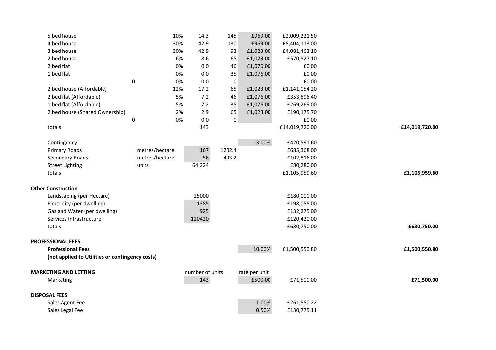| 5 bed house                                     |           | 10%            | 14.3            | 145         | £969.00       | £2,009,221.50  |                |
|-------------------------------------------------|-----------|----------------|-----------------|-------------|---------------|----------------|----------------|
| 4 bed house                                     |           | 30%            | 42.9            | 130         | £969.00       | £5,404,113.00  |                |
| 3 bed house                                     |           | 30%            | 42.9            | 93          | £1,023.00     | £4,081,463.10  |                |
| 2 bed house                                     |           | 6%             | 8.6             | 65          | £1,023.00     | £570,527.10    |                |
| 2 bed flat                                      |           | 0%             | 0.0             | 46          | £1,076.00     | £0.00          |                |
| 1 bed flat                                      |           | 0%             | $0.0\,$         | 35          | £1,076.00     | £0.00          |                |
|                                                 | $\pmb{0}$ | 0%             | 0.0             | 0           |               | £0.00          |                |
| 2 bed house (Affordable)                        |           | 12%            | 17.2            | 65          | £1,023.00     | £1,141,054.20  |                |
| 2 bed flat (Affordable)                         |           | 5%             | 7.2             | 46          | £1,076.00     | £353,896.40    |                |
| 1 bed flat (Affordable)                         |           | 5%             | 7.2             | 35          | £1,076.00     | £269,269.00    |                |
| 2 bed house (Shared Ownership)                  |           | 2%             | 2.9             | 65          | £1,023.00     | £190,175.70    |                |
|                                                 | $\pmb{0}$ | 0%             | $0.0\,$         | $\mathbf 0$ |               | £0.00          |                |
| totals                                          |           |                | 143             |             |               | £14,019,720.00 | £14,019,720.00 |
|                                                 |           |                |                 |             |               |                |                |
| Contingency                                     |           |                |                 |             | 3.00%         | £420,591.60    |                |
| <b>Primary Roads</b>                            |           | metres/hectare | 167             | 1202.4      |               | £685,368.00    |                |
| Secondary Roads                                 |           | metres/hectare | 56              | 403.2       |               | £102,816.00    |                |
| <b>Street Lighting</b>                          |           | units          | 64.224          |             |               | £80,280.00     |                |
| totals                                          |           |                |                 |             |               | £1,105,959.60  | £1,105,959.60  |
|                                                 |           |                |                 |             |               |                |                |
| <b>Other Construction</b>                       |           |                |                 |             |               |                |                |
| Landscaping (per Hectare)                       |           |                | 25000           |             |               | £180,000.00    |                |
| Electricity (per dwelling)                      |           |                | 1385            |             |               | £198,055.00    |                |
| Gas and Water (per dwelling)                    |           |                | 925             |             |               | £132,275.00    |                |
| Services Infrastructure                         |           |                | 120420          |             |               | £120,420.00    |                |
| totals                                          |           |                |                 |             |               | £630,750.00    | £630,750.00    |
|                                                 |           |                |                 |             |               |                |                |
| <b>PROFESSIONAL FEES</b>                        |           |                |                 |             |               |                |                |
| <b>Professional Fees</b>                        |           |                |                 |             | 10.00%        | £1,500,550.80  | £1,500,550.80  |
| (not applied to Utilities or contingency costs) |           |                |                 |             |               |                |                |
| <b>MARKETING AND LETTING</b>                    |           |                | number of units |             | rate per unit |                |                |
| Marketing                                       |           |                | 143             |             | £500.00       | £71,500.00     | £71,500.00     |
|                                                 |           |                |                 |             |               |                |                |
| <b>DISPOSAL FEES</b>                            |           |                |                 |             |               |                |                |
| Sales Agent Fee                                 |           |                |                 |             | 1.00%         | £261,550.22    |                |
| Sales Legal Fee                                 |           |                |                 |             | 0.50%         | £130,775.11    |                |
|                                                 |           |                |                 |             |               |                |                |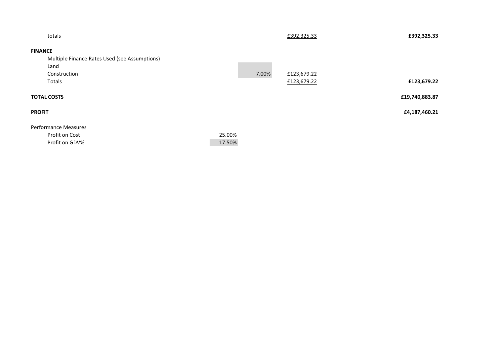|        |       | £392,325.33 | £392,325.33    |
|--------|-------|-------------|----------------|
|        |       |             |                |
|        |       |             |                |
|        |       |             |                |
|        | 7.00% | £123,679.22 |                |
|        |       | £123,679.22 | £123,679.22    |
|        |       |             | £19,740,883.87 |
|        |       |             | £4,187,460.21  |
|        |       |             |                |
| 25.00% |       |             |                |
| 17.50% |       |             |                |
|        |       |             |                |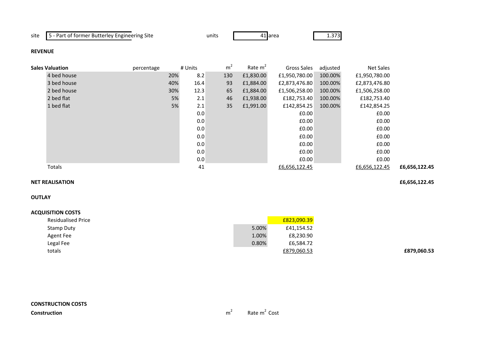# site 5 - Part of former Butterley Engineering Site

e units 41

41 area 1.373

# **REVENUE**

| <b>Sales Valuation</b> | percentage |     | # Units | m <sup>2</sup> | Rate $m2$ | Gross Sales   | adjusted | Net Sales     |               |
|------------------------|------------|-----|---------|----------------|-----------|---------------|----------|---------------|---------------|
| 4 bed house            |            | 20% | 8.2     | 130            | £1,830.00 | £1,950,780.00 | 100.00%  | £1,950,780.00 |               |
| 3 bed house            |            | 40% | 16.4    | 93             | £1,884.00 | £2,873,476.80 | 100.00%  | £2,873,476.80 |               |
| 2 bed house            |            | 30% | 12.3    | 65             | £1,884.00 | £1,506,258.00 | 100.00%  | £1,506,258.00 |               |
| 2 bed flat             |            | 5%  | 2.1     | 46             | £1,938.00 | £182,753.40   | 100.00%  | £182,753.40   |               |
| 1 bed flat             |            | 5%  | 2.1     | 35             | £1,991.00 | £142,854.25   | 100.00%  | £142,854.25   |               |
|                        |            |     | 0.0     |                |           | £0.00         |          | £0.00         |               |
|                        |            |     | 0.0     |                |           | £0.00         |          | £0.00         |               |
|                        |            |     | 0.0     |                |           | £0.00         |          | £0.00         |               |
|                        |            |     | 0.0     |                |           | £0.00         |          | £0.00         |               |
|                        |            |     | 0.0     |                |           | £0.00         |          | £0.00         |               |
|                        |            |     | 0.0     |                |           | £0.00         |          | £0.00         |               |
|                        |            |     | 0.0     |                |           | £0.00         |          | £0.00         |               |
| Totals                 |            |     | 41      |                |           | £6,656,122.45 |          | £6,656,122.45 | £6,656,122.45 |

### **NET REALISATION£6,656,122.45**

**OUTLAY**

| <b>Residualised Price</b> |       | £823,090.39 |
|---------------------------|-------|-------------|
| Stamp Duty                | 5.00% | £41,154.52  |
| Agent Fee                 | 1.00% | £8,230.90   |
| Legal Fee                 | 0.80% | £6,584.72   |
| totals                    |       | £879,060.53 |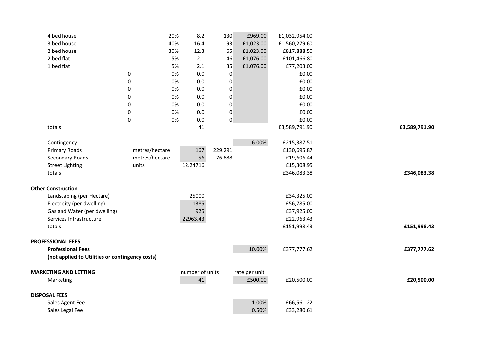| 4 bed house                                     |                | 20%<br>8.2      | 130              | £969.00       | £1,032,954.00 |               |
|-------------------------------------------------|----------------|-----------------|------------------|---------------|---------------|---------------|
| 3 bed house                                     |                | 16.4<br>40%     | 93               | £1,023.00     | £1,560,279.60 |               |
| 2 bed house                                     |                | 12.3<br>30%     | 65               | £1,023.00     | £817,888.50   |               |
| 2 bed flat                                      |                | 5%<br>2.1       | 46               | £1,076.00     | £101,466.80   |               |
| 1 bed flat                                      |                | 2.1<br>5%       | 35               | £1,076.00     | £77,203.00    |               |
|                                                 | $\pmb{0}$      | 0%<br>0.0       | $\pmb{0}$        |               | £0.00         |               |
|                                                 | 0              | 0.0<br>0%       | $\pmb{0}$        |               | £0.00         |               |
|                                                 | 0              | 0%<br>0.0       | $\pmb{0}$        |               | £0.00         |               |
|                                                 | 0              | 0%<br>0.0       | $\boldsymbol{0}$ |               | £0.00         |               |
|                                                 | 0              | 0%<br>0.0       | $\pmb{0}$        |               | £0.00         |               |
|                                                 | $\pmb{0}$      | 0%<br>0.0       | $\pmb{0}$        |               | £0.00         |               |
|                                                 | $\pmb{0}$      | 0%<br>0.0       | $\pmb{0}$        |               | £0.00         |               |
| totals                                          |                | 41              |                  |               | £3,589,791.90 | £3,589,791.90 |
|                                                 |                |                 |                  |               |               |               |
| Contingency                                     |                |                 |                  | 6.00%         | £215,387.51   |               |
| Primary Roads                                   | metres/hectare | 167             | 229.291          |               | £130,695.87   |               |
| Secondary Roads                                 | metres/hectare | 56              | 76.888           |               | £19,606.44    |               |
| <b>Street Lighting</b>                          | units          | 12.24716        |                  |               | £15,308.95    |               |
| totals                                          |                |                 |                  |               | £346,083.38   | £346,083.38   |
|                                                 |                |                 |                  |               |               |               |
| <b>Other Construction</b>                       |                |                 |                  |               |               |               |
| Landscaping (per Hectare)                       |                | 25000           |                  |               | £34,325.00    |               |
| Electricity (per dwelling)                      |                | 1385            |                  |               | £56,785.00    |               |
| Gas and Water (per dwelling)                    |                | 925             |                  |               | £37,925.00    |               |
| Services Infrastructure                         |                | 22963.43        |                  |               | £22,963.43    |               |
| totals                                          |                |                 |                  |               | £151,998.43   | £151,998.43   |
|                                                 |                |                 |                  |               |               |               |
| <b>PROFESSIONAL FEES</b>                        |                |                 |                  |               |               |               |
| <b>Professional Fees</b>                        |                |                 |                  | 10.00%        | £377,777.62   | £377,777.62   |
| (not applied to Utilities or contingency costs) |                |                 |                  |               |               |               |
|                                                 |                |                 |                  |               |               |               |
| <b>MARKETING AND LETTING</b>                    |                | number of units |                  | rate per unit |               |               |
| Marketing                                       |                | 41              |                  | £500.00       | £20,500.00    | £20,500.00    |
| <b>DISPOSAL FEES</b>                            |                |                 |                  |               |               |               |
| Sales Agent Fee                                 |                |                 |                  | 1.00%         | £66,561.22    |               |
| Sales Legal Fee                                 |                |                 |                  | 0.50%         | £33,280.61    |               |
|                                                 |                |                 |                  |               |               |               |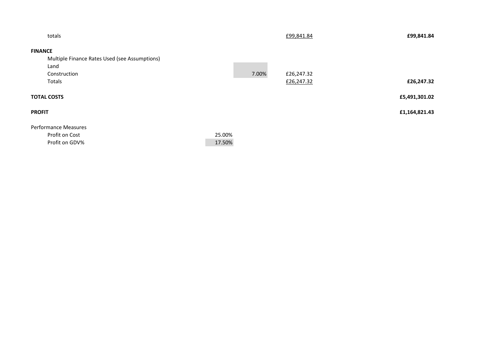| totals                                        |        |       | £99,841.84 | £99,841.84    |
|-----------------------------------------------|--------|-------|------------|---------------|
| <b>FINANCE</b>                                |        |       |            |               |
| Multiple Finance Rates Used (see Assumptions) |        |       |            |               |
| Land                                          |        |       |            |               |
| Construction                                  |        | 7.00% | £26,247.32 |               |
| Totals                                        |        |       | £26,247.32 | £26,247.32    |
| <b>TOTAL COSTS</b>                            |        |       |            | £5,491,301.02 |
| <b>PROFIT</b>                                 |        |       |            | £1,164,821.43 |
| <b>Performance Measures</b>                   |        |       |            |               |
| Profit on Cost                                | 25.00% |       |            |               |
| Profit on GDV%                                | 17.50% |       |            |               |
|                                               |        |       |            |               |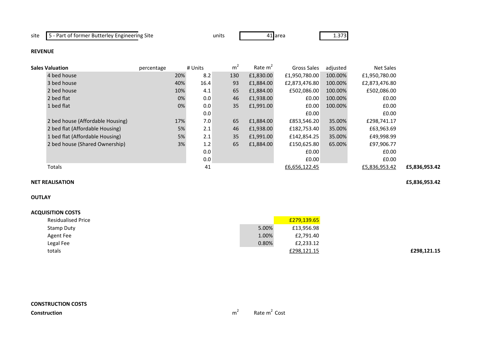# site 5 - Part of former Butterley Engineering Site

e units 41

41 area 1.373

### **REVENUE**

| Sales Valuation                  | percentage | # Units | m <sup>2</sup> | Rate $m2$ | Gross Sales   | adjusted | Net Sales     |               |
|----------------------------------|------------|---------|----------------|-----------|---------------|----------|---------------|---------------|
| 4 bed house                      | 20%        | 8.2     | 130            | £1,830.00 | £1,950,780.00 | 100.00%  | £1,950,780.00 |               |
| 3 bed house                      | 40%        | 16.4    | 93             | £1,884.00 | £2,873,476.80 | 100.00%  | £2,873,476.80 |               |
| 2 bed house                      | 10%        | 4.1     | 65             | £1,884.00 | £502,086.00   | 100.00%  | £502,086.00   |               |
| 2 bed flat                       | 0%         | 0.0     | 46             | £1,938.00 | E0.00         | 100.00%  | £0.00         |               |
| 1 bed flat                       | 0%         | 0.0     | 35             | £1,991.00 | £0.00         | 100.00%  | £0.00         |               |
|                                  |            | 0.0     |                |           | E0.00         |          | £0.00         |               |
| 2 bed house (Affordable Housing) | 17%        | 7.0     | 65             | £1,884.00 | £853,546.20   | 35.00%   | £298,741.17   |               |
| 2 bed flat (Affordable Housing)  | 5%         | 2.1     | 46             | £1,938.00 | £182,753.40   | 35.00%   | £63,963.69    |               |
| 1 bed flat (Affordable Housing)  | 5%         | 2.1     | 35             | £1.991.00 | £142,854.25   | 35.00%   | £49,998.99    |               |
| 2 bed house (Shared Ownership)   | 3%         | 1.2     | 65             | £1,884.00 | £150,625.80   | 65.00%   | £97,906.77    |               |
|                                  |            | 0.0     |                |           | E0.00         |          | £0.00         |               |
|                                  |            | 0.0     |                |           | £0.00         |          | £0.00         |               |
| Totals                           |            | 41      |                |           | £6,656,122.45 |          | £5,836,953.42 | £5,836,953.42 |
|                                  |            |         |                |           |               |          |               |               |

### **NET REALISATION£5,836,953.42**

# **OUTLAY**

| <b>ACQUISITION COSTS</b>  |       |             |
|---------------------------|-------|-------------|
| <b>Residualised Price</b> |       | £279,139.65 |
| Stamp Duty                | 5.00% | £13,956.98  |
| Agent Fee                 | 1.00% | £2,791.40   |
| Legal Fee                 | 0.80% | £2,233.12   |
| totals                    |       | £298,121.15 |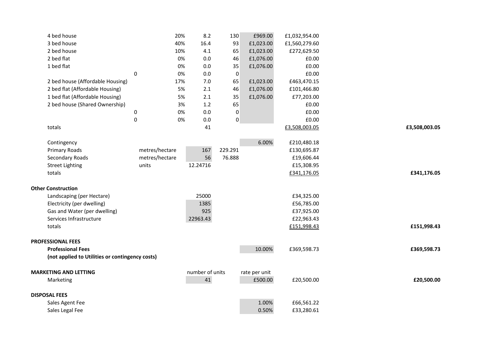| 3 bed house<br>40%<br>16.4<br>93<br>£1,023.00<br>£1,560,279.60<br>2 bed house<br>10%<br>4.1<br>65<br>£1,023.00<br>£272,629.50<br>2 bed flat<br>£1,076.00<br>0%<br>0.0<br>46<br>£0.00<br>1 bed flat<br>0%<br>0.0<br>35<br>£1,076.00<br>£0.00<br>$\pmb{0}$<br>0%<br>0.0<br>£0.00<br>$\pmb{0}$<br>2 bed house (Affordable Housing)<br>17%<br>7.0<br>65<br>£1,023.00<br>£463,470.15 |               |
|---------------------------------------------------------------------------------------------------------------------------------------------------------------------------------------------------------------------------------------------------------------------------------------------------------------------------------------------------------------------------------|---------------|
|                                                                                                                                                                                                                                                                                                                                                                                 |               |
|                                                                                                                                                                                                                                                                                                                                                                                 |               |
|                                                                                                                                                                                                                                                                                                                                                                                 |               |
|                                                                                                                                                                                                                                                                                                                                                                                 |               |
|                                                                                                                                                                                                                                                                                                                                                                                 |               |
|                                                                                                                                                                                                                                                                                                                                                                                 |               |
| 2 bed flat (Affordable Housing)<br>5%<br>£1,076.00<br>2.1<br>£101,466.80<br>46                                                                                                                                                                                                                                                                                                  |               |
| 1 bed flat (Affordable Housing)<br>5%<br>2.1<br>35<br>£1,076.00<br>£77,203.00                                                                                                                                                                                                                                                                                                   |               |
| 2 bed house (Shared Ownership)<br>65<br>3%<br>1.2<br>£0.00                                                                                                                                                                                                                                                                                                                      |               |
| 0%<br>0.0<br>$\pmb{0}$<br>£0.00<br>0                                                                                                                                                                                                                                                                                                                                            |               |
| $\pmb{0}$<br>$\pmb{0}$<br>0%<br>0.0<br>£0.00                                                                                                                                                                                                                                                                                                                                    |               |
| totals<br>41<br>£3,508,003.05                                                                                                                                                                                                                                                                                                                                                   | £3,508,003.05 |
|                                                                                                                                                                                                                                                                                                                                                                                 |               |
| 6.00%<br>£210,480.18<br>Contingency                                                                                                                                                                                                                                                                                                                                             |               |
| 229.291<br><b>Primary Roads</b><br>metres/hectare<br>£130,695.87<br>167                                                                                                                                                                                                                                                                                                         |               |
| metres/hectare<br>56<br>Secondary Roads<br>76.888<br>£19,606.44                                                                                                                                                                                                                                                                                                                 |               |
| £15,308.95<br><b>Street Lighting</b><br>units<br>12.24716                                                                                                                                                                                                                                                                                                                       |               |
| totals<br>£341,176.05                                                                                                                                                                                                                                                                                                                                                           | £341,176.05   |
|                                                                                                                                                                                                                                                                                                                                                                                 |               |
| <b>Other Construction</b>                                                                                                                                                                                                                                                                                                                                                       |               |
| Landscaping (per Hectare)<br>25000<br>£34,325.00                                                                                                                                                                                                                                                                                                                                |               |
| Electricity (per dwelling)<br>1385<br>£56,785.00                                                                                                                                                                                                                                                                                                                                |               |
| 925<br>Gas and Water (per dwelling)<br>£37,925.00                                                                                                                                                                                                                                                                                                                               |               |
| Services Infrastructure<br>£22,963.43<br>22963.43                                                                                                                                                                                                                                                                                                                               |               |
| totals<br>£151,998.43                                                                                                                                                                                                                                                                                                                                                           | £151,998.43   |
| <b>PROFESSIONAL FEES</b>                                                                                                                                                                                                                                                                                                                                                        |               |
| <b>Professional Fees</b><br>10.00%<br>£369,598.73                                                                                                                                                                                                                                                                                                                               | £369,598.73   |
| (not applied to Utilities or contingency costs)                                                                                                                                                                                                                                                                                                                                 |               |
|                                                                                                                                                                                                                                                                                                                                                                                 |               |
| number of units<br><b>MARKETING AND LETTING</b><br>rate per unit                                                                                                                                                                                                                                                                                                                |               |
| 41<br>£500.00<br>£20,500.00<br>Marketing                                                                                                                                                                                                                                                                                                                                        | £20,500.00    |
|                                                                                                                                                                                                                                                                                                                                                                                 |               |
| <b>DISPOSAL FEES</b>                                                                                                                                                                                                                                                                                                                                                            |               |
| 1.00%<br>£66,561.22<br>Sales Agent Fee                                                                                                                                                                                                                                                                                                                                          |               |
| 0.50%<br>Sales Legal Fee<br>£33,280.61                                                                                                                                                                                                                                                                                                                                          |               |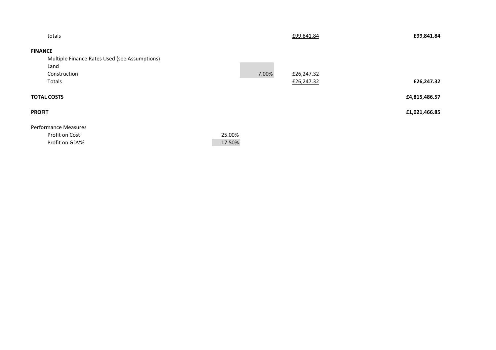|        |       | £99,841.84 | £99,841.84    |
|--------|-------|------------|---------------|
|        |       |            |               |
|        |       |            |               |
|        |       |            |               |
|        | 7.00% | £26,247.32 |               |
|        |       | £26,247.32 | £26,247.32    |
|        |       |            | £4,815,486.57 |
|        |       |            | £1,021,466.85 |
|        |       |            |               |
| 25.00% |       |            |               |
| 17.50% |       |            |               |
|        |       |            |               |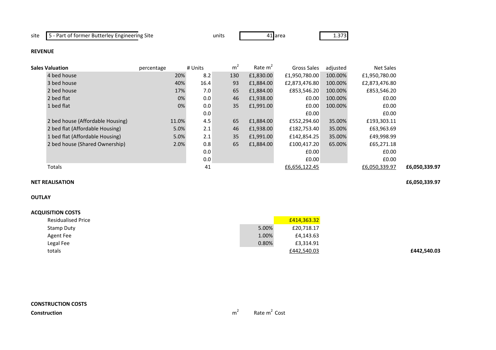# site 5 - Part of former Butterley Engineering Site

e units 41

41 area 1.373

### **REVENUE**

| Sales Valuation                  | percentage | # Units | m <sup>2</sup> | Rate m <sup>2</sup> | Gross Sales   | adjusted | Net Sales     |               |
|----------------------------------|------------|---------|----------------|---------------------|---------------|----------|---------------|---------------|
| 4 bed house                      | 20%        | 8.2     | 130            | £1,830.00           | £1,950,780.00 | 100.00%  | £1,950,780.00 |               |
| 3 bed house                      | 40%        | 16.4    | 93             | £1,884.00           | £2,873,476.80 | 100.00%  | £2,873,476.80 |               |
| 2 bed house                      | 17%        | 7.0     | 65             | £1,884.00           | £853,546.20   | 100.00%  | £853,546.20   |               |
| 2 bed flat                       | 0%         | 0.0     | 46             | £1,938.00           | E0.00         | 100.00%  | £0.00         |               |
| 1 bed flat                       | 0%         | 0.0     | 35             | £1,991.00           | E0.00         | 100.00%  | £0.00         |               |
|                                  |            | 0.0     |                |                     | E0.00         |          | £0.00         |               |
| 2 bed house (Affordable Housing) | 11.0%      | 4.5     | 65             | £1,884.00           | £552,294.60   | 35.00%   | £193,303.11   |               |
| 2 bed flat (Affordable Housing)  | 5.0%       | 2.1     | 46             | £1.938.00           | £182,753.40   | 35.00%   | £63,963.69    |               |
| 1 bed flat (Affordable Housing)  | 5.0%       | 2.1     | 35             | £1,991.00           | £142,854.25   | 35.00%   | £49,998.99    |               |
| 2 bed house (Shared Ownership)   | 2.0%       | 0.8     | 65             | £1,884.00           | £100,417.20   | 65.00%   | £65,271.18    |               |
|                                  |            | 0.0     |                |                     | E0.00         |          | £0.00         |               |
|                                  |            | 0.0     |                |                     | £0.00         |          | £0.00         |               |
| Totals                           |            | 41      |                |                     | £6,656,122.45 |          | £6,050,339.97 | £6,050,339.97 |
|                                  |            |         |                |                     |               |          |               |               |

# **NET REALISATION**

# **OUTLAY**

#### **ACQUISITION COSTS** Residualised Price £414,363.32%  $£20,718.17$ Stamp Duty $y = 5.00\%$ Agent Fee $e$  and  $1.00\%$  £4,143.63 Legal Fee $e$  0.80% £3,314.91<br>£442,540.03 totalss and the state of the state of the state of the state of the state of the state of the state of the state of the state of the state of the state of the state of the state of the state of the state of the state of the sta

**£6,050,339.97**

**£442,540.03**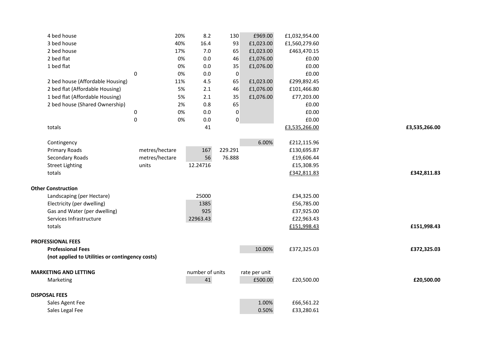| 4 bed house                                     |                  | 20%            | 8.2             | 130       | £969.00       | £1,032,954.00 |               |
|-------------------------------------------------|------------------|----------------|-----------------|-----------|---------------|---------------|---------------|
| 3 bed house                                     |                  | 40%            | 16.4            | 93        | £1,023.00     | £1,560,279.60 |               |
| 2 bed house                                     |                  | 17%            | 7.0             | 65        | £1,023.00     | £463,470.15   |               |
| 2 bed flat                                      |                  | 0%             | 0.0             | 46        | £1,076.00     | £0.00         |               |
| 1 bed flat                                      |                  | 0%             | 0.0             | 35        | £1,076.00     | £0.00         |               |
|                                                 | $\pmb{0}$        | 0%             | 0.0             | $\pmb{0}$ |               | £0.00         |               |
| 2 bed house (Affordable Housing)                |                  | 11%            | 4.5             | 65        | £1,023.00     | £299,892.45   |               |
| 2 bed flat (Affordable Housing)                 |                  | 5%             | 2.1             | 46        | £1,076.00     | £101,466.80   |               |
| 1 bed flat (Affordable Housing)                 |                  | 5%             | 2.1             | 35        | £1,076.00     | £77,203.00    |               |
| 2 bed house (Shared Ownership)                  |                  | 2%             | 0.8             | 65        |               | £0.00         |               |
|                                                 | $\pmb{0}$        | 0%             | 0.0             | 0         |               | £0.00         |               |
|                                                 | $\boldsymbol{0}$ | 0%             | 0.0             | $\pmb{0}$ |               | £0.00         |               |
| totals                                          |                  |                | 41              |           |               | £3,535,266.00 | £3,535,266.00 |
| Contingency                                     |                  |                |                 |           | 6.00%         | £212,115.96   |               |
| <b>Primary Roads</b>                            |                  | metres/hectare | 167             | 229.291   |               | £130,695.87   |               |
| Secondary Roads                                 |                  | metres/hectare | 56              | 76.888    |               | £19,606.44    |               |
| <b>Street Lighting</b>                          | units            |                | 12.24716        |           |               | £15,308.95    |               |
| totals                                          |                  |                |                 |           |               | £342,811.83   | £342,811.83   |
| <b>Other Construction</b>                       |                  |                |                 |           |               |               |               |
| Landscaping (per Hectare)                       |                  |                | 25000           |           |               | £34,325.00    |               |
| Electricity (per dwelling)                      |                  |                | 1385            |           |               | £56,785.00    |               |
| Gas and Water (per dwelling)                    |                  |                | 925             |           |               | £37,925.00    |               |
| Services Infrastructure                         |                  |                | 22963.43        |           |               | £22,963.43    |               |
| totals                                          |                  |                |                 |           |               | £151,998.43   | £151,998.43   |
| <b>PROFESSIONAL FEES</b>                        |                  |                |                 |           |               |               |               |
| <b>Professional Fees</b>                        |                  |                |                 |           | 10.00%        | £372,325.03   | £372,325.03   |
| (not applied to Utilities or contingency costs) |                  |                |                 |           |               |               |               |
| <b>MARKETING AND LETTING</b>                    |                  |                | number of units |           | rate per unit |               |               |
| Marketing                                       |                  |                | 41              |           | £500.00       | £20,500.00    | £20,500.00    |
| <b>DISPOSAL FEES</b>                            |                  |                |                 |           |               |               |               |
| Sales Agent Fee                                 |                  |                |                 |           | 1.00%         | £66,561.22    |               |
| Sales Legal Fee                                 |                  |                |                 |           | 0.50%         | £33,280.61    |               |
|                                                 |                  |                |                 |           |               |               |               |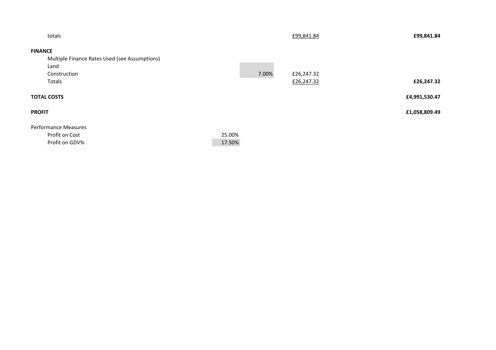| totals                                        |        |       | £99,841.84 | £99,841.84    |
|-----------------------------------------------|--------|-------|------------|---------------|
| <b>FINANCE</b>                                |        |       |            |               |
| Multiple Finance Rates Used (see Assumptions) |        |       |            |               |
| Land                                          |        |       |            |               |
| Construction                                  |        | 7.00% | £26,247.32 |               |
| Totals                                        |        |       | £26,247.32 | £26,247.32    |
| <b>TOTAL COSTS</b>                            |        |       |            | £4,991,530.47 |
| <b>PROFIT</b>                                 |        |       |            | £1,058,809.49 |
| <b>Performance Measures</b><br>Profit on Cost | 25.00% |       |            |               |
| Profit on GDV%                                | 17.50% |       |            |               |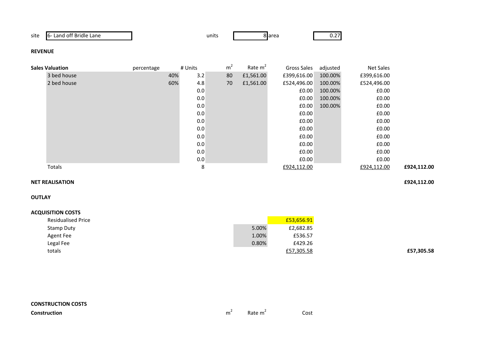| . .<br>site | .<br>Lane<br>ntt<br>∟and<br>Bridle<br>-61 | units | 8 area | —∪.∠ |
|-------------|-------------------------------------------|-------|--------|------|
|-------------|-------------------------------------------|-------|--------|------|

### **REVENUE**

| <b>Sales Valuation</b> | percentage | # Units    | m <sup>2</sup> | Rate $m2$ | Gross Sales | adjusted | Net Sales   |             |
|------------------------|------------|------------|----------------|-----------|-------------|----------|-------------|-------------|
| 3 bed house            |            | 3.2<br>40% | 80             | £1,561.00 | £399,616.00 | 100.00%  | £399,616.00 |             |
| 2 bed house            |            | 60%<br>4.8 | 70             | £1,561.00 | £524,496.00 | 100.00%  | £524,496.00 |             |
|                        |            | 0.0        |                |           | £0.00       | 100.00%  | £0.00       |             |
|                        |            | 0.0        |                |           | E0.00       | 100.00%  | £0.00       |             |
|                        |            | 0.0        |                |           | £0.00       | 100.00%  | £0.00       |             |
|                        |            | 0.0        |                |           | £0.00       |          | £0.00       |             |
|                        |            | 0.0        |                |           | £0.00       |          | £0.00       |             |
|                        |            | 0.0        |                |           | £0.00       |          | £0.00       |             |
|                        |            | 0.0        |                |           | £0.00       |          | £0.00       |             |
|                        |            | 0.0        |                |           | £0.00       |          | £0.00       |             |
|                        |            | 0.0        |                |           | £0.00       |          | £0.00       |             |
|                        |            | 0.0        |                |           | £0.00       |          | £0.00       |             |
| Totals                 |            | 8          |                |           | £924,112.00 |          | £924,112.00 | £924,112.00 |

### **NET REALISATION£924,112.00**

**OUTLAY**

# **ACQUISITION COSTS**

| <b>Residualised Price</b> |       | £53,656.91 |            |
|---------------------------|-------|------------|------------|
| Stamp Duty                | 5.00% | £2,682.85  |            |
| Agent Fee                 | 1.00% | £536.57    |            |
| Legal Fee                 | 0.80% | £429.26    |            |
| totals                    |       | £57,305.58 | £57,305.58 |

**Construction**

 $m^2$  Rate  $m^2$  Cost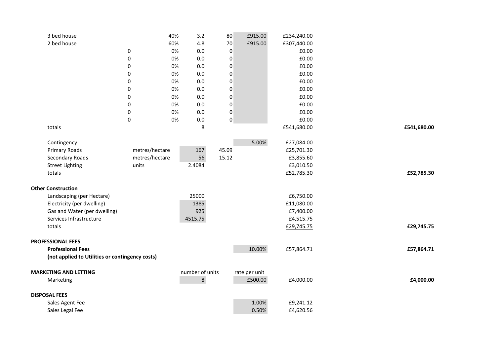| 3 bed house                                     |                                  | 40%<br>3.2      | 80               | £915.00       | £234,240.00             |             |
|-------------------------------------------------|----------------------------------|-----------------|------------------|---------------|-------------------------|-------------|
| 2 bed house                                     |                                  | 4.8<br>60%      | 70               | £915.00       | £307,440.00             |             |
|                                                 | $\pmb{0}$                        | $0.0\,$<br>0%   | $\pmb{0}$        |               | £0.00                   |             |
|                                                 | 0                                | 0%<br>0.0       | 0                |               | £0.00                   |             |
|                                                 | 0                                | $0.0\,$<br>0%   | $\boldsymbol{0}$ |               | £0.00                   |             |
|                                                 | 0                                | 0%<br>0.0       | $\boldsymbol{0}$ |               | £0.00                   |             |
|                                                 | 0                                | 0.0<br>0%       | $\boldsymbol{0}$ |               | £0.00                   |             |
|                                                 | 0                                | 0%<br>0.0       | $\boldsymbol{0}$ |               | £0.00                   |             |
|                                                 | 0                                | 0.0<br>0%       | 0                |               | £0.00                   |             |
|                                                 | 0                                | 0%<br>0.0       | $\boldsymbol{0}$ |               | £0.00                   |             |
|                                                 | 0                                | 0%<br>0.0       | 0                |               | £0.00                   |             |
|                                                 | $\pmb{0}$                        | 0%<br>$0.0\,$   | 0                |               | £0.00                   |             |
| totals                                          |                                  | 8               |                  |               | £541,680.00             | £541,680.00 |
|                                                 |                                  |                 |                  |               |                         |             |
| Contingency                                     |                                  |                 | 45.09            | 5.00%         | £27,084.00              |             |
| <b>Primary Roads</b>                            | metres/hectare<br>metres/hectare | 167<br>56       | 15.12            |               | £25,701.30<br>£3,855.60 |             |
| Secondary Roads                                 |                                  |                 |                  |               |                         |             |
| <b>Street Lighting</b><br>totals                | units                            | 2.4084          |                  |               | £3,010.50               | £52,785.30  |
|                                                 |                                  |                 |                  |               | £52,785.30              |             |
| <b>Other Construction</b>                       |                                  |                 |                  |               |                         |             |
| Landscaping (per Hectare)                       |                                  | 25000           |                  |               | £6,750.00               |             |
| Electricity (per dwelling)                      |                                  | 1385            |                  |               | £11,080.00              |             |
| Gas and Water (per dwelling)                    |                                  | 925             |                  |               | £7,400.00               |             |
| Services Infrastructure                         |                                  | 4515.75         |                  |               | £4,515.75               |             |
| totals                                          |                                  |                 |                  |               | £29,745.75              | £29,745.75  |
|                                                 |                                  |                 |                  |               |                         |             |
| <b>PROFESSIONAL FEES</b>                        |                                  |                 |                  |               |                         |             |
| <b>Professional Fees</b>                        |                                  |                 |                  | 10.00%        | £57,864.71              | £57,864.71  |
| (not applied to Utilities or contingency costs) |                                  |                 |                  |               |                         |             |
| <b>MARKETING AND LETTING</b>                    |                                  | number of units |                  | rate per unit |                         |             |
|                                                 |                                  | 8               |                  | £500.00       | £4,000.00               | £4,000.00   |
| Marketing                                       |                                  |                 |                  |               |                         |             |
| <b>DISPOSAL FEES</b>                            |                                  |                 |                  |               |                         |             |
| Sales Agent Fee                                 |                                  |                 |                  | 1.00%         | £9,241.12               |             |
| Sales Legal Fee                                 |                                  |                 |                  | 0.50%         | £4,620.56               |             |
|                                                 |                                  |                 |                  |               |                         |             |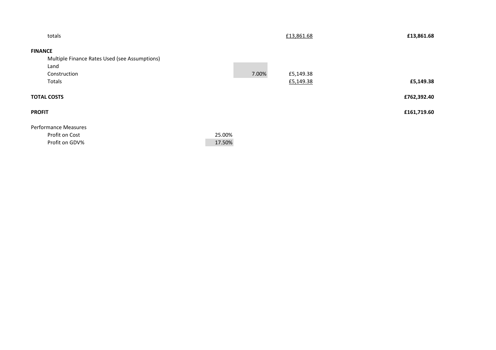| totals                                        |        |       | £13,861.68 | £13,861.68  |
|-----------------------------------------------|--------|-------|------------|-------------|
| <b>FINANCE</b>                                |        |       |            |             |
| Multiple Finance Rates Used (see Assumptions) |        |       |            |             |
| Land                                          |        |       |            |             |
| Construction                                  |        | 7.00% | £5,149.38  |             |
| Totals                                        |        |       | £5,149.38  | £5,149.38   |
| <b>TOTAL COSTS</b>                            |        |       |            | £762,392.40 |
| <b>PROFIT</b>                                 |        |       |            | £161,719.60 |
| <b>Performance Measures</b>                   |        |       |            |             |
| Profit on Cost                                | 25.00% |       |            |             |
| Profit on GDV%                                | 17.50% |       |            |             |
|                                               |        |       |            |             |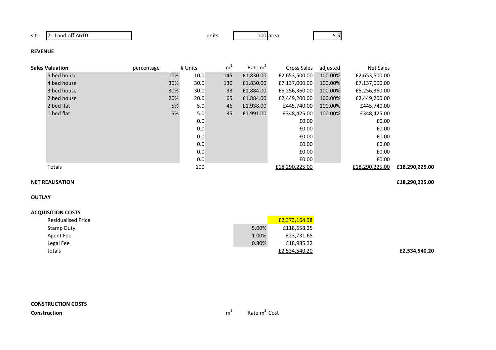site 7 - Land off A610

0 **100** area 5.5

### **REVENUE**

| <b>Sales Valuation</b> | percentage |     | # Units | m <sup>2</sup> | Rate $m2$ | Gross Sales    | adjusted | Net Sales      |                |
|------------------------|------------|-----|---------|----------------|-----------|----------------|----------|----------------|----------------|
| 5 bed house            |            | 10% | 10.0    | 145            | £1,830.00 | £2,653,500.00  | 100.00%  | £2,653,500.00  |                |
| 4 bed house            |            | 30% | 30.0    | 130            | £1,830.00 | £7,137,000.00  | 100.00%  | £7,137,000.00  |                |
| 3 bed house            |            | 30% | 30.0    | 93             | £1,884.00 | £5,256,360.00  | 100.00%  | £5,256,360.00  |                |
| 2 bed house            |            | 20% | 20.0    | 65             | £1,884.00 | £2,449,200.00  | 100.00%  | £2,449,200.00  |                |
| 2 bed flat             |            | 5%  | 5.0     | 46             | £1,938.00 | £445,740.00    | 100.00%  | £445,740.00    |                |
| 1 bed flat             |            | 5%  | 5.0     | 35             | £1,991.00 | £348,425.00    | 100.00%  | £348,425.00    |                |
|                        |            |     | 0.0     |                |           | £0.00          |          | £0.00          |                |
|                        |            |     | 0.0     |                |           | £0.00          |          | £0.00          |                |
|                        |            |     | 0.0     |                |           | £0.00          |          | £0.00          |                |
|                        |            |     | 0.0     |                |           | £0.00          |          | £0.00          |                |
|                        |            |     | 0.0     |                |           | £0.00          |          | £0.00          |                |
|                        |            |     | 0.0     |                |           | £0.00          |          | £0.00          |                |
| Totals                 |            |     | 100     |                |           | £18,290,225.00 |          | £18,290,225.00 | £18,290,225.00 |

### **NET REALISATION£18,290,225.00**

**OUTLAY**

| <b>Residualised Price</b> |       | £2,373,164.98 |
|---------------------------|-------|---------------|
| Stamp Duty                | 5.00% | £118,658.25   |
| Agent Fee                 | 1.00% | £23,731.65    |
| Legal Fee                 | 0.80% | £18,985.32    |
| totals                    |       | £2,534,540.20 |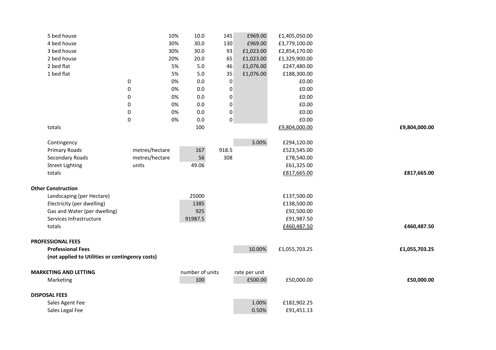| 5 bed house                                          |                  | 10% | 10.0            | 145              | £969.00       | £1,405,050.00 |               |
|------------------------------------------------------|------------------|-----|-----------------|------------------|---------------|---------------|---------------|
| 4 bed house                                          |                  | 30% | 30.0            | 130              | £969.00       | £3,779,100.00 |               |
| 3 bed house                                          |                  | 30% | 30.0            | 93               | £1,023.00     | £2,854,170.00 |               |
| 2 bed house                                          |                  | 20% | 20.0            | 65               | £1,023.00     | £1,329,900.00 |               |
| 2 bed flat                                           |                  | 5%  | $5.0$           | 46               | £1,076.00     | £247,480.00   |               |
| 1 bed flat                                           |                  | 5%  | 5.0             | 35               | £1,076.00     | £188,300.00   |               |
|                                                      | 0                | 0%  | 0.0             | $\mathbf 0$      |               | £0.00         |               |
|                                                      | $\pmb{0}$        | 0%  | 0.0             | $\pmb{0}$        |               | £0.00         |               |
|                                                      | 0                | 0%  | 0.0             | 0                |               | £0.00         |               |
|                                                      | $\pmb{0}$        | 0%  | 0.0             | $\pmb{0}$        |               | £0.00         |               |
|                                                      | 0                | 0%  | 0.0             | $\boldsymbol{0}$ |               | £0.00         |               |
|                                                      | $\boldsymbol{0}$ | 0%  | 0.0             | $\pmb{0}$        |               | £0.00         |               |
| totals                                               |                  |     | 100             |                  |               | £9,804,000.00 | £9,804,000.00 |
|                                                      |                  |     |                 |                  |               |               |               |
| Contingency                                          |                  |     |                 |                  | 3.00%         | £294,120.00   |               |
| Primary Roads                                        | metres/hectare   |     | 167             | 918.5            |               | £523,545.00   |               |
| Secondary Roads                                      | metres/hectare   |     | 56              | 308              |               | £78,540.00    |               |
| <b>Street Lighting</b>                               | units            |     | 49.06           |                  |               | £61,325.00    |               |
| totals                                               |                  |     |                 |                  |               | £817,665.00   | £817,665.00   |
|                                                      |                  |     |                 |                  |               |               |               |
| <b>Other Construction</b>                            |                  |     |                 |                  |               |               |               |
| Landscaping (per Hectare)                            |                  |     | 25000           |                  |               | £137,500.00   |               |
| Electricity (per dwelling)                           |                  |     | 1385            |                  |               | £138,500.00   |               |
| Gas and Water (per dwelling)                         |                  |     | 925             |                  |               | £92,500.00    |               |
| Services Infrastructure                              |                  |     | 91987.5         |                  |               | £91,987.50    |               |
| totals                                               |                  |     |                 |                  |               | £460,487.50   | £460,487.50   |
|                                                      |                  |     |                 |                  |               |               |               |
| <b>PROFESSIONAL FEES</b><br><b>Professional Fees</b> |                  |     |                 |                  | 10.00%        | £1,055,703.25 | £1,055,703.25 |
| (not applied to Utilities or contingency costs)      |                  |     |                 |                  |               |               |               |
|                                                      |                  |     |                 |                  |               |               |               |
| <b>MARKETING AND LETTING</b>                         |                  |     | number of units |                  | rate per unit |               |               |
| Marketing                                            |                  |     | 100             |                  | £500.00       | £50,000.00    | £50,000.00    |
|                                                      |                  |     |                 |                  |               |               |               |
| <b>DISPOSAL FEES</b>                                 |                  |     |                 |                  |               |               |               |
| Sales Agent Fee                                      |                  |     |                 |                  | 1.00%         | £182,902.25   |               |
| Sales Legal Fee                                      |                  |     |                 |                  | 0.50%         | £91,451.13    |               |
|                                                      |                  |     |                 |                  |               |               |               |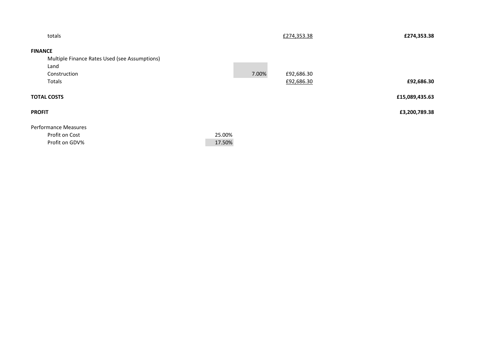| totals                                        |        | £274,353.38 | £274,353.38    |
|-----------------------------------------------|--------|-------------|----------------|
| <b>FINANCE</b>                                |        |             |                |
| Multiple Finance Rates Used (see Assumptions) |        |             |                |
| Land                                          |        |             |                |
| Construction                                  | 7.00%  | £92,686.30  |                |
| Totals                                        |        | £92,686.30  | £92,686.30     |
| <b>TOTAL COSTS</b>                            |        |             | £15,089,435.63 |
| <b>PROFIT</b>                                 |        |             | £3,200,789.38  |
| <b>Performance Measures</b>                   |        |             |                |
| Profit on Cost                                | 25.00% |             |                |
| Profit on GDV%                                | 17.50% |             |                |
|                                               |        |             |                |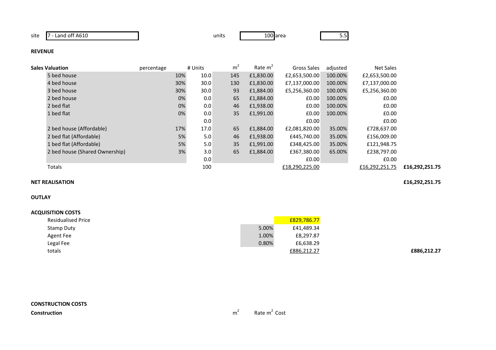site 7 - Land off A610

0 **100** area 5.5

### **REVENUE**

| 5 bed house<br>£1,830.00<br>100.00%<br>10.0<br>145<br>£2,653,500.00<br>£2,653,500.00<br>10%<br>30.0<br>30%<br>100.00%<br>4 bed house<br>130<br>£1,830.00<br>£7,137,000.00<br>£7,137,000.00<br>3 bed house<br>30.0<br>93<br>30%<br>£1,884.00<br>£5,256,360.00<br>100.00%<br>£5,256,360.00<br>65<br>2 bed house<br>0%<br>£1,884.00<br>100.00%<br>0.0<br>£0.00<br>£0.00<br>0%<br>46<br>100.00%<br>2 bed flat<br>0.0<br>£1,938.00<br>£0.00<br>£0.00<br>0%<br>35<br>1 bed flat<br>£1,991.00<br>100.00%<br>0.0<br>£0.00<br>£0.00<br>0.0<br>E0.00<br>£0.00<br>65<br>35.00%<br>2 bed house (Affordable)<br>17.0<br>17%<br>£1,884.00<br>£2,081,820.00<br>£728,637.00<br>5%<br>46<br>2 bed flat (Affordable)<br>5.0<br>£1,938.00<br>£445,740.00<br>35.00%<br>£156,009.00<br>35<br>5%<br>1 bed flat (Affordable)<br>5.0<br>£1,991.00<br>£348,425.00<br>35.00%<br>£121,948.75<br>65<br>3%<br>2 bed house (Shared Ownership)<br>3.0<br>65.00%<br>£1,884.00<br>£367,380.00<br>£238,797.00<br>0.0<br>E0.00<br>£0.00 |                | Net Sales | adjusted | Gross Sales | Rate $m2$ | m <sup>2</sup> | # Units | percentage | Sales Valuation |  |
|------------------------------------------------------------------------------------------------------------------------------------------------------------------------------------------------------------------------------------------------------------------------------------------------------------------------------------------------------------------------------------------------------------------------------------------------------------------------------------------------------------------------------------------------------------------------------------------------------------------------------------------------------------------------------------------------------------------------------------------------------------------------------------------------------------------------------------------------------------------------------------------------------------------------------------------------------------------------------------------------------|----------------|-----------|----------|-------------|-----------|----------------|---------|------------|-----------------|--|
|                                                                                                                                                                                                                                                                                                                                                                                                                                                                                                                                                                                                                                                                                                                                                                                                                                                                                                                                                                                                      |                |           |          |             |           |                |         |            |                 |  |
|                                                                                                                                                                                                                                                                                                                                                                                                                                                                                                                                                                                                                                                                                                                                                                                                                                                                                                                                                                                                      |                |           |          |             |           |                |         |            |                 |  |
|                                                                                                                                                                                                                                                                                                                                                                                                                                                                                                                                                                                                                                                                                                                                                                                                                                                                                                                                                                                                      |                |           |          |             |           |                |         |            |                 |  |
|                                                                                                                                                                                                                                                                                                                                                                                                                                                                                                                                                                                                                                                                                                                                                                                                                                                                                                                                                                                                      |                |           |          |             |           |                |         |            |                 |  |
|                                                                                                                                                                                                                                                                                                                                                                                                                                                                                                                                                                                                                                                                                                                                                                                                                                                                                                                                                                                                      |                |           |          |             |           |                |         |            |                 |  |
|                                                                                                                                                                                                                                                                                                                                                                                                                                                                                                                                                                                                                                                                                                                                                                                                                                                                                                                                                                                                      |                |           |          |             |           |                |         |            |                 |  |
|                                                                                                                                                                                                                                                                                                                                                                                                                                                                                                                                                                                                                                                                                                                                                                                                                                                                                                                                                                                                      |                |           |          |             |           |                |         |            |                 |  |
|                                                                                                                                                                                                                                                                                                                                                                                                                                                                                                                                                                                                                                                                                                                                                                                                                                                                                                                                                                                                      |                |           |          |             |           |                |         |            |                 |  |
|                                                                                                                                                                                                                                                                                                                                                                                                                                                                                                                                                                                                                                                                                                                                                                                                                                                                                                                                                                                                      |                |           |          |             |           |                |         |            |                 |  |
|                                                                                                                                                                                                                                                                                                                                                                                                                                                                                                                                                                                                                                                                                                                                                                                                                                                                                                                                                                                                      |                |           |          |             |           |                |         |            |                 |  |
|                                                                                                                                                                                                                                                                                                                                                                                                                                                                                                                                                                                                                                                                                                                                                                                                                                                                                                                                                                                                      |                |           |          |             |           |                |         |            |                 |  |
|                                                                                                                                                                                                                                                                                                                                                                                                                                                                                                                                                                                                                                                                                                                                                                                                                                                                                                                                                                                                      |                |           |          |             |           |                |         |            |                 |  |
| 100<br>Totals<br>£18,290,225.00<br>£16,292,251.75                                                                                                                                                                                                                                                                                                                                                                                                                                                                                                                                                                                                                                                                                                                                                                                                                                                                                                                                                    | £16,292,251.75 |           |          |             |           |                |         |            |                 |  |

# **NET REALISATION**

# **OUTLAY**

### **ACQUISITION COSTS**

| <b>Residualised Price</b> |       | £829,786.77 |
|---------------------------|-------|-------------|
| Stamp Duty                | 5.00% | £41,489.34  |
| Agent Fee                 | 1.00% | £8,297.87   |
| Legal Fee                 | 0.80% | £6,638.29   |
| totals                    |       | £886,212.27 |

**£16,292,251.75**

**£886,212.27**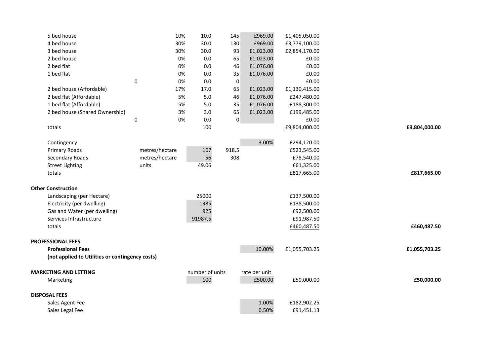| 5 bed house                                     |                | 10%<br>10.0     | 145         | £969.00                  | £1,405,050.00 |               |
|-------------------------------------------------|----------------|-----------------|-------------|--------------------------|---------------|---------------|
| 4 bed house                                     |                | 30%<br>30.0     | 130         | £969.00                  | £3,779,100.00 |               |
| 3 bed house                                     |                | 30%<br>30.0     | 93          | £1,023.00                | £2,854,170.00 |               |
| 2 bed house                                     |                | 0%<br>0.0       | 65          | £1,023.00                | £0.00         |               |
| 2 bed flat                                      |                | 0%<br>0.0       | 46          | £1,076.00                | £0.00         |               |
| 1 bed flat                                      |                | 0%<br>0.0       | 35          | £1,076.00                | £0.00         |               |
|                                                 | $\pmb{0}$      | 0%<br>0.0       | 0           |                          | £0.00         |               |
| 2 bed house (Affordable)                        |                | 17%<br>17.0     | 65          | £1,023.00                | £1,130,415.00 |               |
| 2 bed flat (Affordable)                         |                | 5%<br>5.0       | 46          | £1,076.00                | £247,480.00   |               |
| 1 bed flat (Affordable)                         |                | 5%<br>5.0       | 35          | £1,076.00                | £188,300.00   |               |
| 2 bed house (Shared Ownership)                  |                | 3%<br>3.0       | 65          | £1,023.00                | £199,485.00   |               |
|                                                 | $\pmb{0}$      | 0%<br>0.0       | $\mathbf 0$ |                          | £0.00         |               |
| totals                                          |                | 100             |             |                          | £9,804,000.00 | £9,804,000.00 |
| Contingency                                     |                |                 |             | 3.00%                    | £294,120.00   |               |
| <b>Primary Roads</b>                            | metres/hectare | 167             | 918.5       |                          | £523,545.00   |               |
| Secondary Roads                                 | metres/hectare | 56              | 308         |                          | £78,540.00    |               |
| <b>Street Lighting</b>                          | units          | 49.06           |             |                          | £61,325.00    |               |
| totals                                          |                |                 |             |                          | £817,665.00   | £817,665.00   |
| <b>Other Construction</b>                       |                |                 |             |                          |               |               |
| Landscaping (per Hectare)                       |                | 25000           |             |                          | £137,500.00   |               |
| Electricity (per dwelling)                      |                | 1385            |             |                          | £138,500.00   |               |
| Gas and Water (per dwelling)                    |                | 925             |             |                          | £92,500.00    |               |
| Services Infrastructure                         |                | 91987.5         |             |                          | £91,987.50    |               |
| totals                                          |                |                 |             |                          | £460,487.50   | £460,487.50   |
| <b>PROFESSIONAL FEES</b>                        |                |                 |             |                          |               |               |
| <b>Professional Fees</b>                        |                |                 |             | 10.00%                   | £1,055,703.25 | £1,055,703.25 |
| (not applied to Utilities or contingency costs) |                |                 |             |                          |               |               |
| <b>MARKETING AND LETTING</b>                    |                | number of units |             |                          |               |               |
| Marketing                                       |                | 100             |             | rate per unit<br>£500.00 | £50,000.00    | £50,000.00    |
|                                                 |                |                 |             |                          |               |               |
| <b>DISPOSAL FEES</b>                            |                |                 |             |                          |               |               |
| Sales Agent Fee                                 |                |                 |             | 1.00%                    | £182,902.25   |               |
| Sales Legal Fee                                 |                |                 |             | 0.50%                    | £91,451.13    |               |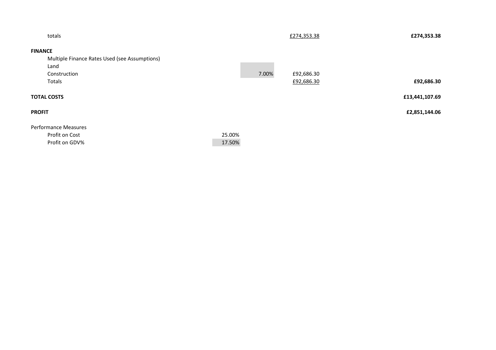| totals                                        |        |       | £274,353.38 | £274,353.38    |
|-----------------------------------------------|--------|-------|-------------|----------------|
| <b>FINANCE</b>                                |        |       |             |                |
| Multiple Finance Rates Used (see Assumptions) |        |       |             |                |
| Land                                          |        |       |             |                |
| Construction                                  |        | 7.00% | £92,686.30  |                |
| Totals                                        |        |       | £92,686.30  | £92,686.30     |
| <b>TOTAL COSTS</b>                            |        |       |             | £13,441,107.69 |
| <b>PROFIT</b>                                 |        |       |             | £2,851,144.06  |
| Performance Measures                          |        |       |             |                |
| Profit on Cost                                | 25.00% |       |             |                |
| Profit on GDV%                                | 17.50% |       |             |                |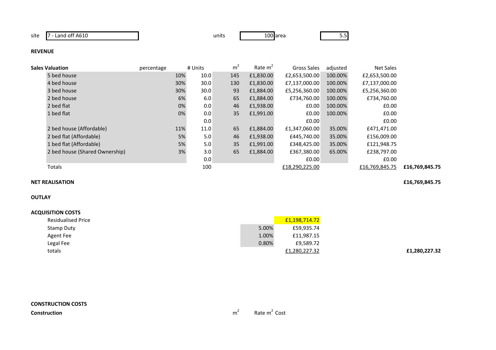site 7 - Land off A610

0 **100** area 5.5

### **REVENUE**

| Sales Valuation                | percentage | # Units | m <sup>2</sup> | Rate $m2$ | Gross Sales    | adjusted | Net Sales      |                |
|--------------------------------|------------|---------|----------------|-----------|----------------|----------|----------------|----------------|
| 5 bed house                    | 10%        | 10.0    | 145            | £1,830.00 | £2,653,500.00  | 100.00%  | £2,653,500.00  |                |
| 4 bed house                    | 30%        | 30.0    | 130            | £1,830.00 | £7,137,000.00  | 100.00%  | £7,137,000.00  |                |
| 3 bed house                    | 30%        | 30.0    | 93             | £1,884.00 | £5,256,360.00  | 100.00%  | £5,256,360.00  |                |
| 2 bed house                    | 6%         | 6.0     | 65             | £1,884.00 | £734,760.00    | 100.00%  | £734,760.00    |                |
| 2 bed flat                     | 0%         | 0.0     | 46             | £1,938.00 | £0.00          | 100.00%  | £0.00          |                |
| 1 bed flat                     | 0%         | 0.0     | 35             | £1,991.00 | £0.00          | 100.00%  | £0.00          |                |
|                                |            | 0.0     |                |           | £0.00          |          | £0.00          |                |
| 2 bed house (Affordable)       | 11%        | 11.0    | 65             | £1,884.00 | £1,347,060.00  | 35.00%   | £471,471.00    |                |
| 2 bed flat (Affordable)        | 5%         | 5.0     | 46             | £1,938.00 | £445,740.00    | 35.00%   | £156,009.00    |                |
| 1 bed flat (Affordable)        | 5%         | 5.0     | 35             | £1,991.00 | £348,425.00    | 35.00%   | £121,948.75    |                |
| 2 bed house (Shared Ownership) | 3%         | 3.0     | 65             | £1,884.00 | £367,380.00    | 65.00%   | £238,797.00    |                |
|                                |            | 0.0     |                |           | £0.00          |          | £0.00          |                |
| Totals                         |            | 100     |                |           | £18,290,225.00 |          | £16,769,845.75 | £16,769,845.75 |
|                                |            |         |                |           |                |          |                |                |

# **NET REALISATION**

### **OUTLAY**

### **ACQUISITION COSTS**

| <b>Residualised Price</b> |       | £1,198,714.72 |
|---------------------------|-------|---------------|
| Stamp Duty                | 5.00% | £59,935.74    |
| Agent Fee                 | 1.00% | £11,987.15    |
| Legal Fee                 | 0.80% | £9,589.72     |
| totals                    |       | £1,280,227.32 |

**£16,769,845.75**

**£1,280,227.32**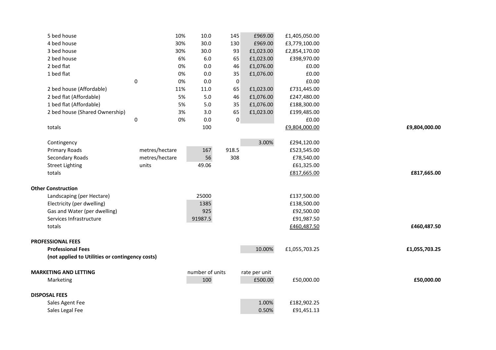| 5 bed house                                     |                | 10% | 10.0                   | 145         | £969.00                  | £1,405,050.00 |               |
|-------------------------------------------------|----------------|-----|------------------------|-------------|--------------------------|---------------|---------------|
| 4 bed house                                     |                | 30% | 30.0                   | 130         | £969.00                  | £3,779,100.00 |               |
| 3 bed house                                     |                | 30% | 30.0                   | 93          | £1,023.00                | £2,854,170.00 |               |
| 2 bed house                                     |                | 6%  | 6.0                    | 65          | £1,023.00                | £398,970.00   |               |
| 2 bed flat                                      |                | 0%  | 0.0                    | 46          | £1,076.00                | £0.00         |               |
| 1 bed flat                                      |                | 0%  | 0.0                    | 35          | £1,076.00                | £0.00         |               |
|                                                 | $\pmb{0}$      | 0%  | 0.0                    | 0           |                          | £0.00         |               |
| 2 bed house (Affordable)                        |                | 11% | 11.0                   | 65          | £1,023.00                | £731,445.00   |               |
| 2 bed flat (Affordable)                         |                | 5%  | 5.0                    | 46          | £1,076.00                | £247,480.00   |               |
| 1 bed flat (Affordable)                         |                | 5%  | 5.0                    | 35          | £1,076.00                | £188,300.00   |               |
| 2 bed house (Shared Ownership)                  |                | 3%  | 3.0                    | 65          | £1,023.00                | £199,485.00   |               |
|                                                 | $\pmb{0}$      | 0%  | 0.0                    | $\mathbf 0$ |                          | £0.00         |               |
| totals                                          |                |     | 100                    |             |                          | £9,804,000.00 | £9,804,000.00 |
|                                                 |                |     |                        |             |                          |               |               |
| Contingency                                     |                |     |                        |             | 3.00%                    | £294,120.00   |               |
| <b>Primary Roads</b>                            | metres/hectare |     | 167                    | 918.5       |                          | £523,545.00   |               |
| Secondary Roads                                 | metres/hectare |     | 56                     | 308         |                          | £78,540.00    |               |
| <b>Street Lighting</b>                          | units          |     | 49.06                  |             |                          | £61,325.00    |               |
| totals                                          |                |     |                        |             |                          | £817,665.00   | £817,665.00   |
| <b>Other Construction</b>                       |                |     |                        |             |                          |               |               |
| Landscaping (per Hectare)                       |                |     | 25000                  |             |                          | £137,500.00   |               |
| Electricity (per dwelling)                      |                |     | 1385                   |             |                          | £138,500.00   |               |
| Gas and Water (per dwelling)                    |                |     | 925                    |             |                          | £92,500.00    |               |
| Services Infrastructure                         |                |     | 91987.5                |             |                          | £91,987.50    |               |
| totals                                          |                |     |                        |             |                          | £460,487.50   | £460,487.50   |
|                                                 |                |     |                        |             |                          |               |               |
| <b>PROFESSIONAL FEES</b>                        |                |     |                        |             |                          |               |               |
| <b>Professional Fees</b>                        |                |     |                        |             | 10.00%                   | £1,055,703.25 | £1,055,703.25 |
| (not applied to Utilities or contingency costs) |                |     |                        |             |                          |               |               |
|                                                 |                |     |                        |             |                          |               |               |
| <b>MARKETING AND LETTING</b>                    |                |     | number of units<br>100 |             | rate per unit<br>£500.00 |               |               |
| Marketing                                       |                |     |                        |             |                          | £50,000.00    | £50,000.00    |
| <b>DISPOSAL FEES</b>                            |                |     |                        |             |                          |               |               |
| Sales Agent Fee                                 |                |     |                        |             | 1.00%                    | £182,902.25   |               |
| Sales Legal Fee                                 |                |     |                        |             | 0.50%                    | £91,451.13    |               |
|                                                 |                |     |                        |             |                          |               |               |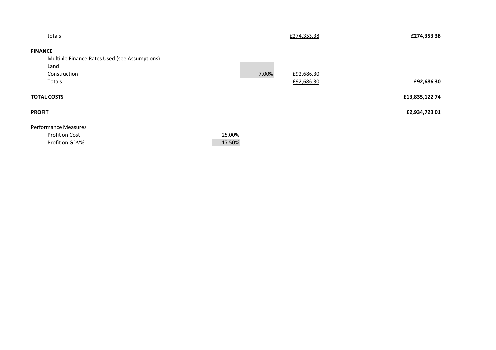| totals                                        |        |       | £274,353.38 | £274,353.38    |
|-----------------------------------------------|--------|-------|-------------|----------------|
| <b>FINANCE</b>                                |        |       |             |                |
| Multiple Finance Rates Used (see Assumptions) |        |       |             |                |
| Land                                          |        |       |             |                |
| Construction                                  |        | 7.00% | £92,686.30  |                |
| Totals                                        |        |       | £92,686.30  | £92,686.30     |
| <b>TOTAL COSTS</b>                            |        |       |             | £13,835,122.74 |
| <b>PROFIT</b>                                 |        |       |             | £2,934,723.01  |
| Performance Measures                          |        |       |             |                |
| Profit on Cost                                | 25.00% |       |             |                |
| Profit on GDV%                                | 17.50% |       |             |                |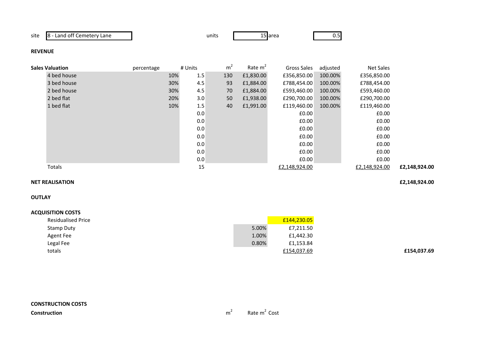site 8 - Land off Cemetery Lane

e units 15

15 area 0.5

### **REVENUE**

| <b>Sales Valuation</b> | percentage | # Units |     | m <sup>2</sup> | Rate $m2$ | Gross Sales   | adjusted | Net Sales     |               |
|------------------------|------------|---------|-----|----------------|-----------|---------------|----------|---------------|---------------|
| 4 bed house            |            | 10%     | 1.5 | 130            | £1,830.00 | £356,850.00   | 100.00%  | £356,850.00   |               |
| 3 bed house            |            | 30%     | 4.5 | 93             | £1,884.00 | £788,454.00   | 100.00%  | £788,454.00   |               |
| 2 bed house            |            | 30%     | 4.5 | 70             | £1,884.00 | £593,460.00   | 100.00%  | £593,460.00   |               |
| 2 bed flat             |            | 20%     | 3.0 | 50             | £1,938.00 | £290,700.00   | 100.00%  | £290,700.00   |               |
| 1 bed flat             |            | 10%     | 1.5 | 40             | £1,991.00 | £119,460.00   | 100.00%  | £119,460.00   |               |
|                        |            |         | 0.0 |                |           | £0.00         |          | £0.00         |               |
|                        |            |         | 0.0 |                |           | £0.00         |          | £0.00         |               |
|                        |            |         | 0.0 |                |           | £0.00         |          | £0.00         |               |
|                        |            |         | 0.0 |                |           | £0.00         |          | £0.00         |               |
|                        |            |         | 0.0 |                |           | £0.00         |          | £0.00         |               |
|                        |            |         | 0.0 |                |           | £0.00         |          | £0.00         |               |
|                        |            |         | 0.0 |                |           | £0.00         |          | £0.00         |               |
| Totals                 |            |         | 15  |                |           | £2,148,924.00 |          | £2,148,924.00 | £2,148,924.00 |

### **NET REALISATION£2,148,924.00**

**OUTLAY**

| <b>Residualised Price</b> |       | £144,230.05 |
|---------------------------|-------|-------------|
| Stamp Duty                | 5.00% | £7,211.50   |
| Agent Fee                 | 1.00% | £1,442.30   |
| Legal Fee                 | 0.80% | £1,153.84   |
| totals                    |       | £154,037.69 |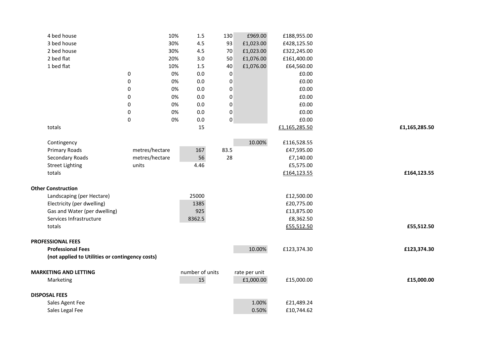| 4 bed house                                     |                  | 10% | 1.5             | 130              | £969.00       | £188,955.00   |               |
|-------------------------------------------------|------------------|-----|-----------------|------------------|---------------|---------------|---------------|
| 3 bed house                                     |                  | 30% | 4.5             | 93               | £1,023.00     | £428,125.50   |               |
| 2 bed house                                     |                  | 30% | 4.5             | 70               | £1,023.00     | £322,245.00   |               |
| 2 bed flat                                      |                  | 20% | 3.0             | 50               | £1,076.00     | £161,400.00   |               |
| 1 bed flat                                      |                  | 10% | 1.5             | 40               | £1,076.00     | £64,560.00    |               |
|                                                 | $\pmb{0}$        | 0%  | 0.0             | $\pmb{0}$        |               | £0.00         |               |
|                                                 | $\pmb{0}$        | 0%  | 0.0             | $\pmb{0}$        |               | £0.00         |               |
|                                                 | $\pmb{0}$        | 0%  | 0.0             | $\pmb{0}$        |               | £0.00         |               |
|                                                 | 0                | 0%  | 0.0             | $\boldsymbol{0}$ |               | £0.00         |               |
|                                                 | $\pmb{0}$        | 0%  | 0.0             | $\pmb{0}$        |               | £0.00         |               |
|                                                 | $\pmb{0}$        | 0%  | 0.0             | $\pmb{0}$        |               | £0.00         |               |
|                                                 | $\boldsymbol{0}$ | 0%  | 0.0             | $\pmb{0}$        |               | £0.00         |               |
| totals                                          |                  |     | 15              |                  |               | £1,165,285.50 | £1,165,285.50 |
|                                                 |                  |     |                 |                  |               |               |               |
| Contingency                                     |                  |     |                 |                  | 10.00%        | £116,528.55   |               |
| Primary Roads                                   | metres/hectare   |     | 167             | 83.5             |               | £47,595.00    |               |
| Secondary Roads                                 | metres/hectare   |     | 56              | 28               |               | £7,140.00     |               |
| <b>Street Lighting</b>                          | units            |     | 4.46            |                  |               | £5,575.00     |               |
| totals                                          |                  |     |                 |                  |               | £164,123.55   | £164,123.55   |
|                                                 |                  |     |                 |                  |               |               |               |
| <b>Other Construction</b>                       |                  |     | 25000           |                  |               |               |               |
| Landscaping (per Hectare)                       |                  |     |                 |                  |               | £12,500.00    |               |
| Electricity (per dwelling)                      |                  |     | 1385            |                  |               | £20,775.00    |               |
| Gas and Water (per dwelling)                    |                  |     | 925             |                  |               | £13,875.00    |               |
| Services Infrastructure                         |                  |     | 8362.5          |                  |               | £8,362.50     |               |
| totals                                          |                  |     |                 |                  |               | £55,512.50    | £55,512.50    |
| <b>PROFESSIONAL FEES</b>                        |                  |     |                 |                  |               |               |               |
| <b>Professional Fees</b>                        |                  |     |                 |                  | 10.00%        | £123,374.30   | £123,374.30   |
| (not applied to Utilities or contingency costs) |                  |     |                 |                  |               |               |               |
|                                                 |                  |     |                 |                  |               |               |               |
| <b>MARKETING AND LETTING</b>                    |                  |     | number of units |                  | rate per unit |               |               |
| Marketing                                       |                  |     | 15              |                  | £1,000.00     | £15,000.00    | £15,000.00    |
| <b>DISPOSAL FEES</b>                            |                  |     |                 |                  |               |               |               |
| Sales Agent Fee                                 |                  |     |                 |                  | 1.00%         | £21,489.24    |               |
| Sales Legal Fee                                 |                  |     |                 |                  | 0.50%         | £10,744.62    |               |
|                                                 |                  |     |                 |                  |               |               |               |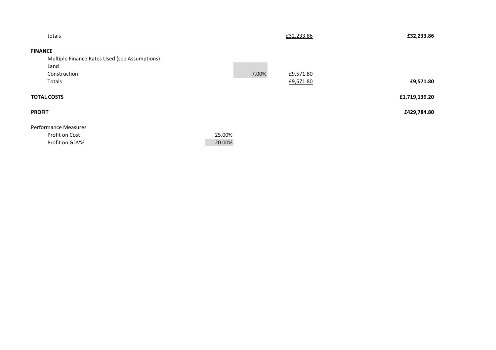| totals                                        |        |       | £32,233.86 | £32,233.86    |
|-----------------------------------------------|--------|-------|------------|---------------|
| <b>FINANCE</b>                                |        |       |            |               |
| Multiple Finance Rates Used (see Assumptions) |        |       |            |               |
| Land                                          |        |       |            |               |
| Construction                                  |        | 7.00% | £9,571.80  |               |
| Totals                                        |        |       | £9,571.80  | £9,571.80     |
| <b>TOTAL COSTS</b>                            |        |       |            | £1,719,139.20 |
| <b>PROFIT</b>                                 |        |       |            | £429,784.80   |
| <b>Performance Measures</b>                   |        |       |            |               |
| Profit on Cost                                | 25.00% |       |            |               |
| Profit on GDV%                                | 20.00% |       |            |               |
|                                               |        |       |            |               |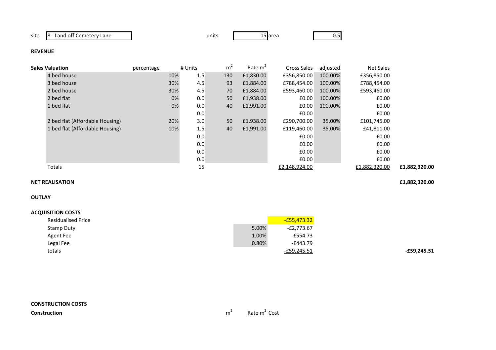site 8 - Land off Cemetery Lane

e units 15

area 15 area 15 area 16 an am 20.5

# **REVENUE**

| Sales Valuation                 | percentage | # Units | m <sup>2</sup> | Rate $m2$ | Gross Sales   | adjusted | Net Sales     |               |
|---------------------------------|------------|---------|----------------|-----------|---------------|----------|---------------|---------------|
| 4 bed house                     | 10%        | 1.5     | 130            | £1,830.00 | £356,850.00   | 100.00%  | £356,850.00   |               |
| 3 bed house                     | 30%        | 4.5     | 93             | £1,884.00 | £788,454.00   | 100.00%  | £788,454.00   |               |
| 2 bed house                     | 30%        | 4.5     | 70             | £1,884.00 | £593,460.00   | 100.00%  | £593,460.00   |               |
| 2 bed flat                      | 0%         | 0.0     | 50             | £1,938.00 | £0.00         | 100.00%  | £0.00         |               |
| 1 bed flat                      | 0%         | 0.0     | 40             | £1,991.00 | E0.00         | 100.00%  | £0.00         |               |
|                                 |            | 0.0     |                |           | £0.00         |          | £0.00         |               |
| 2 bed flat (Affordable Housing) | 20%        | 3.0     | 50             | £1,938.00 | £290,700.00   | 35.00%   | £101,745.00   |               |
| 1 bed flat (Affordable Housing) | 10%        | 1.5     | 40             | £1,991.00 | £119,460.00   | 35.00%   | £41,811.00    |               |
|                                 |            | 0.0     |                |           | £0.00         |          | £0.00         |               |
|                                 |            | 0.0     |                |           | £0.00         |          | £0.00         |               |
|                                 |            | 0.0     |                |           | £0.00         |          | £0.00         |               |
|                                 |            | 0.0     |                |           | £0.00         |          | £0.00         |               |
| Totals                          |            | 15      |                |           | £2,148,924.00 |          | £1,882,320.00 | £1,882,320.00 |
|                                 |            |         |                |           |               |          |               |               |

### **NET REALISATION£1,882,320.00**

**OUTLAY**

| <b>Residualised Price</b> |       | $-£55,473.32$ |
|---------------------------|-------|---------------|
| Stamp Duty                | 5.00% | -£2,773.67    |
| Agent Fee                 | 1.00% | -£554.73      |
| Legal Fee                 | 0.80% | -£443.79      |
| totals                    |       | -£59,245.51   |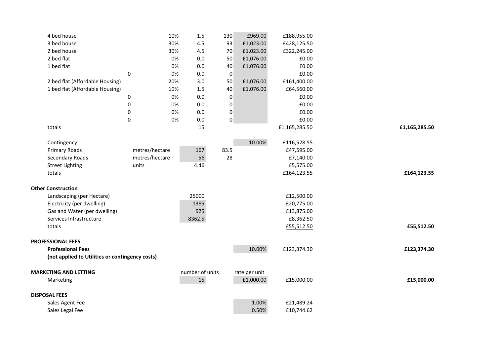| 4 bed house                                     |                | 10% | 1.5             | 130              | £969.00       | £188,955.00   |               |
|-------------------------------------------------|----------------|-----|-----------------|------------------|---------------|---------------|---------------|
| 3 bed house                                     |                | 30% | 4.5             | 93               | £1,023.00     | £428,125.50   |               |
| 2 bed house                                     |                | 30% | 4.5             | 70               | £1,023.00     | £322,245.00   |               |
| 2 bed flat                                      |                | 0%  | 0.0             | 50               | £1,076.00     | £0.00         |               |
| 1 bed flat                                      |                | 0%  | 0.0             | 40               | £1,076.00     | £0.00         |               |
|                                                 | $\pmb{0}$      | 0%  | 0.0             | $\pmb{0}$        |               | £0.00         |               |
| 2 bed flat (Affordable Housing)                 |                | 20% | 3.0             | 50               | £1,076.00     | £161,400.00   |               |
| 1 bed flat (Affordable Housing)                 |                | 10% | 1.5             | 40               | £1,076.00     | £64,560.00    |               |
|                                                 | 0              | 0%  | 0.0             | $\boldsymbol{0}$ |               | £0.00         |               |
|                                                 | $\pmb{0}$      | 0%  | 0.0             | $\pmb{0}$        |               | £0.00         |               |
|                                                 | $\pmb{0}$      | 0%  | 0.0             | $\pmb{0}$        |               | £0.00         |               |
|                                                 | $\pmb{0}$      | 0%  | 0.0             | $\pmb{0}$        |               | £0.00         |               |
| totals                                          |                |     | 15              |                  |               | £1,165,285.50 | £1,165,285.50 |
|                                                 |                |     |                 |                  |               |               |               |
| Contingency                                     |                |     |                 |                  | 10.00%        | £116,528.55   |               |
| Primary Roads                                   | metres/hectare |     | 167             | 83.5             |               | £47,595.00    |               |
| Secondary Roads                                 | metres/hectare |     | 56              | 28               |               | £7,140.00     |               |
| <b>Street Lighting</b>                          | units          |     | 4.46            |                  |               | £5,575.00     |               |
| totals                                          |                |     |                 |                  |               | £164,123.55   | £164,123.55   |
|                                                 |                |     |                 |                  |               |               |               |
| <b>Other Construction</b>                       |                |     |                 |                  |               |               |               |
| Landscaping (per Hectare)                       |                |     | 25000           |                  |               | £12,500.00    |               |
| Electricity (per dwelling)                      |                |     | 1385            |                  |               | £20,775.00    |               |
| Gas and Water (per dwelling)                    |                |     | 925             |                  |               | £13,875.00    |               |
| Services Infrastructure                         |                |     | 8362.5          |                  |               | £8,362.50     |               |
| totals                                          |                |     |                 |                  |               | £55,512.50    | £55,512.50    |
|                                                 |                |     |                 |                  |               |               |               |
| <b>PROFESSIONAL FEES</b>                        |                |     |                 |                  |               |               |               |
| <b>Professional Fees</b>                        |                |     |                 |                  | 10.00%        | £123,374.30   | £123,374.30   |
| (not applied to Utilities or contingency costs) |                |     |                 |                  |               |               |               |
| <b>MARKETING AND LETTING</b>                    |                |     | number of units |                  | rate per unit |               |               |
| Marketing                                       |                |     | 15              |                  | £1,000.00     | £15,000.00    | £15,000.00    |
|                                                 |                |     |                 |                  |               |               |               |
| <b>DISPOSAL FEES</b>                            |                |     |                 |                  |               |               |               |
| Sales Agent Fee                                 |                |     |                 |                  | 1.00%         | £21,489.24    |               |
| Sales Legal Fee                                 |                |     |                 |                  | 0.50%         | £10,744.62    |               |
|                                                 |                |     |                 |                  |               |               |               |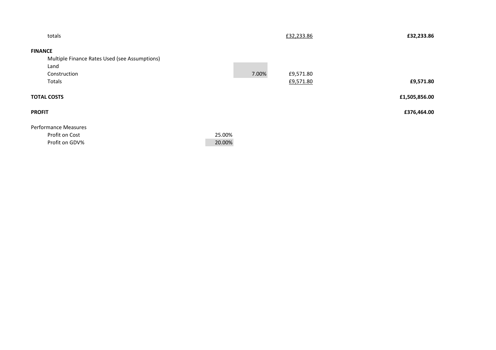| totals                                        |        |       | £32,233.86 | £32,233.86    |
|-----------------------------------------------|--------|-------|------------|---------------|
| <b>FINANCE</b>                                |        |       |            |               |
| Multiple Finance Rates Used (see Assumptions) |        |       |            |               |
| Land                                          |        |       |            |               |
| Construction                                  |        | 7.00% | £9,571.80  |               |
| Totals                                        |        |       | £9,571.80  | £9,571.80     |
| <b>TOTAL COSTS</b>                            |        |       |            | £1,505,856.00 |
| <b>PROFIT</b>                                 |        |       |            | £376,464.00   |
| <b>Performance Measures</b>                   |        |       |            |               |
| Profit on Cost                                | 25.00% |       |            |               |
| Profit on GDV%                                | 20.00% |       |            |               |
|                                               |        |       |            |               |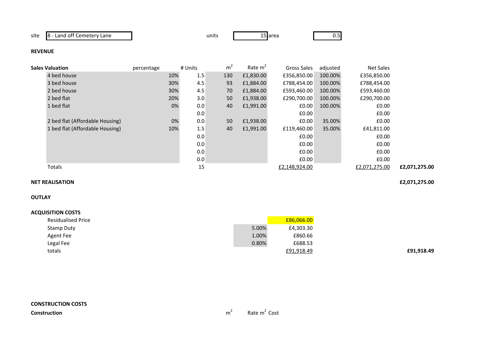site 8 - Land off Cemetery Lane

e units 15

15 area 0.5

### **REVENUE**

| <b>Sales Valuation</b>          | percentage | # Units    | m <sup>2</sup> | Rate $m2$ | Gross Sales   | adjusted | Net Sales     |               |
|---------------------------------|------------|------------|----------------|-----------|---------------|----------|---------------|---------------|
| 4 bed house                     |            | 1.5<br>10% | 130            | £1,830.00 | £356,850.00   | 100.00%  | £356,850.00   |               |
| 3 bed house                     |            | 4.5<br>30% | 93             | £1,884.00 | £788,454.00   | 100.00%  | £788,454.00   |               |
| 2 bed house                     |            | 30%<br>4.5 | 70             | £1,884.00 | £593,460.00   | 100.00%  | £593,460.00   |               |
| 2 bed flat                      |            | 3.0<br>20% | 50             | £1,938.00 | £290,700.00   | 100.00%  | £290,700.00   |               |
| 1 bed flat                      |            | 0%<br>0.0  | 40             | £1,991.00 | £0.00         | 100.00%  | £0.00         |               |
|                                 |            | 0.0        |                |           | £0.00         |          | £0.00         |               |
| 2 bed flat (Affordable Housing) |            | 0%<br>0.0  | 50             | £1,938.00 | £0.00         | 35.00%   | £0.00         |               |
| 1 bed flat (Affordable Housing) |            | 1.5<br>10% | 40             | £1,991.00 | £119,460.00   | 35.00%   | £41,811.00    |               |
|                                 |            | 0.0        |                |           | £0.00         |          | £0.00         |               |
|                                 |            | 0.0        |                |           | £0.00         |          | £0.00         |               |
|                                 |            | 0.0        |                |           | £0.00         |          | £0.00         |               |
|                                 |            | 0.0        |                |           | £0.00         |          | £0.00         |               |
| Totals                          |            | 15         |                |           | £2,148,924.00 |          | £2,071,275.00 | £2,071,275.00 |
|                                 |            |            |                |           |               |          |               |               |

#### **NET REALISATION£2,071,275.00**

**OUTLAY**

| <b>Residualised Price</b> |       | £86,066.00 |
|---------------------------|-------|------------|
| Stamp Duty                | 5.00% | £4,303.30  |
| Agent Fee                 | 1.00% | £860.66    |
| Legal Fee                 | 0.80% | £688.53    |
| totals                    |       | £91,918.49 |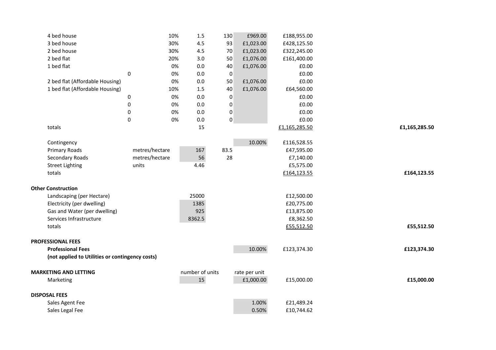| 4 bed house                                     | 10%                    | 1.5             | 130              | £969.00                    | £188,955.00   |               |
|-------------------------------------------------|------------------------|-----------------|------------------|----------------------------|---------------|---------------|
| 3 bed house                                     | 30%                    | 4.5             | 93               | £1,023.00                  | £428,125.50   |               |
| 2 bed house                                     | 30%                    | 4.5             | 70               | £1,023.00                  | £322,245.00   |               |
| 2 bed flat                                      | 20%                    | 3.0             | 50               | £1,076.00                  | £161,400.00   |               |
| 1 bed flat                                      | 0%                     | 0.0             | 40               | £1,076.00                  | £0.00         |               |
|                                                 | $\pmb{0}$<br>0%        | 0.0             | $\pmb{0}$        |                            | £0.00         |               |
| 2 bed flat (Affordable Housing)                 | 0%                     | 0.0             | 50               | £1,076.00                  | £0.00         |               |
| 1 bed flat (Affordable Housing)                 | 10%                    | 1.5             | 40               | £1,076.00                  | £64,560.00    |               |
|                                                 | 0%<br>0                | 0.0             | $\mathbf 0$      |                            | £0.00         |               |
|                                                 | $\pmb{0}$<br>0%        | 0.0             | $\pmb{0}$        |                            | £0.00         |               |
|                                                 | 0%<br>0                | 0.0             | $\boldsymbol{0}$ |                            | £0.00         |               |
|                                                 | $\boldsymbol{0}$<br>0% | 0.0             | $\pmb{0}$        |                            | £0.00         |               |
| totals                                          |                        | 15              |                  |                            | £1,165,285.50 | £1,165,285.50 |
| Contingency                                     |                        |                 |                  | 10.00%                     | £116,528.55   |               |
| Primary Roads                                   | metres/hectare         | 167             | 83.5             |                            | £47,595.00    |               |
| <b>Secondary Roads</b>                          | metres/hectare         | 56              | 28               |                            | £7,140.00     |               |
| <b>Street Lighting</b>                          | units                  | 4.46            |                  |                            | £5,575.00     |               |
| totals                                          |                        |                 |                  |                            | £164,123.55   | £164,123.55   |
|                                                 |                        |                 |                  |                            |               |               |
| <b>Other Construction</b>                       |                        |                 |                  |                            |               |               |
| Landscaping (per Hectare)                       |                        | 25000           |                  |                            | £12,500.00    |               |
| Electricity (per dwelling)                      |                        | 1385            |                  |                            | £20,775.00    |               |
| Gas and Water (per dwelling)                    |                        | 925             |                  |                            | £13,875.00    |               |
| Services Infrastructure                         |                        | 8362.5          |                  |                            | £8,362.50     |               |
| totals                                          |                        |                 |                  |                            | £55,512.50    | £55,512.50    |
| <b>PROFESSIONAL FEES</b>                        |                        |                 |                  |                            |               |               |
| <b>Professional Fees</b>                        |                        |                 |                  | 10.00%                     | £123,374.30   | £123,374.30   |
| (not applied to Utilities or contingency costs) |                        |                 |                  |                            |               |               |
| <b>MARKETING AND LETTING</b>                    |                        | number of units |                  |                            |               |               |
| Marketing                                       |                        | 15              |                  | rate per unit<br>£1,000.00 | £15,000.00    | £15,000.00    |
|                                                 |                        |                 |                  |                            |               |               |
| <b>DISPOSAL FEES</b>                            |                        |                 |                  |                            |               |               |
| Sales Agent Fee                                 |                        |                 |                  | 1.00%                      | £21,489.24    |               |
| Sales Legal Fee                                 |                        |                 |                  | 0.50%                      | £10,744.62    |               |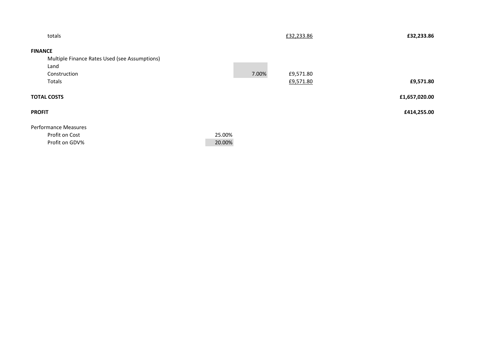| totals                                        |        |       | £32,233.86 | £32,233.86    |
|-----------------------------------------------|--------|-------|------------|---------------|
| <b>FINANCE</b>                                |        |       |            |               |
| Multiple Finance Rates Used (see Assumptions) |        |       |            |               |
| Land                                          |        |       |            |               |
| Construction                                  |        | 7.00% | £9,571.80  |               |
| Totals                                        |        |       | £9,571.80  | £9,571.80     |
| <b>TOTAL COSTS</b>                            |        |       |            | £1,657,020.00 |
| <b>PROFIT</b>                                 |        |       |            | £414,255.00   |
| <b>Performance Measures</b>                   |        |       |            |               |
| Profit on Cost                                | 25.00% |       |            |               |
| Profit on GDV%                                | 20.00% |       |            |               |
|                                               |        |       |            |               |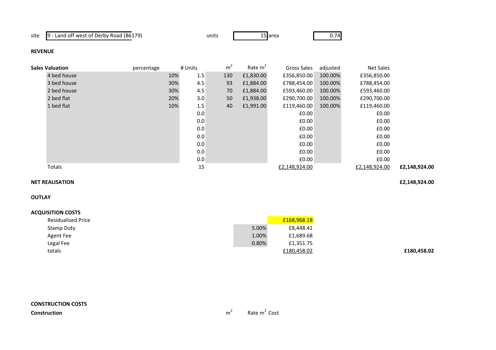site 9 - Land off west of Derby Road (B6179)

units

s 15 area 15 0.74

**£180,458.02**

### **REVENUE**

| <b>Sales Valuation</b> | percentage |     | # Units | m <sup>2</sup> | Rate $m2$ | Gross Sales   | adjusted | Net Sales     |               |
|------------------------|------------|-----|---------|----------------|-----------|---------------|----------|---------------|---------------|
| 4 bed house            |            | 10% | 1.5     | 130            | £1,830.00 | £356,850.00   | 100.00%  | £356,850.00   |               |
| 3 bed house            |            | 30% | 4.5     | 93             | £1,884.00 | £788,454.00   | 100.00%  | £788,454.00   |               |
| 2 bed house            |            | 30% | 4.5     | 70             | £1,884.00 | £593,460.00   | 100.00%  | £593,460.00   |               |
| 2 bed flat             |            | 20% | 3.0     | 50             | £1,938.00 | £290,700.00   | 100.00%  | £290,700.00   |               |
| 1 bed flat             |            | 10% | 1.5     | 40             | £1,991.00 | £119,460.00   | 100.00%  | £119,460.00   |               |
|                        |            |     | 0.0     |                |           | £0.00         |          | £0.00         |               |
|                        |            |     | 0.0     |                |           | £0.00         |          | £0.00         |               |
|                        |            |     | 0.0     |                |           | £0.00         |          | £0.00         |               |
|                        |            |     | 0.0     |                |           | £0.00         |          | £0.00         |               |
|                        |            |     | 0.0     |                |           | £0.00         |          | £0.00         |               |
|                        |            |     | 0.0     |                |           | £0.00         |          | £0.00         |               |
|                        |            |     | 0.0     |                |           | £0.00         |          | £0.00         |               |
| Totals                 |            |     | 15      |                |           | £2,148,924.00 |          | £2,148,924.00 | £2,148,924.00 |

#### **NET REALISATION£2,148,924.00**

**OUTLAY**

| <b>Residualised Price</b> |       | £168,968.18 |
|---------------------------|-------|-------------|
| Stamp Duty                | 5.00% | £8,448.41   |
| Agent Fee                 | 1.00% | £1,689.68   |
| Legal Fee                 | 0.80% | £1,351.75   |
| totals                    |       | £180,458.02 |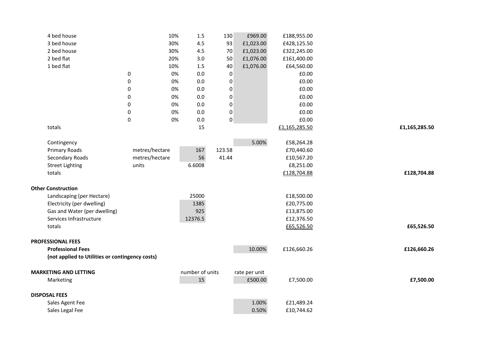| 4 bed house                                     |                | 10% | $1.5\,$         | 130              | £969.00       | £188,955.00   |               |
|-------------------------------------------------|----------------|-----|-----------------|------------------|---------------|---------------|---------------|
| 3 bed house                                     |                | 30% | 4.5             | 93               | £1,023.00     | £428,125.50   |               |
| 2 bed house                                     |                | 30% | 4.5             | 70               | £1,023.00     | £322,245.00   |               |
| 2 bed flat                                      |                | 20% | 3.0             | 50               | £1,076.00     | £161,400.00   |               |
| 1 bed flat                                      |                | 10% | 1.5             | 40               | £1,076.00     | £64,560.00    |               |
|                                                 | $\pmb{0}$      | 0%  | 0.0             | $\pmb{0}$        |               | £0.00         |               |
|                                                 | 0              | 0%  | 0.0             | $\boldsymbol{0}$ |               | £0.00         |               |
|                                                 | $\pmb{0}$      | 0%  | 0.0             | $\pmb{0}$        |               | £0.00         |               |
|                                                 | 0              | 0%  | 0.0             | $\boldsymbol{0}$ |               | £0.00         |               |
|                                                 | $\pmb{0}$      | 0%  | 0.0             | $\pmb{0}$        |               | £0.00         |               |
|                                                 | $\pmb{0}$      | 0%  | 0.0             | $\pmb{0}$        |               | £0.00         |               |
|                                                 | $\pmb{0}$      | 0%  | 0.0             | $\pmb{0}$        |               | £0.00         |               |
| totals                                          |                |     | 15              |                  |               | £1,165,285.50 | £1,165,285.50 |
|                                                 |                |     |                 |                  |               |               |               |
| Contingency                                     |                |     |                 |                  | 5.00%         | £58,264.28    |               |
| Primary Roads                                   | metres/hectare |     | 167             | 123.58           |               | £70,440.60    |               |
| Secondary Roads                                 | metres/hectare |     | 56              | 41.44            |               | £10,567.20    |               |
| <b>Street Lighting</b>                          | units          |     | 6.6008          |                  |               | £8,251.00     |               |
| totals                                          |                |     |                 |                  |               | £128,704.88   | £128,704.88   |
|                                                 |                |     |                 |                  |               |               |               |
| <b>Other Construction</b>                       |                |     |                 |                  |               |               |               |
| Landscaping (per Hectare)                       |                |     | 25000           |                  |               | £18,500.00    |               |
| Electricity (per dwelling)                      |                |     | 1385            |                  |               | £20,775.00    |               |
| Gas and Water (per dwelling)                    |                |     | 925             |                  |               | £13,875.00    |               |
| Services Infrastructure                         |                |     | 12376.5         |                  |               | £12,376.50    |               |
| totals                                          |                |     |                 |                  |               | £65,526.50    | £65,526.50    |
|                                                 |                |     |                 |                  |               |               |               |
| <b>PROFESSIONAL FEES</b>                        |                |     |                 |                  |               |               |               |
| <b>Professional Fees</b>                        |                |     |                 |                  | 10.00%        | £126,660.26   | £126,660.26   |
| (not applied to Utilities or contingency costs) |                |     |                 |                  |               |               |               |
| <b>MARKETING AND LETTING</b>                    |                |     | number of units |                  | rate per unit |               |               |
| Marketing                                       |                |     | 15              |                  | £500.00       | £7,500.00     | £7,500.00     |
|                                                 |                |     |                 |                  |               |               |               |
| <b>DISPOSAL FEES</b>                            |                |     |                 |                  |               |               |               |
| Sales Agent Fee                                 |                |     |                 |                  | 1.00%         | £21,489.24    |               |
| Sales Legal Fee                                 |                |     |                 |                  | 0.50%         | £10,744.62    |               |
|                                                 |                |     |                 |                  |               |               |               |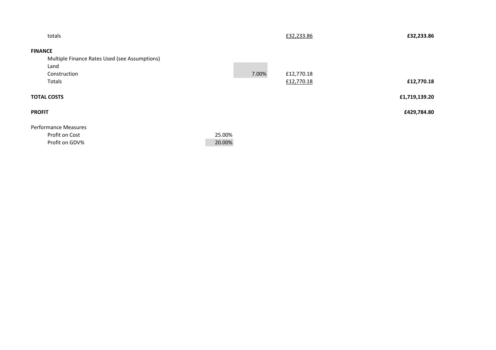| totals                                        |        |       | £32,233.86 | £32,233.86    |
|-----------------------------------------------|--------|-------|------------|---------------|
| <b>FINANCE</b>                                |        |       |            |               |
| Multiple Finance Rates Used (see Assumptions) |        |       |            |               |
| Land                                          |        |       |            |               |
| Construction                                  |        | 7.00% | £12,770.18 |               |
| Totals                                        |        |       | £12,770.18 | £12,770.18    |
| <b>TOTAL COSTS</b>                            |        |       |            | £1,719,139.20 |
| <b>PROFIT</b>                                 |        |       |            | £429,784.80   |
| <b>Performance Measures</b>                   |        |       |            |               |
| Profit on Cost                                | 25.00% |       |            |               |
| Profit on GDV%                                | 20.00% |       |            |               |
|                                               |        |       |            |               |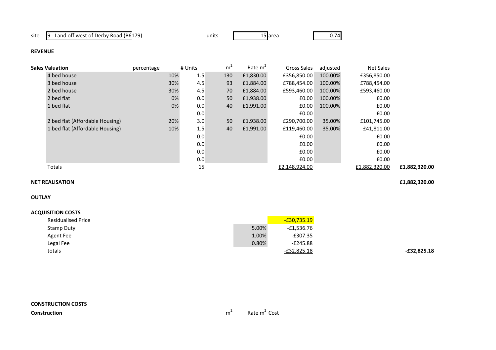site 9 - Land off west of Derby Road (B6179)

s 15 area 15 0.74

### **REVENUE**

| <b>Sales Valuation</b>          | percentage | # Units | m <sup>2</sup> | Rate m <sup>2</sup> | Gross Sales   | adjusted | <b>Net Sales</b> |               |
|---------------------------------|------------|---------|----------------|---------------------|---------------|----------|------------------|---------------|
| 4 bed house                     | 10%        | 1.5     | 130            | £1,830.00           | £356,850.00   | 100.00%  | £356,850.00      |               |
| 3 bed house                     | 30%        | 4.5     | 93             | £1,884.00           | £788,454.00   | 100.00%  | £788,454.00      |               |
| 2 bed house                     | 30%        | 4.5     | 70             | £1,884.00           | £593,460.00   | 100.00%  | £593,460.00      |               |
| 2 bed flat                      | 0%         | 0.0     | 50             | £1,938.00           | £0.00         | 100.00%  | £0.00            |               |
| 1 bed flat                      | 0%         | 0.0     | 40             | £1,991.00           | £0.00         | 100.00%  | £0.00            |               |
|                                 |            | 0.0     |                |                     | £0.00         |          | £0.00            |               |
| 2 bed flat (Affordable Housing) | 20%        | 3.0     | 50             | £1,938.00           | £290,700.00   | 35.00%   | £101,745.00      |               |
| 1 bed flat (Affordable Housing) | 10%        | 1.5     | 40             | £1,991.00           | £119,460.00   | 35.00%   | £41,811.00       |               |
|                                 |            | 0.0     |                |                     | £0.00         |          | £0.00            |               |
|                                 |            | 0.0     |                |                     | £0.00         |          | £0.00            |               |
|                                 |            | 0.0     |                |                     | £0.00         |          | £0.00            |               |
|                                 |            | 0.0     |                |                     | £0.00         |          | £0.00            |               |
| Totals                          |            | 15      |                |                     | £2,148,924.00 |          | £1,882,320.00    | £1,882,320.00 |

units

#### **NET REALISATION£1,882,320.00**

**OUTLAY**

| <b>Residualised Price</b> |       | $-£30,735.19$ |
|---------------------------|-------|---------------|
| Stamp Duty                | 5.00% | $-£1,536.76$  |
| Agent Fee                 | 1.00% | $-£307.35$    |
| Legal Fee                 | 0.80% | $-E245.88$    |
| totals                    |       | -£32,825.18   |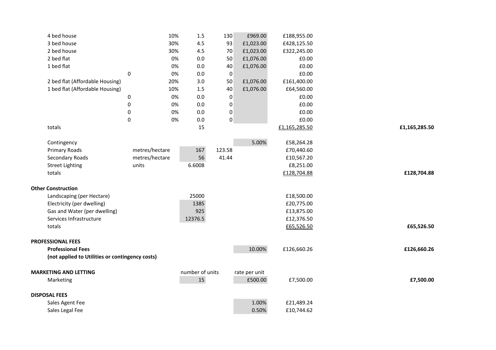| 4 bed house                                     | 10%            | 1.5             | 130              | £969.00       | £188,955.00   |               |
|-------------------------------------------------|----------------|-----------------|------------------|---------------|---------------|---------------|
| 3 bed house                                     | 30%            | 4.5             | 93               | £1,023.00     | £428,125.50   |               |
| 2 bed house                                     | 30%            | 4.5             | 70               | £1,023.00     | £322,245.00   |               |
| 2 bed flat                                      |                | 0%<br>0.0       | 50               | £1,076.00     | £0.00         |               |
| 1 bed flat                                      |                | 0%<br>0.0       | 40               | £1,076.00     | £0.00         |               |
|                                                 | $\pmb{0}$      | 0%<br>0.0       | $\pmb{0}$        |               | £0.00         |               |
| 2 bed flat (Affordable Housing)                 | 20%            | 3.0             | 50               | £1,076.00     | £161,400.00   |               |
| 1 bed flat (Affordable Housing)                 | 10%            | 1.5             | 40               | £1,076.00     | £64,560.00    |               |
|                                                 | 0              | 0%<br>0.0       | $\boldsymbol{0}$ |               | £0.00         |               |
|                                                 | $\pmb{0}$      | 0%<br>0.0       | $\pmb{0}$        |               | £0.00         |               |
|                                                 | $\pmb{0}$      | 0%<br>0.0       | $\pmb{0}$        |               | £0.00         |               |
|                                                 | $\pmb{0}$      | 0%<br>0.0       | $\pmb{0}$        |               | £0.00         |               |
| totals                                          |                | 15              |                  |               | £1,165,285.50 | £1,165,285.50 |
|                                                 |                |                 |                  |               |               |               |
| Contingency                                     |                |                 |                  | 5.00%         | £58,264.28    |               |
| Primary Roads                                   | metres/hectare | 167             | 123.58           |               | £70,440.60    |               |
| Secondary Roads                                 | metres/hectare | 56              | 41.44            |               | £10,567.20    |               |
| <b>Street Lighting</b>                          | units          | 6.6008          |                  |               | £8,251.00     |               |
| totals                                          |                |                 |                  |               | £128,704.88   | £128,704.88   |
|                                                 |                |                 |                  |               |               |               |
| <b>Other Construction</b>                       |                |                 |                  |               |               |               |
| Landscaping (per Hectare)                       |                | 25000           |                  |               | £18,500.00    |               |
| Electricity (per dwelling)                      |                | 1385            |                  |               | £20,775.00    |               |
| Gas and Water (per dwelling)                    |                | 925             |                  |               | £13,875.00    |               |
| Services Infrastructure                         |                | 12376.5         |                  |               | £12,376.50    |               |
| totals                                          |                |                 |                  |               | £65,526.50    | £65,526.50    |
|                                                 |                |                 |                  |               |               |               |
| <b>PROFESSIONAL FEES</b>                        |                |                 |                  |               |               |               |
| <b>Professional Fees</b>                        |                |                 |                  | 10.00%        | £126,660.26   | £126,660.26   |
| (not applied to Utilities or contingency costs) |                |                 |                  |               |               |               |
|                                                 |                |                 |                  |               |               |               |
| <b>MARKETING AND LETTING</b>                    |                | number of units |                  | rate per unit |               |               |
| Marketing                                       |                | 15              |                  | £500.00       | £7,500.00     | £7,500.00     |
|                                                 |                |                 |                  |               |               |               |
| <b>DISPOSAL FEES</b>                            |                |                 |                  |               |               |               |
| Sales Agent Fee                                 |                |                 |                  | 1.00%         | £21,489.24    |               |
| Sales Legal Fee                                 |                |                 |                  | 0.50%         | £10,744.62    |               |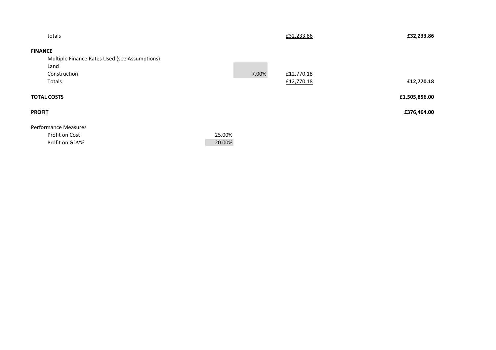| totals                                        |        |       | £32,233.86 | £32,233.86    |
|-----------------------------------------------|--------|-------|------------|---------------|
| <b>FINANCE</b>                                |        |       |            |               |
| Multiple Finance Rates Used (see Assumptions) |        |       |            |               |
| Land                                          |        |       |            |               |
| Construction                                  |        | 7.00% | £12,770.18 |               |
| Totals                                        |        |       | £12,770.18 | £12,770.18    |
| <b>TOTAL COSTS</b>                            |        |       |            | £1,505,856.00 |
| <b>PROFIT</b>                                 |        |       |            | £376,464.00   |
| <b>Performance Measures</b>                   |        |       |            |               |
| Profit on Cost                                | 25.00% |       |            |               |
| Profit on GDV%                                | 20.00% |       |            |               |
|                                               |        |       |            |               |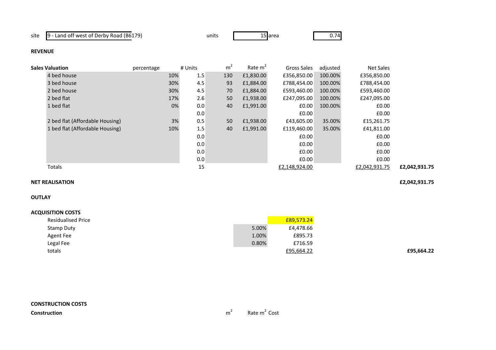site 9 - Land off west of Derby Road (B6179)

s 15 area 15 0.74

### **REVENUE**

| <b>Sales Valuation</b>          | percentage | # Units    | m <sup>2</sup> | Rate $m2$ | Gross Sales   | adjusted | <b>Net Sales</b> |               |
|---------------------------------|------------|------------|----------------|-----------|---------------|----------|------------------|---------------|
| 4 bed house                     |            | 1.5<br>10% | 130            | £1,830.00 | £356,850.00   | 100.00%  | £356,850.00      |               |
| 3 bed house                     |            | 30%<br>4.5 | 93             | £1,884.00 | £788,454.00   | 100.00%  | £788,454.00      |               |
| 2 bed house                     |            | 30%<br>4.5 | 70             | £1,884.00 | £593,460.00   | 100.00%  | £593,460.00      |               |
| 2 bed flat                      |            | 2.6<br>17% | 50             | £1,938.00 | £247,095.00   | 100.00%  | £247,095.00      |               |
| 1 bed flat                      |            | 0%<br>0.0  | 40             | £1,991.00 | £0.00         | 100.00%  | £0.00            |               |
|                                 |            | 0.0        |                |           | £0.00         |          | £0.00            |               |
| 2 bed flat (Affordable Housing) |            | 3%<br>0.5  | 50             | £1,938.00 | £43,605.00    | 35.00%   | £15,261.75       |               |
| 1 bed flat (Affordable Housing) |            | 1.5<br>10% | 40             | £1,991.00 | £119,460.00   | 35.00%   | £41,811.00       |               |
|                                 |            | 0.0        |                |           | £0.00         |          | £0.00            |               |
|                                 |            | 0.0        |                |           | £0.00         |          | £0.00            |               |
|                                 |            | 0.0        |                |           | £0.00         |          | £0.00            |               |
|                                 |            | 0.0        |                |           | £0.00         |          | £0.00            |               |
| Totals                          |            | 15         |                |           | £2,148,924.00 |          | £2,042,931.75    | £2,042,931.75 |
|                                 |            |            |                |           |               |          |                  |               |

units

#### **NET REALISATION£2,042,931.75**

## **OUTLAY**

| <b>Residualised Price</b> |       | £89,573.24 |
|---------------------------|-------|------------|
| Stamp Duty                | 5.00% | £4,478.66  |
| Agent Fee                 | 1.00% | £895.73    |
| Legal Fee                 | 0.80% | £716.59    |
| totals                    |       | £95,664.22 |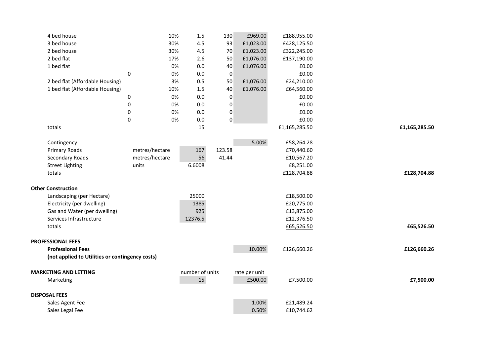| 4 bed house                                     |                | 10% | 1.5             | 130              | £969.00       | £188,955.00   |               |
|-------------------------------------------------|----------------|-----|-----------------|------------------|---------------|---------------|---------------|
| 3 bed house                                     |                | 30% | 4.5             | 93               | £1,023.00     | £428,125.50   |               |
| 2 bed house                                     |                | 30% | 4.5             | 70               | £1,023.00     | £322,245.00   |               |
| 2 bed flat                                      |                | 17% | 2.6             | 50               | £1,076.00     | £137,190.00   |               |
| 1 bed flat                                      |                | 0%  | 0.0             | 40               | £1,076.00     | £0.00         |               |
|                                                 | $\pmb{0}$      | 0%  | 0.0             | $\pmb{0}$        |               | £0.00         |               |
| 2 bed flat (Affordable Housing)                 |                | 3%  | 0.5             | 50               | £1,076.00     | £24,210.00    |               |
| 1 bed flat (Affordable Housing)                 |                | 10% | 1.5             | 40               | £1,076.00     | £64,560.00    |               |
|                                                 | 0              | 0%  | 0.0             | $\boldsymbol{0}$ |               | £0.00         |               |
|                                                 | $\pmb{0}$      | 0%  | 0.0             | $\pmb{0}$        |               | £0.00         |               |
|                                                 | $\pmb{0}$      | 0%  | 0.0             | $\pmb{0}$        |               | £0.00         |               |
|                                                 | $\pmb{0}$      | 0%  | 0.0             | $\pmb{0}$        |               | £0.00         |               |
| totals                                          |                |     | 15              |                  |               | £1,165,285.50 | £1,165,285.50 |
|                                                 |                |     |                 |                  |               |               |               |
| Contingency                                     |                |     |                 |                  | 5.00%         | £58,264.28    |               |
| Primary Roads                                   | metres/hectare |     | 167             | 123.58           |               | £70,440.60    |               |
| Secondary Roads                                 | metres/hectare |     | 56              | 41.44            |               | £10,567.20    |               |
| <b>Street Lighting</b>                          | units          |     | 6.6008          |                  |               | £8,251.00     |               |
| totals                                          |                |     |                 |                  |               | £128,704.88   | £128,704.88   |
|                                                 |                |     |                 |                  |               |               |               |
| <b>Other Construction</b>                       |                |     |                 |                  |               |               |               |
| Landscaping (per Hectare)                       |                |     | 25000           |                  |               | £18,500.00    |               |
| Electricity (per dwelling)                      |                |     | 1385            |                  |               | £20,775.00    |               |
| Gas and Water (per dwelling)                    |                |     | 925             |                  |               | £13,875.00    |               |
| Services Infrastructure                         |                |     | 12376.5         |                  |               | £12,376.50    |               |
| totals                                          |                |     |                 |                  |               | £65,526.50    | £65,526.50    |
|                                                 |                |     |                 |                  |               |               |               |
| <b>PROFESSIONAL FEES</b>                        |                |     |                 |                  |               |               |               |
| <b>Professional Fees</b>                        |                |     |                 |                  | 10.00%        | £126,660.26   | £126,660.26   |
| (not applied to Utilities or contingency costs) |                |     |                 |                  |               |               |               |
|                                                 |                |     |                 |                  |               |               |               |
| <b>MARKETING AND LETTING</b>                    |                |     | number of units |                  | rate per unit |               |               |
| Marketing                                       |                |     | 15              |                  | £500.00       | £7,500.00     | £7,500.00     |
|                                                 |                |     |                 |                  |               |               |               |
| <b>DISPOSAL FEES</b>                            |                |     |                 |                  |               |               |               |
| Sales Agent Fee                                 |                |     |                 |                  | 1.00%         | £21,489.24    |               |
| Sales Legal Fee                                 |                |     |                 |                  | 0.50%         | £10,744.62    |               |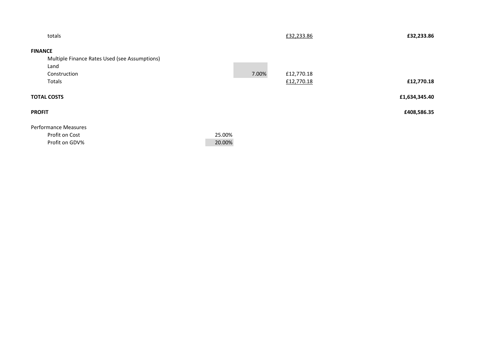| totals                                        |        |       | £32,233.86 | £32,233.86    |
|-----------------------------------------------|--------|-------|------------|---------------|
| <b>FINANCE</b>                                |        |       |            |               |
| Multiple Finance Rates Used (see Assumptions) |        |       |            |               |
| Land                                          |        |       |            |               |
| Construction                                  |        | 7.00% | £12,770.18 |               |
| Totals                                        |        |       | £12,770.18 | £12,770.18    |
| <b>TOTAL COSTS</b>                            |        |       |            | £1,634,345.40 |
| <b>PROFIT</b>                                 |        |       |            | £408,586.35   |
| <b>Performance Measures</b>                   |        |       |            |               |
| Profit on Cost                                | 25.00% |       |            |               |
| Profit on GDV%                                | 20.00% |       |            |               |
|                                               |        |       |            |               |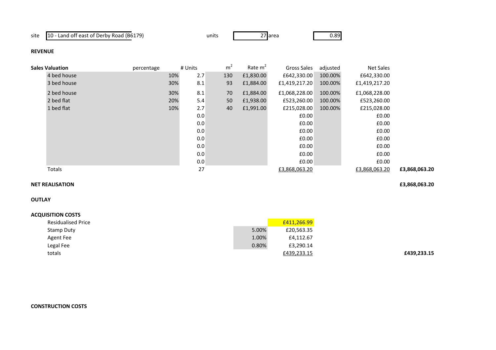site 10 - Land off east of Derby Road (B6179)

units

s 27 area 10.89

### **REVENUE**

| <b>Sales Valuation</b> | percentage | # Units | m <sup>2</sup> | Rate $m2$ | Gross Sales   | adjusted | Net Sales     |               |
|------------------------|------------|---------|----------------|-----------|---------------|----------|---------------|---------------|
| 4 bed house            | 10%        | 2.7     | 130            | £1,830.00 | £642,330.00   | 100.00%  | £642,330.00   |               |
| 3 bed house            | 30%        | 8.1     | 93             | £1,884.00 | £1,419,217.20 | 100.00%  | £1,419,217.20 |               |
| 2 bed house            | 30%        | 8.1     | 70             | £1,884.00 | £1,068,228.00 | 100.00%  | £1,068,228.00 |               |
| 2 bed flat             | 20%        | 5.4     | 50             | £1,938.00 | £523,260.00   | 100.00%  | £523,260.00   |               |
| 1 bed flat             | 10%        | 2.7     | 40             | £1,991.00 | £215,028.00   | 100.00%  | £215,028.00   |               |
|                        |            | 0.0     |                |           | £0.00         |          | £0.00         |               |
|                        |            | 0.0     |                |           | £0.00         |          | £0.00         |               |
|                        |            | 0.0     |                |           | £0.00         |          | £0.00         |               |
|                        |            | 0.0     |                |           | £0.00         |          | £0.00         |               |
|                        |            | 0.0     |                |           | £0.00         |          | £0.00         |               |
|                        |            | 0.0     |                |           | £0.00         |          | £0.00         |               |
|                        |            | 0.0     |                |           | £0.00         |          | £0.00         |               |
| Totals                 |            | 27      |                |           | £3,868,063.20 |          | £3,868,063.20 | £3,868,063.20 |

## **NET REALISATION**

**OUTLAY**

### **ACQUISITION COSTS**

| <b>Residualised Price</b> |       | £411,266.99 |
|---------------------------|-------|-------------|
| Stamp Duty                | 5.00% | £20,563.35  |
| Agent Fee                 | 1.00% | £4,112.67   |
| Legal Fee                 | 0.80% | £3,290.14   |
| totals                    |       | £439,233.15 |

## **CONSTRUCTION COSTS**

**£3,868,063.20**

**£439,233.15**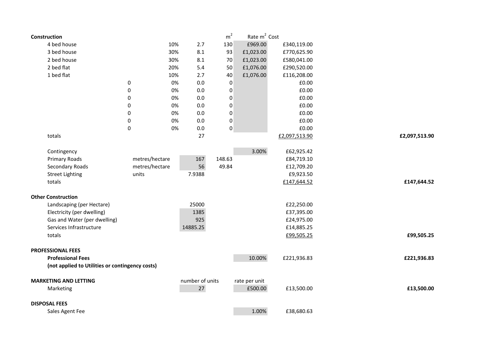| Construction                                    |                |     |                 | m <sup>2</sup> | Rate m <sup>2</sup> Cost |               |               |
|-------------------------------------------------|----------------|-----|-----------------|----------------|--------------------------|---------------|---------------|
| 4 bed house                                     |                | 10% | 2.7             | 130            | £969.00                  | £340,119.00   |               |
| 3 bed house                                     |                | 30% | 8.1             | 93             | £1,023.00                | £770,625.90   |               |
| 2 bed house                                     |                | 30% | 8.1             | $70\,$         | £1,023.00                | £580,041.00   |               |
| 2 bed flat                                      |                | 20% | 5.4             | 50             | £1,076.00                | £290,520.00   |               |
| 1 bed flat                                      |                | 10% | 2.7             | 40             | £1,076.00                | £116,208.00   |               |
|                                                 | $\pmb{0}$      | 0%  | 0.0             | 0              |                          | £0.00         |               |
|                                                 | 0              | 0%  | 0.0             | 0              |                          | £0.00         |               |
|                                                 | 0              | 0%  | 0.0             | 0              |                          | £0.00         |               |
|                                                 | 0              | 0%  | 0.0             | 0              |                          | £0.00         |               |
|                                                 | 0              | 0%  | 0.0             | 0              |                          | £0.00         |               |
|                                                 | 0              | 0%  | 0.0             | 0              |                          | £0.00         |               |
|                                                 | 0              | 0%  | 0.0             | 0              |                          | £0.00         |               |
| totals                                          |                |     | 27              |                |                          | £2,097,513.90 | £2,097,513.90 |
| Contingency                                     |                |     |                 |                | 3.00%                    | £62,925.42    |               |
| <b>Primary Roads</b>                            | metres/hectare |     | 167             | 148.63         |                          | £84,719.10    |               |
| Secondary Roads                                 | metres/hectare |     | 56              | 49.84          |                          | £12,709.20    |               |
| <b>Street Lighting</b>                          | units          |     | 7.9388          |                |                          | £9,923.50     |               |
| totals                                          |                |     |                 |                |                          | £147,644.52   | £147,644.52   |
| <b>Other Construction</b>                       |                |     |                 |                |                          |               |               |
| Landscaping (per Hectare)                       |                |     | 25000           |                |                          | £22,250.00    |               |
| Electricity (per dwelling)                      |                |     | 1385            |                |                          | £37,395.00    |               |
| Gas and Water (per dwelling)                    |                |     | 925             |                |                          | £24,975.00    |               |
| Services Infrastructure                         |                |     | 14885.25        |                |                          | £14,885.25    |               |
| totals                                          |                |     |                 |                |                          | £99,505.25    | £99,505.25    |
| <b>PROFESSIONAL FEES</b>                        |                |     |                 |                |                          |               |               |
| <b>Professional Fees</b>                        |                |     |                 |                | 10.00%                   | £221,936.83   | £221,936.83   |
| (not applied to Utilities or contingency costs) |                |     |                 |                |                          |               |               |
| <b>MARKETING AND LETTING</b>                    |                |     | number of units |                | rate per unit            |               |               |
| Marketing                                       |                |     | 27              |                | £500.00                  | £13,500.00    | £13,500.00    |
| <b>DISPOSAL FEES</b>                            |                |     |                 |                |                          |               |               |
| Sales Agent Fee                                 |                |     |                 |                | 1.00%                    | £38,680.63    |               |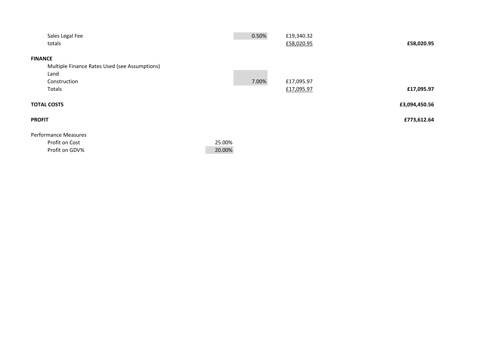| Sales Legal Fee                               |        | 0.50%<br>£19,340.32 |               |
|-----------------------------------------------|--------|---------------------|---------------|
| totals                                        |        | £58,020.95          | £58,020.95    |
|                                               |        |                     |               |
| <b>FINANCE</b>                                |        |                     |               |
| Multiple Finance Rates Used (see Assumptions) |        |                     |               |
| Land                                          |        |                     |               |
| Construction                                  |        | 7.00%<br>£17,095.97 |               |
| Totals                                        |        | £17,095.97          | £17,095.97    |
|                                               |        |                     |               |
| <b>TOTAL COSTS</b>                            |        |                     | £3,094,450.56 |
| <b>PROFIT</b>                                 |        |                     | £773,612.64   |
|                                               |        |                     |               |
| <b>Performance Measures</b>                   |        |                     |               |
| Profit on Cost                                | 25.00% |                     |               |
| Profit on GDV%                                | 20.00% |                     |               |
|                                               |        |                     |               |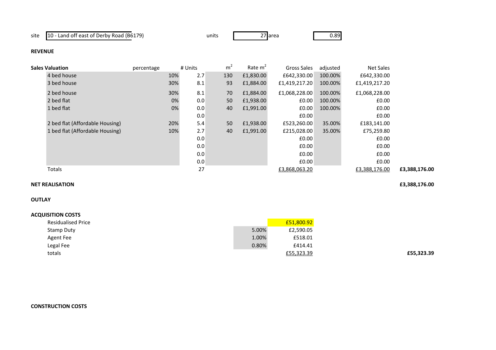site 10 - Land off east of Derby Road (B6179)

s 27 area 10.89

### **REVENUE**

| <b>Sales Valuation</b>          | percentage |     | # Units | m <sup>2</sup> | Rate $m2$ | Gross Sales   | adjusted | <b>Net Sales</b> |               |
|---------------------------------|------------|-----|---------|----------------|-----------|---------------|----------|------------------|---------------|
| 4 bed house                     |            | 10% | 2.7     | 130            | £1,830.00 | £642,330.00   | 100.00%  | £642,330.00      |               |
| 3 bed house                     |            | 30% | 8.1     | 93             | £1,884.00 | £1,419,217.20 | 100.00%  | £1,419,217.20    |               |
| 2 bed house                     |            | 30% | 8.1     | 70             | £1,884.00 | £1,068,228.00 | 100.00%  | £1,068,228.00    |               |
| 2 bed flat                      |            | 0%  | 0.0     | 50             | £1,938.00 | £0.00         | 100.00%  | £0.00            |               |
| 1 bed flat                      |            | 0%  | 0.0     | 40             | £1,991.00 | £0.00         | 100.00%  | £0.00            |               |
|                                 |            |     | 0.0     |                |           | £0.00         |          | £0.00            |               |
| 2 bed flat (Affordable Housing) |            | 20% | 5.4     | 50             | £1,938.00 | £523,260.00   | 35.00%   | £183,141.00      |               |
| 1 bed flat (Affordable Housing) |            | 10% | 2.7     | 40             | £1,991.00 | £215,028.00   | 35.00%   | £75,259.80       |               |
|                                 |            |     | 0.0     |                |           | £0.00         |          | £0.00            |               |
|                                 |            |     | 0.0     |                |           | £0.00         |          | £0.00            |               |
|                                 |            |     | 0.0     |                |           | £0.00         |          | £0.00            |               |
|                                 |            |     | 0.0     |                |           | £0.00         |          | £0.00            |               |
| Totals                          |            |     | 27      |                |           | £3,868,063.20 |          | £3,388,176.00    | £3,388,176.00 |

units

## **NET REALISATION**

**£3,388,176.00**

# **OUTLAY**

| <b>ACQUISITION COSTS</b>  |       |            |            |
|---------------------------|-------|------------|------------|
| <b>Residualised Price</b> |       | £51,800.92 |            |
| Stamp Duty                | 5.00% | £2,590.05  |            |
| Agent Fee                 | 1.00% | £518.01    |            |
| Legal Fee                 | 0.80% | £414.41    |            |
| totals                    |       | £55,323.39 | £55,323.39 |
|                           |       |            |            |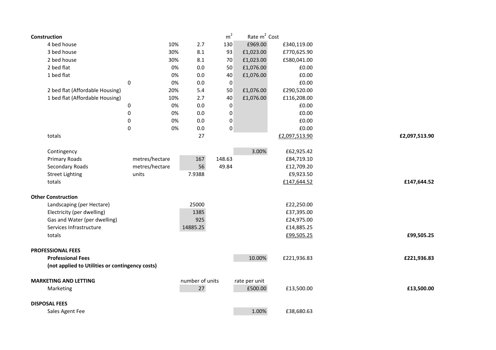| Construction                                    |                |     |                 | m <sup>2</sup>   | Rate m <sup>2</sup> Cost |               |               |
|-------------------------------------------------|----------------|-----|-----------------|------------------|--------------------------|---------------|---------------|
| 4 bed house                                     |                | 10% | 2.7             | 130              | £969.00                  | £340,119.00   |               |
| 3 bed house                                     |                | 30% | 8.1             | 93               | £1,023.00                | £770,625.90   |               |
| 2 bed house                                     |                | 30% | 8.1             | 70               | £1,023.00                | £580,041.00   |               |
| 2 bed flat                                      |                | 0%  | 0.0             | 50               | £1,076.00                | £0.00         |               |
| 1 bed flat                                      |                | 0%  | 0.0             | 40               | £1,076.00                | £0.00         |               |
|                                                 | 0              | 0%  | 0.0             | 0                |                          | £0.00         |               |
| 2 bed flat (Affordable Housing)                 |                | 20% | 5.4             | 50               | £1,076.00                | £290,520.00   |               |
| 1 bed flat (Affordable Housing)                 |                | 10% | 2.7             | 40               | £1,076.00                | £116,208.00   |               |
|                                                 | $\pmb{0}$      | 0%  | 0.0             | $\boldsymbol{0}$ |                          | £0.00         |               |
|                                                 | 0              | 0%  | 0.0             | 0                |                          | £0.00         |               |
|                                                 | $\mathbf 0$    | 0%  | 0.0             | 0                |                          | £0.00         |               |
|                                                 | $\mathbf 0$    | 0%  | 0.0             | 0                |                          | £0.00         |               |
| totals                                          |                |     | 27              |                  |                          | £2,097,513.90 | £2,097,513.90 |
| Contingency                                     |                |     |                 |                  | 3.00%                    | £62,925.42    |               |
| Primary Roads                                   | metres/hectare |     | 167             | 148.63           |                          | £84,719.10    |               |
| Secondary Roads                                 | metres/hectare |     | 56              | 49.84            |                          | £12,709.20    |               |
| <b>Street Lighting</b>                          | units          |     | 7.9388          |                  |                          | £9,923.50     |               |
| totals                                          |                |     |                 |                  |                          | £147,644.52   | £147,644.52   |
| <b>Other Construction</b>                       |                |     |                 |                  |                          |               |               |
| Landscaping (per Hectare)                       |                |     | 25000           |                  |                          | £22,250.00    |               |
| Electricity (per dwelling)                      |                |     | 1385            |                  |                          | £37,395.00    |               |
| Gas and Water (per dwelling)                    |                |     | 925             |                  |                          | £24,975.00    |               |
| Services Infrastructure                         |                |     | 14885.25        |                  |                          | £14,885.25    |               |
| totals                                          |                |     |                 |                  |                          | £99,505.25    | £99,505.25    |
| <b>PROFESSIONAL FEES</b>                        |                |     |                 |                  |                          |               |               |
| <b>Professional Fees</b>                        |                |     |                 |                  | 10.00%                   | £221,936.83   | £221,936.83   |
| (not applied to Utilities or contingency costs) |                |     |                 |                  |                          |               |               |
| <b>MARKETING AND LETTING</b>                    |                |     | number of units |                  | rate per unit            |               |               |
| Marketing                                       |                |     | 27              |                  | £500.00                  | £13,500.00    | £13,500.00    |
| <b>DISPOSAL FEES</b>                            |                |     |                 |                  |                          |               |               |
| Sales Agent Fee                                 |                |     |                 |                  | 1.00%                    | £38,680.63    |               |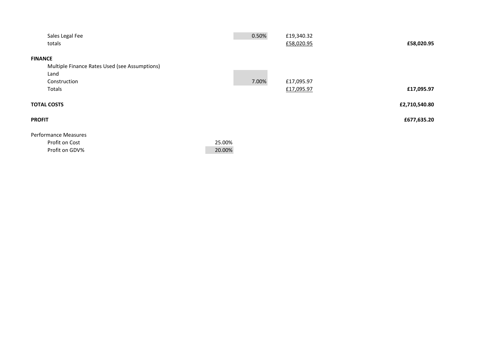| Sales Legal Fee                               |        | 0.50% | £19,340.32 |               |
|-----------------------------------------------|--------|-------|------------|---------------|
| totals                                        |        |       | £58,020.95 | £58,020.95    |
|                                               |        |       |            |               |
| <b>FINANCE</b>                                |        |       |            |               |
| Multiple Finance Rates Used (see Assumptions) |        |       |            |               |
| Land                                          |        |       |            |               |
| Construction                                  |        | 7.00% | £17,095.97 |               |
| Totals                                        |        |       | £17,095.97 | £17,095.97    |
|                                               |        |       |            |               |
| <b>TOTAL COSTS</b>                            |        |       |            | £2,710,540.80 |
| <b>PROFIT</b>                                 |        |       |            | £677,635.20   |
|                                               |        |       |            |               |
| <b>Performance Measures</b>                   |        |       |            |               |
| Profit on Cost                                | 25.00% |       |            |               |
| Profit on GDV%                                | 20.00% |       |            |               |
|                                               |        |       |            |               |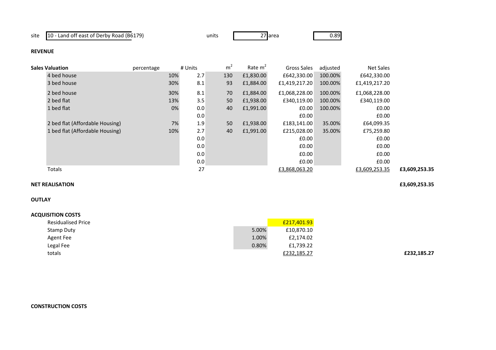site 10 - Land off east of Derby Road (B6179)

s 27 area 10.89

### **REVENUE**

| <b>Sales Valuation</b>          | percentage | # Units |     | m <sup>2</sup> | Rate $m2$ | Gross Sales   | adjusted | <b>Net Sales</b> |               |
|---------------------------------|------------|---------|-----|----------------|-----------|---------------|----------|------------------|---------------|
| 4 bed house                     |            | 10%     | 2.7 | 130            | £1,830.00 | £642,330.00   | 100.00%  | £642,330.00      |               |
| 3 bed house                     |            | 30%     | 8.1 | 93             | £1,884.00 | £1,419,217.20 | 100.00%  | £1,419,217.20    |               |
| 2 bed house                     |            | 30%     | 8.1 | 70             | £1,884.00 | £1,068,228.00 | 100.00%  | £1,068,228.00    |               |
| 2 bed flat                      |            | 13%     | 3.5 | 50             | £1,938.00 | £340,119.00   | 100.00%  | £340,119.00      |               |
| 1 bed flat                      |            | 0%      | 0.0 | 40             | £1,991.00 | £0.00         | 100.00%  | £0.00            |               |
|                                 |            |         | 0.0 |                |           | £0.00         |          | £0.00            |               |
| 2 bed flat (Affordable Housing) |            | 7%      | 1.9 | 50             | £1,938.00 | £183,141.00   | 35.00%   | £64,099.35       |               |
| 1 bed flat (Affordable Housing) |            | 10%     | 2.7 | 40             | £1,991.00 | £215,028.00   | 35.00%   | £75,259.80       |               |
|                                 |            |         | 0.0 |                |           | £0.00         |          | £0.00            |               |
|                                 |            |         | 0.0 |                |           | £0.00         |          | £0.00            |               |
|                                 |            |         | 0.0 |                |           | £0.00         |          | £0.00            |               |
|                                 |            |         | 0.0 |                |           | £0.00         |          | £0.00            |               |
| Totals                          |            |         | 27  |                |           | £3,868,063.20 |          | £3,609,253.35    | £3,609,253.35 |

units

#### **NET REALISATION£3,609,253.35**

### **OUTLAY**

| <b>ACQUISITION COSTS</b>  |       |             |             |
|---------------------------|-------|-------------|-------------|
| <b>Residualised Price</b> |       | £217,401.93 |             |
| Stamp Duty                | 5.00% | £10,870.10  |             |
| Agent Fee                 | 1.00% | £2,174.02   |             |
| Legal Fee                 | 0.80% | £1,739.22   |             |
| totals                    |       | £232,185.27 | £232,185.27 |
|                           |       |             |             |

# **CONSTRUCTION COSTS**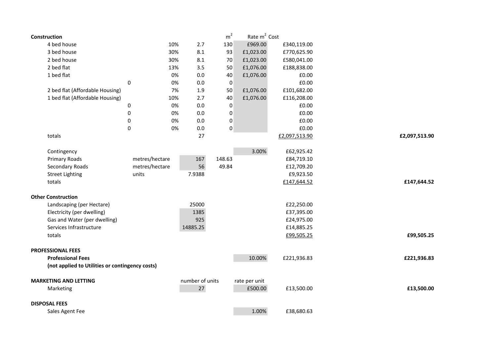| Construction                                    |                |     |                 | m <sup>2</sup> | Rate m <sup>2</sup> Cost |               |               |
|-------------------------------------------------|----------------|-----|-----------------|----------------|--------------------------|---------------|---------------|
| 4 bed house                                     |                | 10% | 2.7             | 130            | £969.00                  | £340,119.00   |               |
| 3 bed house                                     |                | 30% | 8.1             | 93             | £1,023.00                | £770,625.90   |               |
| 2 bed house                                     |                | 30% | 8.1             | 70             | £1,023.00                | £580,041.00   |               |
| 2 bed flat                                      |                | 13% | 3.5             | 50             | £1,076.00                | £188,838.00   |               |
| 1 bed flat                                      |                | 0%  | 0.0             | 40             | £1,076.00                | £0.00         |               |
|                                                 | 0              | 0%  | 0.0             | 0              |                          | £0.00         |               |
| 2 bed flat (Affordable Housing)                 |                | 7%  | 1.9             | 50             | £1,076.00                | £101,682.00   |               |
| 1 bed flat (Affordable Housing)                 |                | 10% | 2.7             | 40             | £1,076.00                | £116,208.00   |               |
|                                                 | 0              | 0%  | 0.0             | $\pmb{0}$      |                          | £0.00         |               |
|                                                 | 0              | 0%  | 0.0             | 0              |                          | £0.00         |               |
|                                                 | 0              | 0%  | 0.0             | 0              |                          | £0.00         |               |
|                                                 | 0              | 0%  | 0.0             | 0              |                          | £0.00         |               |
| totals                                          |                |     | 27              |                |                          | £2,097,513.90 | £2,097,513.90 |
| Contingency                                     |                |     |                 |                | 3.00%                    | £62,925.42    |               |
| <b>Primary Roads</b>                            | metres/hectare |     | 167             | 148.63         |                          | £84,719.10    |               |
| Secondary Roads                                 | metres/hectare |     | 56              | 49.84          |                          | £12,709.20    |               |
| <b>Street Lighting</b>                          | units          |     | 7.9388          |                |                          | £9,923.50     |               |
| totals                                          |                |     |                 |                |                          | £147,644.52   | £147,644.52   |
| <b>Other Construction</b>                       |                |     |                 |                |                          |               |               |
| Landscaping (per Hectare)                       |                |     | 25000           |                |                          | £22,250.00    |               |
| Electricity (per dwelling)                      |                |     | 1385            |                |                          | £37,395.00    |               |
| Gas and Water (per dwelling)                    |                |     | 925             |                |                          | £24,975.00    |               |
| Services Infrastructure                         |                |     | 14885.25        |                |                          | £14,885.25    |               |
| totals                                          |                |     |                 |                |                          | £99,505.25    | £99,505.25    |
| <b>PROFESSIONAL FEES</b>                        |                |     |                 |                |                          |               |               |
| <b>Professional Fees</b>                        |                |     |                 |                | 10.00%                   | £221,936.83   | £221,936.83   |
| (not applied to Utilities or contingency costs) |                |     |                 |                |                          |               |               |
| <b>MARKETING AND LETTING</b>                    |                |     | number of units |                | rate per unit            |               |               |
| Marketing                                       |                |     | 27              |                | £500.00                  | £13,500.00    | £13,500.00    |
| <b>DISPOSAL FEES</b>                            |                |     |                 |                |                          |               |               |
| Sales Agent Fee                                 |                |     |                 |                | 1.00%                    | £38,680.63    |               |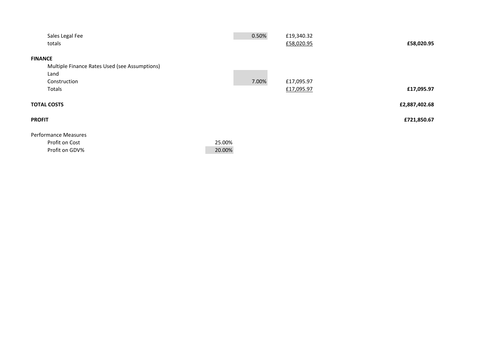|                | Sales Legal Fee                               |        | 0.50% | £19,340.32 |               |
|----------------|-----------------------------------------------|--------|-------|------------|---------------|
|                | totals                                        |        |       | £58,020.95 | £58,020.95    |
|                |                                               |        |       |            |               |
| <b>FINANCE</b> |                                               |        |       |            |               |
|                | Multiple Finance Rates Used (see Assumptions) |        |       |            |               |
|                | Land                                          |        |       |            |               |
|                | Construction                                  |        | 7.00% | £17,095.97 |               |
|                | Totals                                        |        |       | £17,095.97 | £17,095.97    |
|                |                                               |        |       |            |               |
|                | <b>TOTAL COSTS</b>                            |        |       |            | £2,887,402.68 |
| <b>PROFIT</b>  |                                               |        |       |            | £721,850.67   |
|                |                                               |        |       |            |               |
|                | <b>Performance Measures</b>                   |        |       |            |               |
|                | Profit on Cost                                | 25.00% |       |            |               |
|                | Profit on GDV%                                | 20.00% |       |            |               |
|                |                                               |        |       |            |               |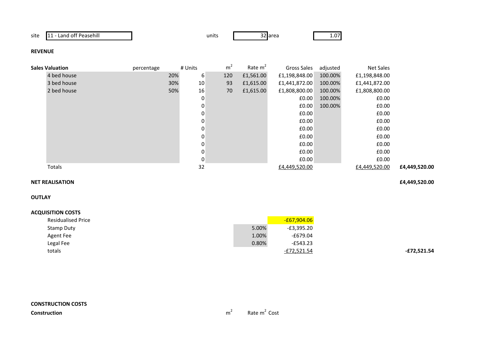| site | 11 - Land off Peasehill |
|------|-------------------------|
|      |                         |

units

32 area

1.07

### **REVENUE**

| <b>Sales Valuation</b> | percentage | # Units |          | m <sup>2</sup> | Rate $m2$ | Gross Sales   | adjusted | Net Sales     |               |
|------------------------|------------|---------|----------|----------------|-----------|---------------|----------|---------------|---------------|
| 4 bed house            |            | 20%     | 6        | 120            | £1,561.00 | £1,198,848.00 | 100.00%  | £1,198,848.00 |               |
| 3 bed house            |            | 30%     | 10       | 93             | £1,615.00 | £1,441,872.00 | 100.00%  | £1,441,872.00 |               |
| 2 bed house            |            | 50%     | 16       | 70             | £1,615.00 | £1,808,800.00 | 100.00%  | £1,808,800.00 |               |
|                        |            |         | 0        |                |           | £0.00         | 100.00%  | £0.00         |               |
|                        |            |         | 0        |                |           | £0.00         | 100.00%  | £0.00         |               |
|                        |            |         | 0        |                |           | £0.00         |          | £0.00         |               |
|                        |            |         | 0        |                |           | £0.00         |          | £0.00         |               |
|                        |            |         | 0        |                |           | £0.00         |          | £0.00         |               |
|                        |            |         |          |                |           | £0.00         |          | £0.00         |               |
|                        |            |         | $\Omega$ |                |           | £0.00         |          | £0.00         |               |
|                        |            |         | 0        |                |           | £0.00         |          | £0.00         |               |
|                        |            |         | 0        |                |           | £0.00         |          | £0.00         |               |
| Totals                 |            |         | 32       |                |           | £4,449,520.00 |          | £4,449,520.00 | £4,449,520.00 |

#### **NET REALISATION£4,449,520.00**

**OUTLAY**

| <b>Residualised Price</b> |       | $-67,904.06$ |
|---------------------------|-------|--------------|
| Stamp Duty                | 5.00% | -£3,395.20   |
| Agent Fee                 | 1.00% | -£679.04     |
| Legal Fee                 | 0.80% | $-E543.23$   |
| totals                    |       | -£72,521.54  |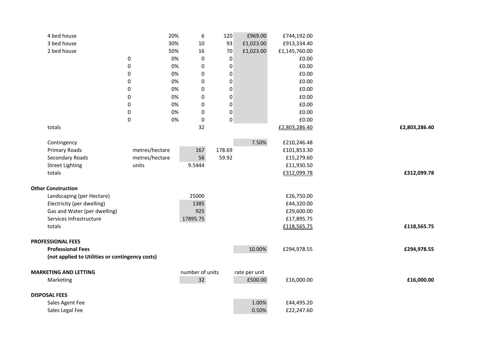| 4 bed house                                     |                  | 20% | $\boldsymbol{6}$ | 120              | £969.00       | £744,192.00   |               |
|-------------------------------------------------|------------------|-----|------------------|------------------|---------------|---------------|---------------|
| 3 bed house                                     |                  | 30% | 10               | 93               | £1,023.00     | £913,334.40   |               |
| 2 bed house                                     |                  | 50% | 16               | 70               | £1,023.00     | £1,145,760.00 |               |
|                                                 | 0                | 0%  | $\pmb{0}$        | $\boldsymbol{0}$ |               | £0.00         |               |
|                                                 | $\pmb{0}$        | 0%  | $\pmb{0}$        | $\pmb{0}$        |               | £0.00         |               |
|                                                 | $\pmb{0}$        | 0%  | $\pmb{0}$        | $\pmb{0}$        |               | £0.00         |               |
|                                                 | 0                | 0%  | 0                | 0                |               | £0.00         |               |
|                                                 | 0                | 0%  | 0                | $\pmb{0}$        |               | £0.00         |               |
|                                                 | 0                | 0%  | 0                | 0                |               | £0.00         |               |
|                                                 | $\pmb{0}$        | 0%  | 0                | $\pmb{0}$        |               | £0.00         |               |
|                                                 | 0                | 0%  | 0                | $\boldsymbol{0}$ |               | £0.00         |               |
|                                                 | $\boldsymbol{0}$ | 0%  | $\pmb{0}$        | $\pmb{0}$        |               | £0.00         |               |
| totals                                          |                  |     | 32               |                  |               | £2,803,286.40 | £2,803,286.40 |
|                                                 |                  |     |                  |                  |               |               |               |
| Contingency                                     |                  |     |                  |                  | 7.50%         | £210,246.48   |               |
| <b>Primary Roads</b>                            | metres/hectare   |     | 167              | 178.69           |               | £101,853.30   |               |
| <b>Secondary Roads</b>                          | metres/hectare   |     | 56               | 59.92            |               | £15,279.60    |               |
| <b>Street Lighting</b>                          | units            |     | 9.5444           |                  |               | £11,930.50    |               |
| totals                                          |                  |     |                  |                  |               | £312,099.78   | £312,099.78   |
|                                                 |                  |     |                  |                  |               |               |               |
| <b>Other Construction</b>                       |                  |     |                  |                  |               |               |               |
| Landscaping (per Hectare)                       |                  |     | 25000            |                  |               | £26,750.00    |               |
| Electricity (per dwelling)                      |                  |     | 1385             |                  |               | £44,320.00    |               |
| Gas and Water (per dwelling)                    |                  |     | 925              |                  |               | £29,600.00    |               |
| Services Infrastructure                         |                  |     | 17895.75         |                  |               | £17,895.75    |               |
| totals                                          |                  |     |                  |                  |               | £118,565.75   | £118,565.75   |
|                                                 |                  |     |                  |                  |               |               |               |
| <b>PROFESSIONAL FEES</b>                        |                  |     |                  |                  |               |               |               |
| <b>Professional Fees</b>                        |                  |     |                  |                  | 10.00%        | £294,978.55   | £294,978.55   |
| (not applied to Utilities or contingency costs) |                  |     |                  |                  |               |               |               |
| <b>MARKETING AND LETTING</b>                    |                  |     | number of units  |                  | rate per unit |               |               |
| Marketing                                       |                  |     | 32               |                  | £500.00       | £16,000.00    | £16,000.00    |
|                                                 |                  |     |                  |                  |               |               |               |
| <b>DISPOSAL FEES</b>                            |                  |     |                  |                  |               |               |               |
| Sales Agent Fee                                 |                  |     |                  |                  | 1.00%         | £44,495.20    |               |
| Sales Legal Fee                                 |                  |     |                  |                  | 0.50%         | £22,247.60    |               |
|                                                 |                  |     |                  |                  |               |               |               |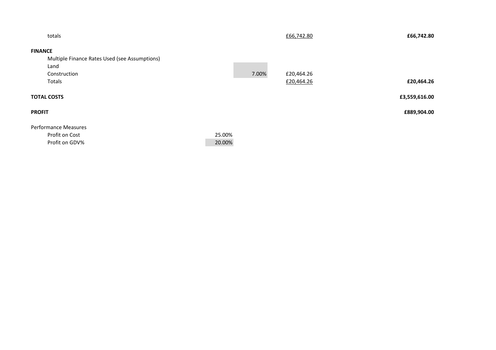| totals                      |                                               |        |       | £66,742.80 | £66,742.80    |
|-----------------------------|-----------------------------------------------|--------|-------|------------|---------------|
| <b>FINANCE</b>              |                                               |        |       |            |               |
|                             | Multiple Finance Rates Used (see Assumptions) |        |       |            |               |
| Land                        |                                               |        |       |            |               |
| Construction                |                                               |        | 7.00% | £20,464.26 |               |
| Totals                      |                                               |        |       | £20,464.26 | £20,464.26    |
| <b>TOTAL COSTS</b>          |                                               |        |       |            | £3,559,616.00 |
| <b>PROFIT</b>               |                                               |        |       |            | £889,904.00   |
| <b>Performance Measures</b> |                                               |        |       |            |               |
| Profit on Cost              |                                               | 25.00% |       |            |               |
| Profit on GDV%              |                                               | 20.00% |       |            |               |
|                             |                                               |        |       |            |               |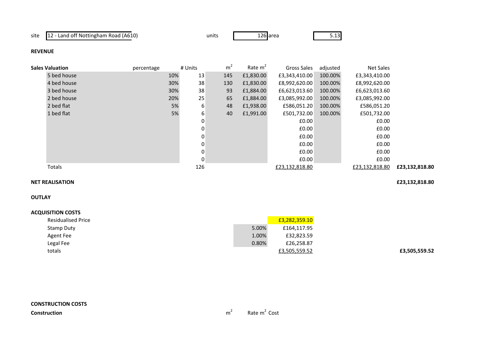site 12 - Land off Nottingham Road (A610)

s 126 area 5.13

**£3,505,559.52**

**REVENUE**

| <b>Sales Valuation</b> | percentage | # Units     | m <sup>2</sup> | Rate m <sup>2</sup> | Gross Sales    | adjusted | Net Sales      |                |
|------------------------|------------|-------------|----------------|---------------------|----------------|----------|----------------|----------------|
| 5 bed house            | 10%        | 13          | 145            | £1,830.00           | £3,343,410.00  | 100.00%  | £3,343,410.00  |                |
| 4 bed house            | 30%        | 38          | 130            | £1,830.00           | £8,992,620.00  | 100.00%  | £8,992,620.00  |                |
| 3 bed house            | 30%        | 38          | 93             | £1,884.00           | £6,623,013.60  | 100.00%  | £6,623,013.60  |                |
| 2 bed house            | 20%        | 25          | 65             | £1,884.00           | £3,085,992.00  | 100.00%  | £3,085,992.00  |                |
| 2 bed flat             | 5%         | 6           | 48             | £1,938.00           | £586,051.20    | 100.00%  | £586,051.20    |                |
| 1 bed flat             | 5%         | 6           | 40             | £1,991.00           | £501,732.00    | 100.00%  | £501,732.00    |                |
|                        |            | 0           |                |                     | £0.00          |          | £0.00          |                |
|                        |            | 0           |                |                     | £0.00          |          | £0.00          |                |
|                        |            | 0           |                |                     | £0.00          |          | £0.00          |                |
|                        |            | 0           |                |                     | £0.00          |          | £0.00          |                |
|                        |            | $\mathbf 0$ |                |                     | £0.00          |          | £0.00          |                |
|                        |            | 0           |                |                     | £0.00          |          | £0.00          |                |
| Totals                 |            | 126         |                |                     | £23,132,818.80 |          | £23,132,818.80 | £23,132,818.80 |
|                        |            |             |                |                     |                |          |                |                |

units

#### **NET REALISATION£23,132,818.80**

**OUTLAY**

| <b>Residualised Price</b> |       | £3,282,359.10 |
|---------------------------|-------|---------------|
| Stamp Duty                | 5.00% | £164,117.95   |
| Agent Fee                 | 1.00% | £32,823.59    |
| Legal Fee                 | 0.80% | £26,258.87    |
| totals                    |       | £3,505,559.52 |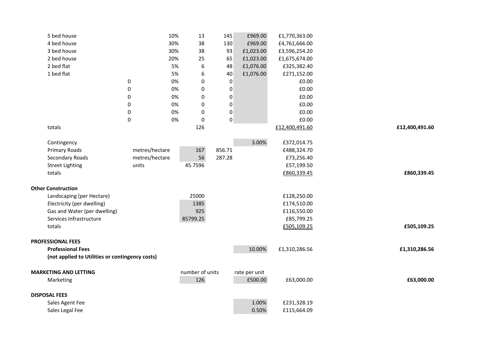| 5 bed house                                     |                  | 10% | 13              | 145              | £969.00       | £1,770,363.00  |                |
|-------------------------------------------------|------------------|-----|-----------------|------------------|---------------|----------------|----------------|
| 4 bed house                                     |                  | 30% | 38              | 130              | £969.00       | £4,761,666.00  |                |
| 3 bed house                                     |                  | 30% | 38              | 93               | £1,023.00     | £3,596,254.20  |                |
| 2 bed house                                     |                  | 20% | 25              | 65               | £1,023.00     | £1,675,674.00  |                |
| 2 bed flat                                      |                  | 5%  | 6               | 48               | £1,076.00     | £325,382.40    |                |
| 1 bed flat                                      |                  | 5%  | 6               | 40               | £1,076.00     | £271,152.00    |                |
|                                                 | 0                | 0%  | $\mathbf 0$     | $\mathbf 0$      |               | £0.00          |                |
|                                                 | $\pmb{0}$        | 0%  | 0               | $\pmb{0}$        |               | £0.00          |                |
|                                                 | 0                | 0%  | $\bf{0}$        | 0                |               | £0.00          |                |
|                                                 | $\pmb{0}$        | 0%  | $\bf{0}$        | $\pmb{0}$        |               | £0.00          |                |
|                                                 | 0                | 0%  | 0               | $\boldsymbol{0}$ |               | £0.00          |                |
|                                                 | $\boldsymbol{0}$ | 0%  | $\mathbf 0$     | $\pmb{0}$        |               | £0.00          |                |
| totals                                          |                  |     | 126             |                  |               | £12,400,491.60 | £12,400,491.60 |
| Contingency                                     |                  |     |                 |                  | 3.00%         | £372,014.75    |                |
| Primary Roads                                   | metres/hectare   |     | 167             | 856.71           |               | £488,324.70    |                |
| Secondary Roads                                 | metres/hectare   |     | 56              | 287.28           |               | £73,256.40     |                |
| <b>Street Lighting</b>                          | units            |     | 45.7596         |                  |               | £57,199.50     |                |
| totals                                          |                  |     |                 |                  |               | £860,339.45    | £860,339.45    |
|                                                 |                  |     |                 |                  |               |                |                |
| <b>Other Construction</b>                       |                  |     |                 |                  |               |                |                |
| Landscaping (per Hectare)                       |                  |     | 25000           |                  |               | £128,250.00    |                |
| Electricity (per dwelling)                      |                  |     | 1385            |                  |               | £174,510.00    |                |
| Gas and Water (per dwelling)                    |                  |     | 925             |                  |               | £116,550.00    |                |
| Services Infrastructure                         |                  |     | 85799.25        |                  |               | £85,799.25     |                |
| totals                                          |                  |     |                 |                  |               | £505,109.25    | £505,109.25    |
|                                                 |                  |     |                 |                  |               |                |                |
| <b>PROFESSIONAL FEES</b>                        |                  |     |                 |                  |               |                |                |
| <b>Professional Fees</b>                        |                  |     |                 |                  | 10.00%        | £1,310,286.56  | £1,310,286.56  |
| (not applied to Utilities or contingency costs) |                  |     |                 |                  |               |                |                |
| <b>MARKETING AND LETTING</b>                    |                  |     | number of units |                  | rate per unit |                |                |
| Marketing                                       |                  |     | 126             |                  | £500.00       | £63,000.00     | £63,000.00     |
|                                                 |                  |     |                 |                  |               |                |                |
| <b>DISPOSAL FEES</b>                            |                  |     |                 |                  |               |                |                |
| Sales Agent Fee                                 |                  |     |                 |                  | 1.00%         | £231,328.19    |                |
| Sales Legal Fee                                 |                  |     |                 |                  | 0.50%         | £115,664.09    |                |
|                                                 |                  |     |                 |                  |               |                |                |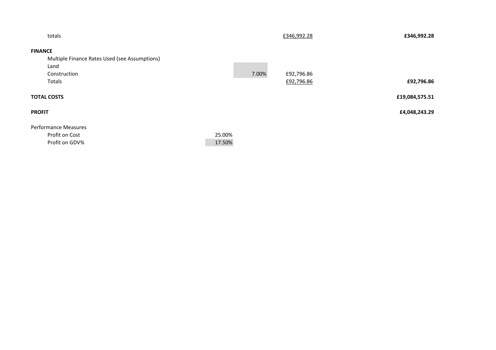| totals                      |                                               |        |       | £346,992.28 | £346,992.28    |
|-----------------------------|-----------------------------------------------|--------|-------|-------------|----------------|
| <b>FINANCE</b>              |                                               |        |       |             |                |
|                             | Multiple Finance Rates Used (see Assumptions) |        |       |             |                |
| Land                        |                                               |        |       |             |                |
| Construction                |                                               |        | 7.00% | £92,796.86  |                |
| Totals                      |                                               |        |       | £92,796.86  | £92,796.86     |
| <b>TOTAL COSTS</b>          |                                               |        |       |             | £19,084,575.51 |
| <b>PROFIT</b>               |                                               |        |       |             | £4,048,243.29  |
| <b>Performance Measures</b> |                                               |        |       |             |                |
| Profit on Cost              |                                               | 25.00% |       |             |                |
| Profit on GDV%              |                                               | 17.50% |       |             |                |
|                             |                                               |        |       |             |                |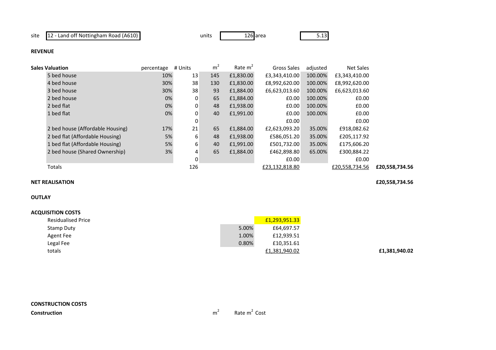site 12 - Land off Nottingham Road (A610)

 unitss 126 area 5.13

## **REVENUE**

| Sales Valuation                  | percentage | # Units | m <sup>2</sup> | Rate $m2$ | Gross Sales    | adjusted | Net Sales      |                |
|----------------------------------|------------|---------|----------------|-----------|----------------|----------|----------------|----------------|
| 5 bed house                      | 10%        | 13      | 145            | £1,830.00 | £3,343,410.00  | 100.00%  | £3,343,410.00  |                |
| 4 bed house                      | 30%        | 38      | 130            | £1,830.00 | £8,992,620.00  | 100.00%  | £8,992,620.00  |                |
| 3 bed house                      | 30%        | 38      | 93             | £1,884.00 | £6,623,013.60  | 100.00%  | £6,623,013.60  |                |
| 2 bed house                      | 0%         | 0       | 65             | £1,884.00 | £0.00          | 100.00%  | £0.00          |                |
| 2 bed flat                       | 0%         | 0       | 48             | £1,938.00 | £0.00          | 100.00%  | £0.00          |                |
| 1 bed flat                       | 0%         | 0       | 40             | £1,991.00 | £0.00          | 100.00%  | £0.00          |                |
|                                  |            | 0       |                |           | £0.00          |          | £0.00          |                |
| 2 bed house (Affordable Housing) | 17%        | 21      | 65             | £1,884.00 | £2,623,093.20  | 35.00%   | £918,082.62    |                |
| 2 bed flat (Affordable Housing)  | 5%         | 6       | 48             | £1,938.00 | £586,051.20    | 35.00%   | £205,117.92    |                |
| 1 bed flat (Affordable Housing)  | 5%         | 6       | 40             | £1,991.00 | £501,732.00    | 35.00%   | £175,606.20    |                |
| 2 bed house (Shared Ownership)   | 3%         | 4       | 65             | £1,884.00 | £462,898.80    | 65.00%   | £300,884.22    |                |
|                                  |            | 0       |                |           | £0.00          |          | £0.00          |                |
| <b>Totals</b>                    |            | 126     |                |           | £23,132,818.80 |          | £20,558,734.56 | £20,558,734.56 |
|                                  |            |         |                |           |                |          |                |                |

#### **NET REALISATION£20,558,734.56**

## **OUTLAY**

### **ACQUISITION COSTS**

| <b>Residualised Price</b> |       | £1,293,951.33 |
|---------------------------|-------|---------------|
| Stamp Duty                | 5.00% | £64,697.57    |
| Agent Fee                 | 1.00% | £12,939.51    |
| Legal Fee                 | 0.80% | £10,351.61    |
| totals                    |       | £1,381,940.02 |

**£1,381,940.02**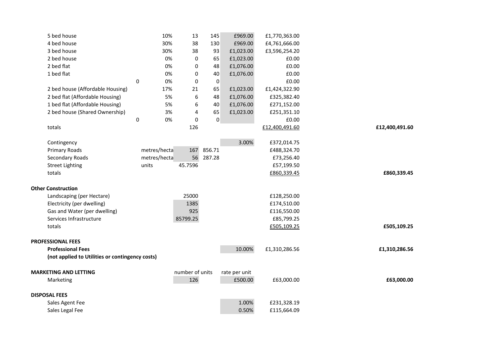| 5 bed house                                     | 10%          | 13               | 145       | £969.00                  | £1,770,363.00  |                |
|-------------------------------------------------|--------------|------------------|-----------|--------------------------|----------------|----------------|
| 4 bed house                                     | 30%          | 38               | 130       | £969.00                  | £4,761,666.00  |                |
| 3 bed house                                     | 30%          | 38               | 93        | £1,023.00                | £3,596,254.20  |                |
| 2 bed house                                     | 0%           | $\mathbf 0$      | 65        | £1,023.00                | £0.00          |                |
| 2 bed flat                                      | 0%           | $\mathbf 0$      | 48        | £1,076.00                | £0.00          |                |
| 1 bed flat                                      | 0%           | 0                | 40        | £1,076.00                | £0.00          |                |
|                                                 | 0<br>0%      | $\mathbf 0$      | $\pmb{0}$ |                          | £0.00          |                |
| 2 bed house (Affordable Housing)                | 17%          | 21               | 65        | £1,023.00                | £1,424,322.90  |                |
| 2 bed flat (Affordable Housing)                 | 5%           | 6                | 48        | £1,076.00                | £325,382.40    |                |
| 1 bed flat (Affordable Housing)                 | 5%           | 6                | 40        | £1,076.00                | £271,152.00    |                |
| 2 bed house (Shared Ownership)                  | 3%           | 4                | 65        | £1,023.00                | £251,351.10    |                |
|                                                 | 0<br>0%      | $\boldsymbol{0}$ | $\pmb{0}$ |                          | £0.00          |                |
| totals                                          |              | 126              |           |                          | £12,400,491.60 | £12,400,491.60 |
|                                                 |              |                  |           |                          |                |                |
| Contingency                                     |              |                  |           | 3.00%                    | £372,014.75    |                |
| <b>Primary Roads</b>                            | metres/hecta | 167              | 856.71    |                          | £488,324.70    |                |
| Secondary Roads                                 | metres/hecta | 56               | 287.28    |                          | £73,256.40     |                |
| <b>Street Lighting</b>                          | units        | 45.7596          |           |                          | £57,199.50     |                |
| totals                                          |              |                  |           |                          | £860,339.45    | £860,339.45    |
| <b>Other Construction</b>                       |              |                  |           |                          |                |                |
| Landscaping (per Hectare)                       |              | 25000            |           |                          | £128,250.00    |                |
| Electricity (per dwelling)                      |              | 1385             |           |                          | £174,510.00    |                |
| Gas and Water (per dwelling)                    |              | 925              |           |                          | £116,550.00    |                |
| Services Infrastructure                         |              | 85799.25         |           |                          | £85,799.25     |                |
| totals                                          |              |                  |           |                          | £505,109.25    | £505,109.25    |
|                                                 |              |                  |           |                          |                |                |
| <b>PROFESSIONAL FEES</b>                        |              |                  |           |                          |                |                |
| <b>Professional Fees</b>                        |              |                  |           | 10.00%                   | £1,310,286.56  | £1,310,286.56  |
| (not applied to Utilities or contingency costs) |              |                  |           |                          |                |                |
| <b>MARKETING AND LETTING</b>                    |              | number of units  |           |                          |                |                |
| Marketing                                       |              | 126              |           | rate per unit<br>£500.00 | £63,000.00     | £63,000.00     |
|                                                 |              |                  |           |                          |                |                |
| <b>DISPOSAL FEES</b>                            |              |                  |           |                          |                |                |
| Sales Agent Fee                                 |              |                  |           | 1.00%                    | £231,328.19    |                |
| Sales Legal Fee                                 |              |                  |           | 0.50%                    | £115,664.09    |                |
|                                                 |              |                  |           |                          |                |                |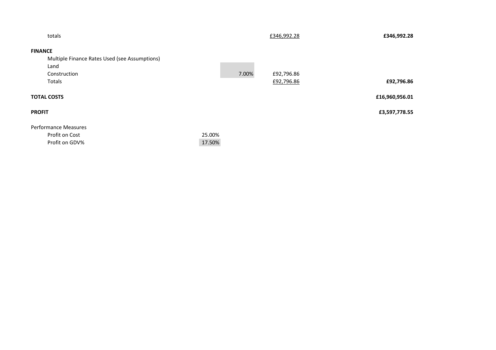|                    | totals                                                          |                  |       | £346,992.28 | £346,992.28    |
|--------------------|-----------------------------------------------------------------|------------------|-------|-------------|----------------|
| <b>FINANCE</b>     |                                                                 |                  |       |             |                |
|                    | Multiple Finance Rates Used (see Assumptions)                   |                  |       |             |                |
|                    | Land                                                            |                  |       |             |                |
|                    | Construction                                                    |                  | 7.00% | £92,796.86  |                |
|                    | Totals                                                          |                  |       | £92,796.86  | £92,796.86     |
| <b>TOTAL COSTS</b> |                                                                 |                  |       |             | £16,960,956.01 |
| <b>PROFIT</b>      |                                                                 |                  |       |             | £3,597,778.55  |
|                    | <b>Performance Measures</b><br>Profit on Cost<br>Profit on GDV% | 25.00%<br>17.50% |       |             |                |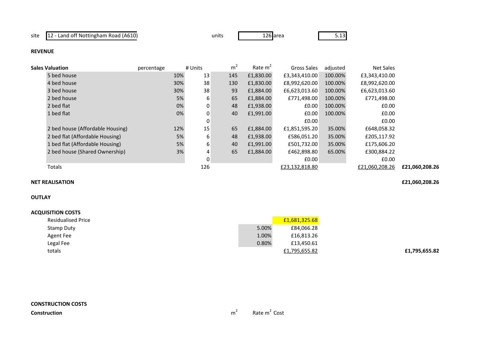site 12 - Land off Nottingham Road (A610)

units

s 126 area 5.13

### **REVENUE**

| Sales Valuation                  | percentage | # Units  | m <sup>2</sup> | Rate $m2$ | Gross Sales    | adjusted | Net Sales      |                |
|----------------------------------|------------|----------|----------------|-----------|----------------|----------|----------------|----------------|
| 5 bed house                      | 10%        | 13       | 145            | £1,830.00 | £3,343,410.00  | 100.00%  | £3,343,410.00  |                |
| 4 bed house                      | 30%        | 38       | 130            | £1,830.00 | £8,992,620.00  | 100.00%  | £8,992,620.00  |                |
| 3 bed house                      | 30%        | 38       | 93             | £1,884.00 | £6,623,013.60  | 100.00%  | £6,623,013.60  |                |
| 2 bed house                      | 5%         | 6        | 65             | £1,884.00 | £771,498.00    | 100.00%  | £771,498.00    |                |
| 2 bed flat                       | 0%         | 0        | 48             | £1,938.00 | £0.00          | 100.00%  | £0.00          |                |
| 1 bed flat                       | 0%         | $\Omega$ | 40             | £1,991.00 | £0.00          | 100.00%  | £0.00          |                |
|                                  |            | 0        |                |           | £0.00          |          | £0.00          |                |
| 2 bed house (Affordable Housing) | 12%        | 15       | 65             | £1,884.00 | £1,851,595.20  | 35.00%   | £648,058.32    |                |
| 2 bed flat (Affordable Housing)  | 5%         | 6        | 48             | £1,938.00 | £586,051.20    | 35.00%   | £205,117.92    |                |
| 1 bed flat (Affordable Housing)  | 5%         | 6        | 40             | £1.991.00 | £501,732.00    | 35.00%   | £175,606.20    |                |
| 2 bed house (Shared Ownership)   | 3%         | 4        | 65             | £1,884.00 | £462,898.80    | 65.00%   | £300,884.22    |                |
|                                  |            | 0        |                |           | £0.00          |          | £0.00          |                |
| Totals                           |            | 126      |                |           | £23,132,818.80 |          | £21,060,208.26 | £21,060,208.26 |
|                                  |            |          |                |           |                |          |                |                |

# **NET REALISATION**

## **OUTLAY**

### **ACQUISITION COSTS**

| <b>Residualised Price</b> |       | £1,681,325.68 |               |
|---------------------------|-------|---------------|---------------|
| Stamp Duty                | 5.00% | £84,066.28    |               |
| Agent Fee                 | 1.00% | £16,813.26    |               |
| Legal Fee                 | 0.80% | £13,450.61    |               |
| totals                    |       | £1,795,655.82 | £1,795,655.82 |
|                           |       |               |               |

**£21,060,208.26**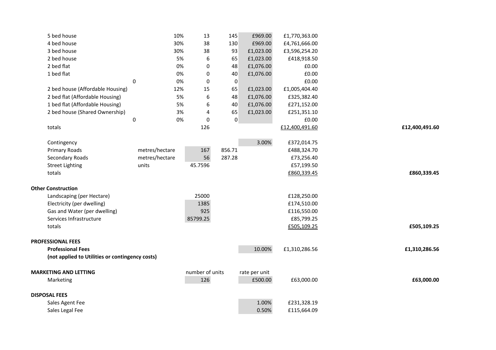| 5 bed house                                     |             | 10%            | 13              | 145     |           | £969.00       | £1,770,363.00  |                |
|-------------------------------------------------|-------------|----------------|-----------------|---------|-----------|---------------|----------------|----------------|
| 4 bed house                                     |             | 30%            | 38              | 130     |           | £969.00       | £4,761,666.00  |                |
| 3 bed house                                     |             | 30%            | 38              | 93      |           | £1,023.00     | £3,596,254.20  |                |
| 2 bed house                                     |             | 5%             |                 | 6<br>65 |           | £1,023.00     | £418,918.50    |                |
| 2 bed flat                                      |             | 0%             |                 | 0<br>48 |           | £1,076.00     | £0.00          |                |
| 1 bed flat                                      |             | 0%             |                 | 0<br>40 |           | £1,076.00     | £0.00          |                |
|                                                 | $\mathbf 0$ | 0%             |                 | 0       | 0         |               | £0.00          |                |
| 2 bed house (Affordable Housing)                |             | 12%            | 15              | 65      |           | £1,023.00     | £1,005,404.40  |                |
| 2 bed flat (Affordable Housing)                 |             | 5%             |                 | 6<br>48 |           | £1,076.00     | £325,382.40    |                |
| 1 bed flat (Affordable Housing)                 |             | 5%             |                 | 6<br>40 |           | £1,076.00     | £271,152.00    |                |
| 2 bed house (Shared Ownership)                  |             | 3%             |                 | 65<br>4 |           | £1,023.00     | £251,351.10    |                |
|                                                 | $\pmb{0}$   | 0%             |                 | 0       | $\pmb{0}$ |               | £0.00          |                |
| totals                                          |             |                | 126             |         |           |               | £12,400,491.60 | £12,400,491.60 |
|                                                 |             |                |                 |         |           |               |                |                |
| Contingency                                     |             |                |                 |         |           | 3.00%         | £372,014.75    |                |
| <b>Primary Roads</b>                            |             | metres/hectare | 167             | 856.71  |           |               | £488,324.70    |                |
| Secondary Roads                                 |             | metres/hectare | 56              | 287.28  |           |               | £73,256.40     |                |
| <b>Street Lighting</b>                          |             | units          | 45.7596         |         |           |               | £57,199.50     |                |
| totals                                          |             |                |                 |         |           |               | £860,339.45    | £860,339.45    |
|                                                 |             |                |                 |         |           |               |                |                |
| <b>Other Construction</b>                       |             |                |                 |         |           |               |                |                |
| Landscaping (per Hectare)                       |             |                | 25000           |         |           |               | £128,250.00    |                |
| Electricity (per dwelling)                      |             |                | 1385            |         |           |               | £174,510.00    |                |
| Gas and Water (per dwelling)                    |             |                | 925             |         |           |               | £116,550.00    |                |
| Services Infrastructure                         |             |                | 85799.25        |         |           |               | £85,799.25     |                |
| totals                                          |             |                |                 |         |           |               | £505,109.25    | £505,109.25    |
|                                                 |             |                |                 |         |           |               |                |                |
| <b>PROFESSIONAL FEES</b>                        |             |                |                 |         |           |               |                |                |
| <b>Professional Fees</b>                        |             |                |                 |         |           | 10.00%        | £1,310,286.56  | £1,310,286.56  |
| (not applied to Utilities or contingency costs) |             |                |                 |         |           |               |                |                |
| <b>MARKETING AND LETTING</b>                    |             |                | number of units |         |           | rate per unit |                |                |
| Marketing                                       |             |                | 126             |         |           | £500.00       | £63,000.00     | £63,000.00     |
|                                                 |             |                |                 |         |           |               |                |                |
| <b>DISPOSAL FEES</b>                            |             |                |                 |         |           |               |                |                |
| Sales Agent Fee                                 |             |                |                 |         |           | 1.00%         | £231,328.19    |                |
| Sales Legal Fee                                 |             |                |                 |         |           | 0.50%         | £115,664.09    |                |
|                                                 |             |                |                 |         |           |               |                |                |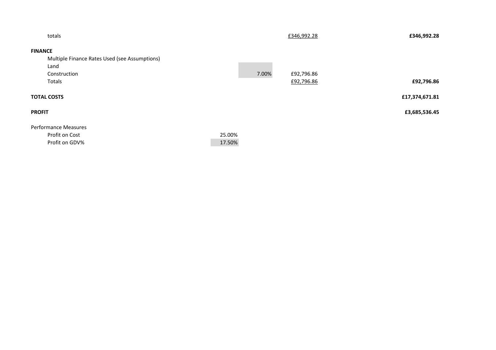|        |       | £346,992.28 | £346,992.28    |
|--------|-------|-------------|----------------|
|        |       |             |                |
|        |       |             |                |
|        |       |             |                |
|        | 7.00% | £92,796.86  |                |
|        |       | £92,796.86  | £92,796.86     |
|        |       |             | £17,374,671.81 |
|        |       |             | £3,685,536.45  |
|        |       |             |                |
| 25.00% |       |             |                |
| 17.50% |       |             |                |
|        |       |             |                |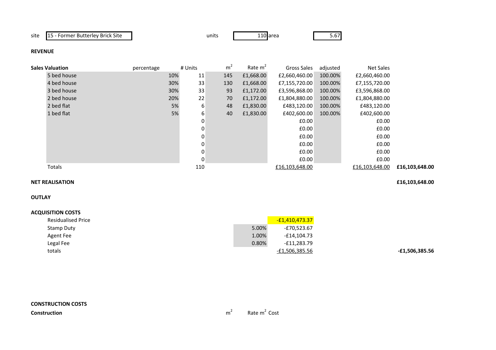site 15 - Former Butterley Brick Site

e units 110

110 area 5.67

**-£1,506,385.56**

### **REVENUE**

| <b>Sales Valuation</b> | percentage | # Units | m   | Rate m <sup>2</sup> | Gross Sales    | adjusted | <b>Net Sales</b> |                |
|------------------------|------------|---------|-----|---------------------|----------------|----------|------------------|----------------|
| 5 bed house            | 10%        | 11      | 145 | £1,668.00           | £2,660,460.00  | 100.00%  | £2,660,460.00    |                |
| 4 bed house            | 30%        | 33      | 130 | £1,668.00           | £7,155,720.00  | 100.00%  | £7,155,720.00    |                |
| 3 bed house            | 30%        | 33      | 93  | £1,172.00           | £3,596,868.00  | 100.00%  | £3,596,868.00    |                |
| 2 bed house            | 20%        | 22      | 70  | £1,172.00           | £1,804,880.00  | 100.00%  | £1,804,880.00    |                |
| 2 bed flat             | 5%         | 6       | 48  | £1,830.00           | £483,120.00    | 100.00%  | £483,120.00      |                |
| 1 bed flat             | 5%         | 6       | 40  | £1,830.00           | £402,600.00    | 100.00%  | £402,600.00      |                |
|                        |            | 0       |     |                     | £0.00          |          | £0.00            |                |
|                        |            | 0       |     |                     | £0.00          |          | £0.00            |                |
|                        |            | 0       |     |                     | £0.00          |          | £0.00            |                |
|                        |            | 0       |     |                     | £0.00          |          | £0.00            |                |
|                        |            | 0       |     |                     | £0.00          |          | £0.00            |                |
|                        |            | 0       |     |                     | £0.00          |          | £0.00            |                |
| Totals                 |            | 110     |     |                     | £16,103,648.00 |          | £16,103,648.00   | £16,103,648.00 |

#### **NET REALISATION£16,103,648.00**

**OUTLAY**

| <b>Residualised Price</b> |       | <u>-£1,410,473.37</u> |
|---------------------------|-------|-----------------------|
| Stamp Duty                | 5.00% | -£70,523.67           |
| Agent Fee                 | 1.00% | $-E14,104.73$         |
| Legal Fee                 | 0.80% | $-£11,283.79$         |
| totals                    |       | -£1,506,385.56        |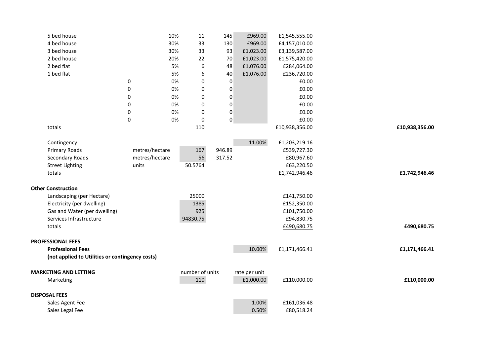|                              | 5 bed house                                     |                | 10% | 11               | 145              | £969.00       | £1,545,555.00  |                |
|------------------------------|-------------------------------------------------|----------------|-----|------------------|------------------|---------------|----------------|----------------|
|                              | 4 bed house                                     |                | 30% | 33               | 130              | £969.00       | £4,157,010.00  |                |
|                              | 3 bed house                                     |                | 30% | 33               | 93               | £1,023.00     | £3,139,587.00  |                |
|                              | 2 bed house                                     |                | 20% | 22               | 70               | £1,023.00     | £1,575,420.00  |                |
|                              | 2 bed flat                                      |                | 5%  | $\boldsymbol{6}$ | 48               | £1,076.00     | £284,064.00    |                |
|                              | 1 bed flat                                      |                | 5%  | 6                | 40               | £1,076.00     | £236,720.00    |                |
|                              |                                                 | 0              | 0%  | $\mathbf 0$      | 0                |               | £0.00          |                |
|                              |                                                 | $\pmb{0}$      | 0%  | 0                | $\boldsymbol{0}$ |               | £0.00          |                |
|                              |                                                 | 0              | 0%  | 0                | 0                |               | £0.00          |                |
|                              |                                                 | 0              | 0%  | 0                | $\boldsymbol{0}$ |               | £0.00          |                |
|                              |                                                 | 0              | 0%  | 0                | 0                |               | £0.00          |                |
|                              |                                                 | $\pmb{0}$      | 0%  | 0                | 0                |               | £0.00          |                |
|                              | totals                                          |                |     | 110              |                  |               | £10,938,356.00 | £10,938,356.00 |
|                              |                                                 |                |     |                  |                  |               |                |                |
|                              | Contingency                                     |                |     |                  |                  | 11.00%        | £1,203,219.16  |                |
|                              | Primary Roads                                   | metres/hectare |     | 167              | 946.89           |               | £539,727.30    |                |
|                              | Secondary Roads                                 | metres/hectare |     | 56               | 317.52           |               | £80,967.60     |                |
|                              | <b>Street Lighting</b>                          | units          |     | 50.5764          |                  |               | £63,220.50     |                |
|                              | totals                                          |                |     |                  |                  |               | £1,742,946.46  | £1,742,946.46  |
|                              |                                                 |                |     |                  |                  |               |                |                |
|                              | <b>Other Construction</b>                       |                |     |                  |                  |               |                |                |
|                              | Landscaping (per Hectare)                       |                |     | 25000            |                  |               | £141,750.00    |                |
|                              | Electricity (per dwelling)                      |                |     | 1385<br>925      |                  |               | £152,350.00    |                |
|                              | Gas and Water (per dwelling)                    |                |     |                  |                  |               | £101,750.00    |                |
|                              | Services Infrastructure<br>totals               |                |     | 94830.75         |                  |               | £94,830.75     | £490,680.75    |
|                              |                                                 |                |     |                  |                  |               | £490,680.75    |                |
| <b>PROFESSIONAL FEES</b>     |                                                 |                |     |                  |                  |               |                |                |
|                              | <b>Professional Fees</b>                        |                |     |                  |                  | 10.00%        | £1,171,466.41  | £1,171,466.41  |
|                              | (not applied to Utilities or contingency costs) |                |     |                  |                  |               |                |                |
|                              |                                                 |                |     |                  |                  |               |                |                |
| <b>MARKETING AND LETTING</b> |                                                 |                |     | number of units  |                  | rate per unit |                |                |
|                              | Marketing                                       |                |     | 110              |                  | £1,000.00     | £110,000.00    | £110,000.00    |
|                              |                                                 |                |     |                  |                  |               |                |                |
| <b>DISPOSAL FEES</b>         |                                                 |                |     |                  |                  |               |                |                |
|                              | Sales Agent Fee                                 |                |     |                  |                  | 1.00%         | £161,036.48    |                |
|                              | Sales Legal Fee                                 |                |     |                  |                  | 0.50%         | £80,518.24     |                |
|                              |                                                 |                |     |                  |                  |               |                |                |